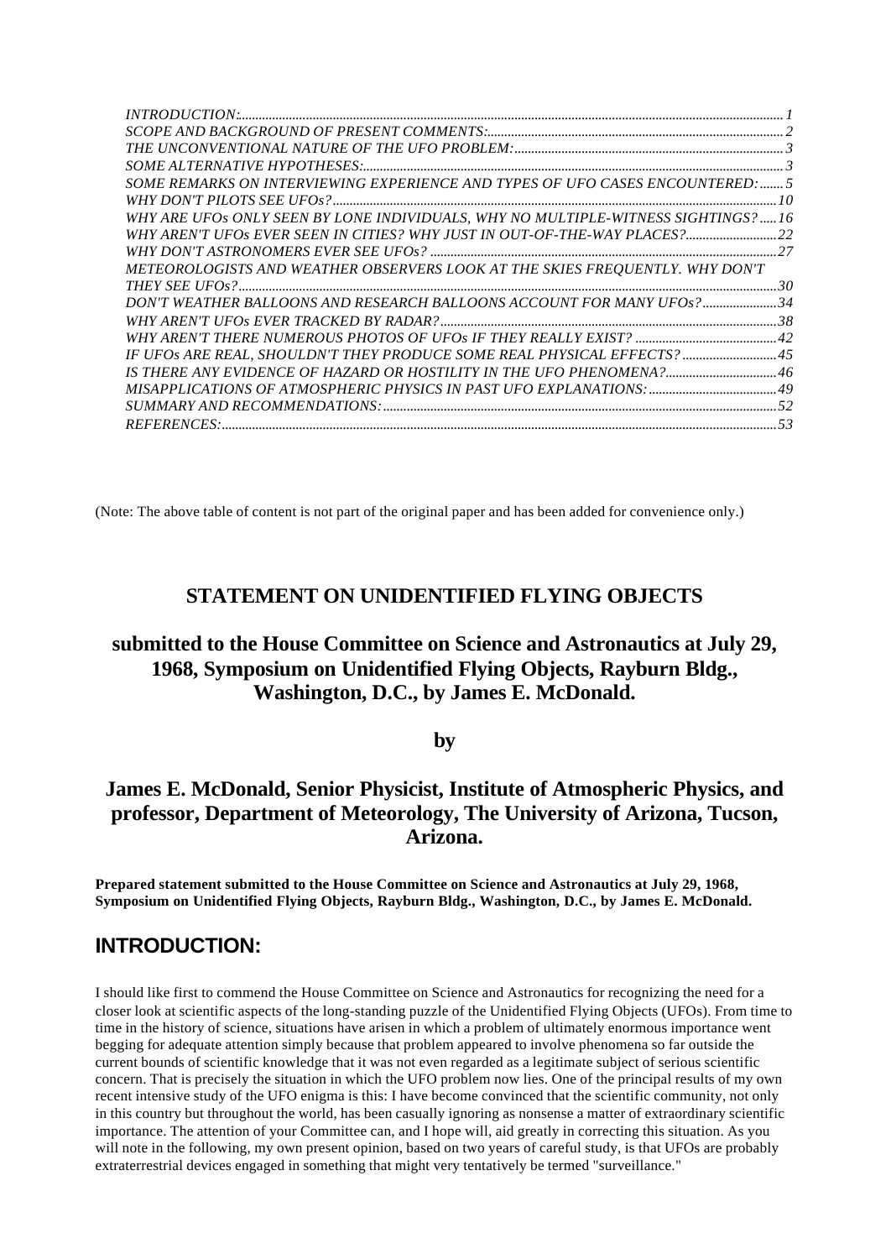| SOME REMARKS ON INTERVIEWING EXPERIENCE AND TYPES OF UFO CASES ENCOUNTERED:  5     |  |
|------------------------------------------------------------------------------------|--|
|                                                                                    |  |
| WHY ARE UFOs ONLY SEEN BY LONE INDIVIDUALS, WHY NO MULTIPLE-WITNESS SIGHTINGS?  16 |  |
| WHY AREN'T UFOs EVER SEEN IN CITIES? WHY JUST IN OUT-OF-THE-WAY PLACES?22          |  |
|                                                                                    |  |
| METEOROLOGISTS AND WEATHER OBSERVERS LOOK AT THE SKIES FREQUENTLY. WHY DON'T       |  |
|                                                                                    |  |
| DON'T WEATHER BALLOONS AND RESEARCH BALLOONS ACCOUNT FOR MANY UFOs?34              |  |
|                                                                                    |  |
|                                                                                    |  |
| IF UFOs ARE REAL, SHOULDN'T THEY PRODUCE SOME REAL PHYSICAL EFFECTS?  45           |  |
| IS THERE ANY EVIDENCE OF HAZARD OR HOSTILITY IN THE UFO PHENOMENA? 46              |  |
|                                                                                    |  |
|                                                                                    |  |
|                                                                                    |  |

(Note: The above table of content is not part of the original paper and has been added for convenience only.)

#### **STATEMENT ON UNIDENTIFIED FLYING OBJECTS**

### **submitted to the House Committee on Science and Astronautics at July 29, 1968, Symposium on Unidentified Flying Objects, Rayburn Bldg., Washington, D.C., by James E. McDonald.**

#### **by**

# **James E. McDonald, Senior Physicist, Institute of Atmospheric Physics, and professor, Department of Meteorology, The University of Arizona, Tucson, Arizona.**

**Prepared statement submitted to the House Committee on Science and Astronautics at July 29, 1968, Symposium on Unidentified Flying Objects, Rayburn Bldg., Washington, D.C., by James E. McDonald.**

# **INTRODUCTION:**

I should like first to commend the House Committee on Science and Astronautics for recognizing the need for a closer look at scientific aspects of the long-standing puzzle of the Unidentified Flying Objects (UFOs). From time to time in the history of science, situations have arisen in which a problem of ultimately enormous importance went begging for adequate attention simply because that problem appeared to involve phenomena so far outside the current bounds of scientific knowledge that it was not even regarded as a legitimate subject of serious scientific concern. That is precisely the situation in which the UFO problem now lies. One of the principal results of my own recent intensive study of the UFO enigma is this: I have become convinced that the scientific community, not only in this country but throughout the world, has been casually ignoring as nonsense a matter of extraordinary scientific importance. The attention of your Committee can, and I hope will, aid greatly in correcting this situation. As you will note in the following, my own present opinion, based on two years of careful study, is that UFOs are probably extraterrestrial devices engaged in something that might very tentatively be termed "surveillance."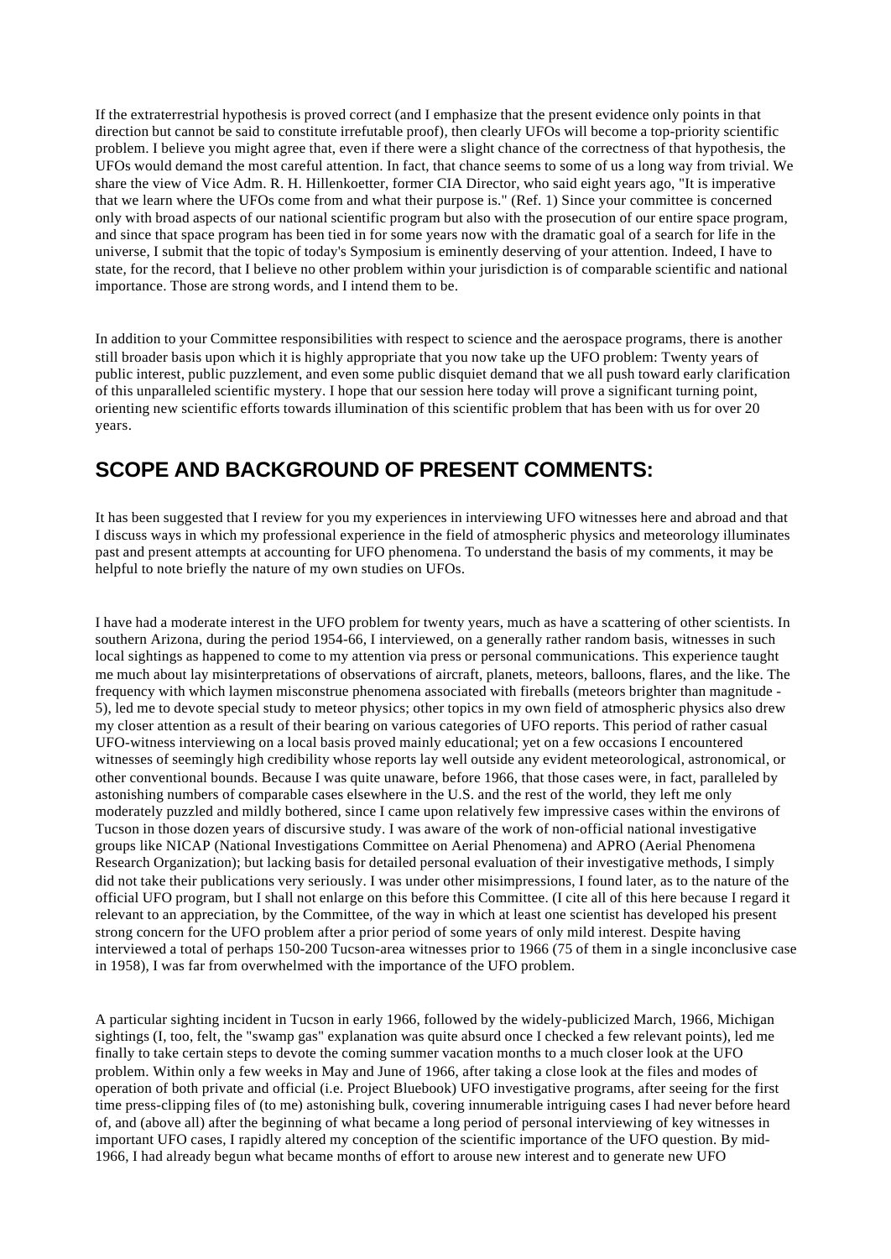If the extraterrestrial hypothesis is proved correct (and I emphasize that the present evidence only points in that direction but cannot be said to constitute irrefutable proof), then clearly UFOs will become a top-priority scientific problem. I believe you might agree that, even if there were a slight chance of the correctness of that hypothesis, the UFOs would demand the most careful attention. In fact, that chance seems to some of us a long way from trivial. We share the view of Vice Adm. R. H. Hillenkoetter, former CIA Director, who said eight years ago, "It is imperative that we learn where the UFOs come from and what their purpose is." (Ref. 1) Since your committee is concerned only with broad aspects of our national scientific program but also with the prosecution of our entire space program, and since that space program has been tied in for some years now with the dramatic goal of a search for life in the universe, I submit that the topic of today's Symposium is eminently deserving of your attention. Indeed, I have to state, for the record, that I believe no other problem within your jurisdiction is of comparable scientific and national importance. Those are strong words, and I intend them to be.

In addition to your Committee responsibilities with respect to science and the aerospace programs, there is another still broader basis upon which it is highly appropriate that you now take up the UFO problem: Twenty years of public interest, public puzzlement, and even some public disquiet demand that we all push toward early clarification of this unparalleled scientific mystery. I hope that our session here today will prove a significant turning point, orienting new scientific efforts towards illumination of this scientific problem that has been with us for over 20 years.

# **SCOPE AND BACKGROUND OF PRESENT COMMENTS:**

It has been suggested that I review for you my experiences in interviewing UFO witnesses here and abroad and that I discuss ways in which my professional experience in the field of atmospheric physics and meteorology illuminates past and present attempts at accounting for UFO phenomena. To understand the basis of my comments, it may be helpful to note briefly the nature of my own studies on UFOs.

I have had a moderate interest in the UFO problem for twenty years, much as have a scattering of other scientists. In southern Arizona, during the period 1954-66, I interviewed, on a generally rather random basis, witnesses in such local sightings as happened to come to my attention via press or personal communications. This experience taught me much about lay misinterpretations of observations of aircraft, planets, meteors, balloons, flares, and the like. The frequency with which laymen misconstrue phenomena associated with fireballs (meteors brighter than magnitude - 5), led me to devote special study to meteor physics; other topics in my own field of atmospheric physics also drew my closer attention as a result of their bearing on various categories of UFO reports. This period of rather casual UFO-witness interviewing on a local basis proved mainly educational; yet on a few occasions I encountered witnesses of seemingly high credibility whose reports lay well outside any evident meteorological, astronomical, or other conventional bounds. Because I was quite unaware, before 1966, that those cases were, in fact, paralleled by astonishing numbers of comparable cases elsewhere in the U.S. and the rest of the world, they left me only moderately puzzled and mildly bothered, since I came upon relatively few impressive cases within the environs of Tucson in those dozen years of discursive study. I was aware of the work of non-official national investigative groups like NICAP (National Investigations Committee on Aerial Phenomena) and APRO (Aerial Phenomena Research Organization); but lacking basis for detailed personal evaluation of their investigative methods, I simply did not take their publications very seriously. I was under other misimpressions, I found later, as to the nature of the official UFO program, but I shall not enlarge on this before this Committee. (I cite all of this here because I regard it relevant to an appreciation, by the Committee, of the way in which at least one scientist has developed his present strong concern for the UFO problem after a prior period of some years of only mild interest. Despite having interviewed a total of perhaps 150-200 Tucson-area witnesses prior to 1966 (75 of them in a single inconclusive case in 1958), I was far from overwhelmed with the importance of the UFO problem.

A particular sighting incident in Tucson in early 1966, followed by the widely-publicized March, 1966, Michigan sightings (I, too, felt, the "swamp gas" explanation was quite absurd once I checked a few relevant points), led me finally to take certain steps to devote the coming summer vacation months to a much closer look at the UFO problem. Within only a few weeks in May and June of 1966, after taking a close look at the files and modes of operation of both private and official (i.e. Project Bluebook) UFO investigative programs, after seeing for the first time press-clipping files of (to me) astonishing bulk, covering innumerable intriguing cases I had never before heard of, and (above all) after the beginning of what became a long period of personal interviewing of key witnesses in important UFO cases, I rapidly altered my conception of the scientific importance of the UFO question. By mid-1966, I had already begun what became months of effort to arouse new interest and to generate new UFO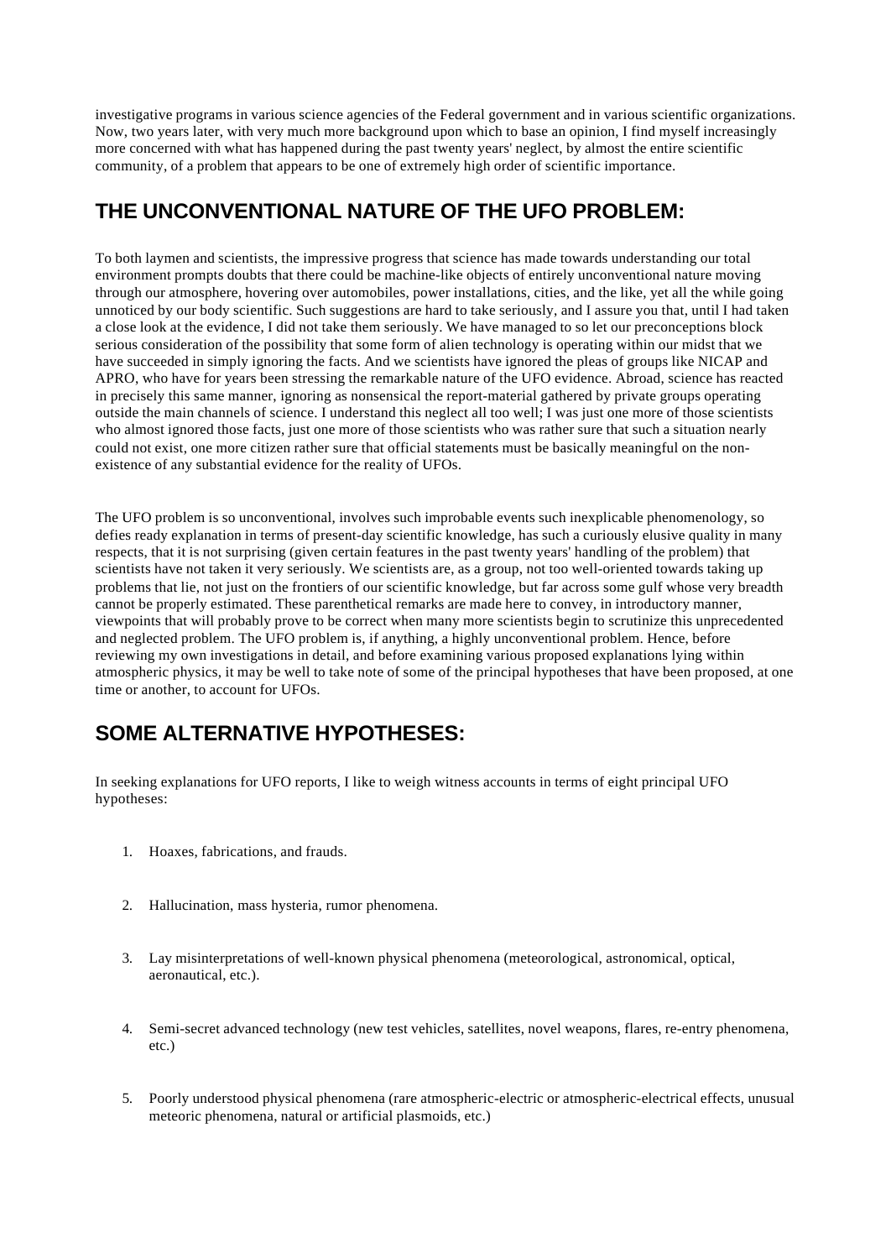investigative programs in various science agencies of the Federal government and in various scientific organizations. Now, two years later, with very much more background upon which to base an opinion, I find myself increasingly more concerned with what has happened during the past twenty years' neglect, by almost the entire scientific community, of a problem that appears to be one of extremely high order of scientific importance.

# **THE UNCONVENTIONAL NATURE OF THE UFO PROBLEM:**

To both laymen and scientists, the impressive progress that science has made towards understanding our total environment prompts doubts that there could be machine-like objects of entirely unconventional nature moving through our atmosphere, hovering over automobiles, power installations, cities, and the like, yet all the while going unnoticed by our body scientific. Such suggestions are hard to take seriously, and I assure you that, until I had taken a close look at the evidence, I did not take them seriously. We have managed to so let our preconceptions block serious consideration of the possibility that some form of alien technology is operating within our midst that we have succeeded in simply ignoring the facts. And we scientists have ignored the pleas of groups like NICAP and APRO, who have for years been stressing the remarkable nature of the UFO evidence. Abroad, science has reacted in precisely this same manner, ignoring as nonsensical the report-material gathered by private groups operating outside the main channels of science. I understand this neglect all too well; I was just one more of those scientists who almost ignored those facts, just one more of those scientists who was rather sure that such a situation nearly could not exist, one more citizen rather sure that official statements must be basically meaningful on the nonexistence of any substantial evidence for the reality of UFOs.

The UFO problem is so unconventional, involves such improbable events such inexplicable phenomenology, so defies ready explanation in terms of present-day scientific knowledge, has such a curiously elusive quality in many respects, that it is not surprising (given certain features in the past twenty years' handling of the problem) that scientists have not taken it very seriously. We scientists are, as a group, not too well-oriented towards taking up problems that lie, not just on the frontiers of our scientific knowledge, but far across some gulf whose very breadth cannot be properly estimated. These parenthetical remarks are made here to convey, in introductory manner, viewpoints that will probably prove to be correct when many more scientists begin to scrutinize this unprecedented and neglected problem. The UFO problem is, if anything, a highly unconventional problem. Hence, before reviewing my own investigations in detail, and before examining various proposed explanations lying within atmospheric physics, it may be well to take note of some of the principal hypotheses that have been proposed, at one time or another, to account for UFOs.

# **SOME ALTERNATIVE HYPOTHESES:**

In seeking explanations for UFO reports, I like to weigh witness accounts in terms of eight principal UFO hypotheses:

- 1. Hoaxes, fabrications, and frauds.
- 2. Hallucination, mass hysteria, rumor phenomena.
- 3. Lay misinterpretations of well-known physical phenomena (meteorological, astronomical, optical, aeronautical, etc.).
- 4. Semi-secret advanced technology (new test vehicles, satellites, novel weapons, flares, re-entry phenomena, etc.)
- 5. Poorly understood physical phenomena (rare atmospheric-electric or atmospheric-electrical effects, unusual meteoric phenomena, natural or artificial plasmoids, etc.)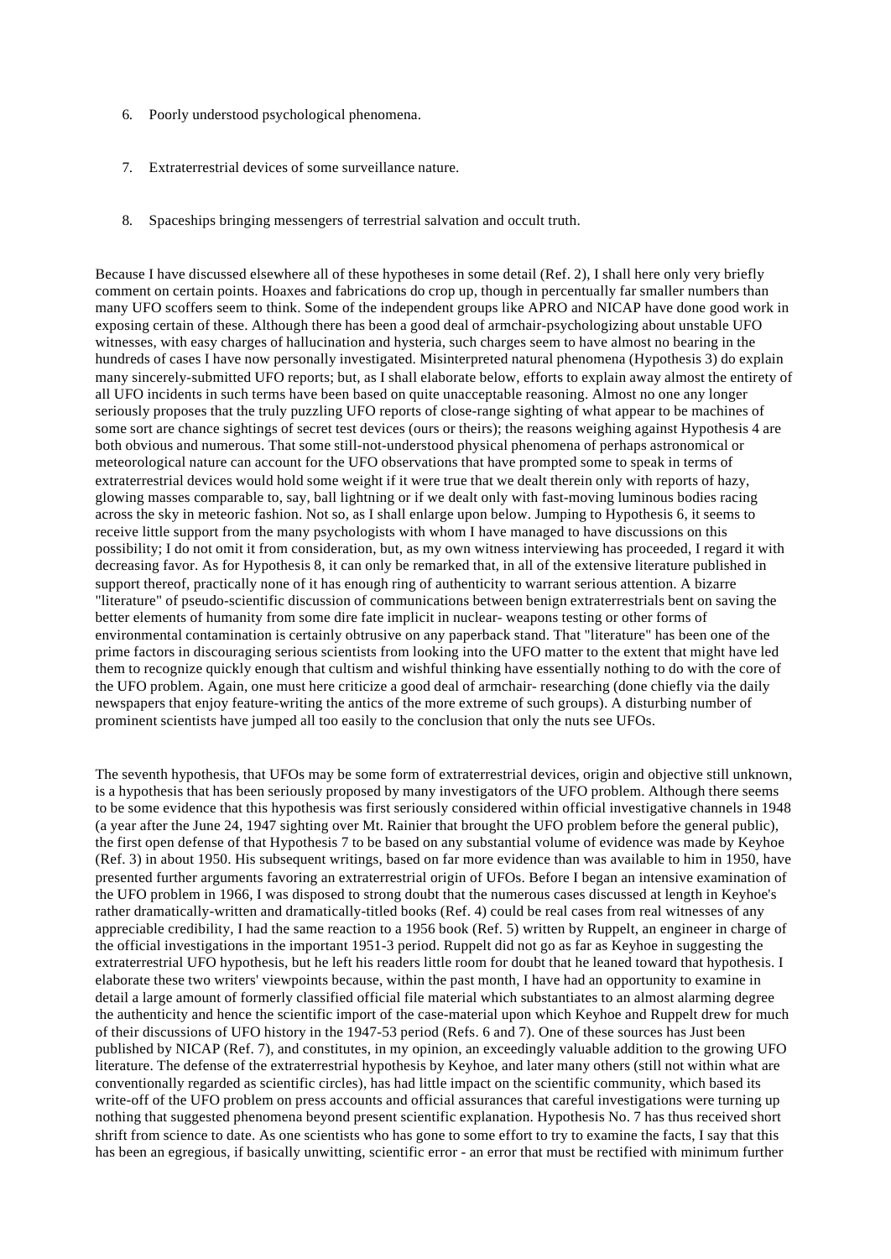- 6. Poorly understood psychological phenomena.
- 7. Extraterrestrial devices of some surveillance nature.
- 8. Spaceships bringing messengers of terrestrial salvation and occult truth.

Because I have discussed elsewhere all of these hypotheses in some detail (Ref. 2), I shall here only very briefly comment on certain points. Hoaxes and fabrications do crop up, though in percentually far smaller numbers than many UFO scoffers seem to think. Some of the independent groups like APRO and NICAP have done good work in exposing certain of these. Although there has been a good deal of armchair-psychologizing about unstable UFO witnesses, with easy charges of hallucination and hysteria, such charges seem to have almost no bearing in the hundreds of cases I have now personally investigated. Misinterpreted natural phenomena (Hypothesis 3) do explain many sincerely-submitted UFO reports; but, as I shall elaborate below, efforts to explain away almost the entirety of all UFO incidents in such terms have been based on quite unacceptable reasoning. Almost no one any longer seriously proposes that the truly puzzling UFO reports of close-range sighting of what appear to be machines of some sort are chance sightings of secret test devices (ours or theirs); the reasons weighing against Hypothesis 4 are both obvious and numerous. That some still-not-understood physical phenomena of perhaps astronomical or meteorological nature can account for the UFO observations that have prompted some to speak in terms of extraterrestrial devices would hold some weight if it were true that we dealt therein only with reports of hazy, glowing masses comparable to, say, ball lightning or if we dealt only with fast-moving luminous bodies racing across the sky in meteoric fashion. Not so, as I shall enlarge upon below. Jumping to Hypothesis 6, it seems to receive little support from the many psychologists with whom I have managed to have discussions on this possibility; I do not omit it from consideration, but, as my own witness interviewing has proceeded, I regard it with decreasing favor. As for Hypothesis 8, it can only be remarked that, in all of the extensive literature published in support thereof, practically none of it has enough ring of authenticity to warrant serious attention. A bizarre "literature" of pseudo-scientific discussion of communications between benign extraterrestrials bent on saving the better elements of humanity from some dire fate implicit in nuclear- weapons testing or other forms of environmental contamination is certainly obtrusive on any paperback stand. That "literature" has been one of the prime factors in discouraging serious scientists from looking into the UFO matter to the extent that might have led them to recognize quickly enough that cultism and wishful thinking have essentially nothing to do with the core of the UFO problem. Again, one must here criticize a good deal of armchair- researching (done chiefly via the daily newspapers that enjoy feature-writing the antics of the more extreme of such groups). A disturbing number of prominent scientists have jumped all too easily to the conclusion that only the nuts see UFOs.

The seventh hypothesis, that UFOs may be some form of extraterrestrial devices, origin and objective still unknown, is a hypothesis that has been seriously proposed by many investigators of the UFO problem. Although there seems to be some evidence that this hypothesis was first seriously considered within official investigative channels in 1948 (a year after the June 24, 1947 sighting over Mt. Rainier that brought the UFO problem before the general public), the first open defense of that Hypothesis 7 to be based on any substantial volume of evidence was made by Keyhoe (Ref. 3) in about 1950. His subsequent writings, based on far more evidence than was available to him in 1950, have presented further arguments favoring an extraterrestrial origin of UFOs. Before I began an intensive examination of the UFO problem in 1966, I was disposed to strong doubt that the numerous cases discussed at length in Keyhoe's rather dramatically-written and dramatically-titled books (Ref. 4) could be real cases from real witnesses of any appreciable credibility, I had the same reaction to a 1956 book (Ref. 5) written by Ruppelt, an engineer in charge of the official investigations in the important 1951-3 period. Ruppelt did not go as far as Keyhoe in suggesting the extraterrestrial UFO hypothesis, but he left his readers little room for doubt that he leaned toward that hypothesis. I elaborate these two writers' viewpoints because, within the past month, I have had an opportunity to examine in detail a large amount of formerly classified official file material which substantiates to an almost alarming degree the authenticity and hence the scientific import of the case-material upon which Keyhoe and Ruppelt drew for much of their discussions of UFO history in the 1947-53 period (Refs. 6 and 7). One of these sources has Just been published by NICAP (Ref. 7), and constitutes, in my opinion, an exceedingly valuable addition to the growing UFO literature. The defense of the extraterrestrial hypothesis by Keyhoe, and later many others (still not within what are conventionally regarded as scientific circles), has had little impact on the scientific community, which based its write-off of the UFO problem on press accounts and official assurances that careful investigations were turning up nothing that suggested phenomena beyond present scientific explanation. Hypothesis No. 7 has thus received short shrift from science to date. As one scientists who has gone to some effort to try to examine the facts, I say that this has been an egregious, if basically unwitting, scientific error - an error that must be rectified with minimum further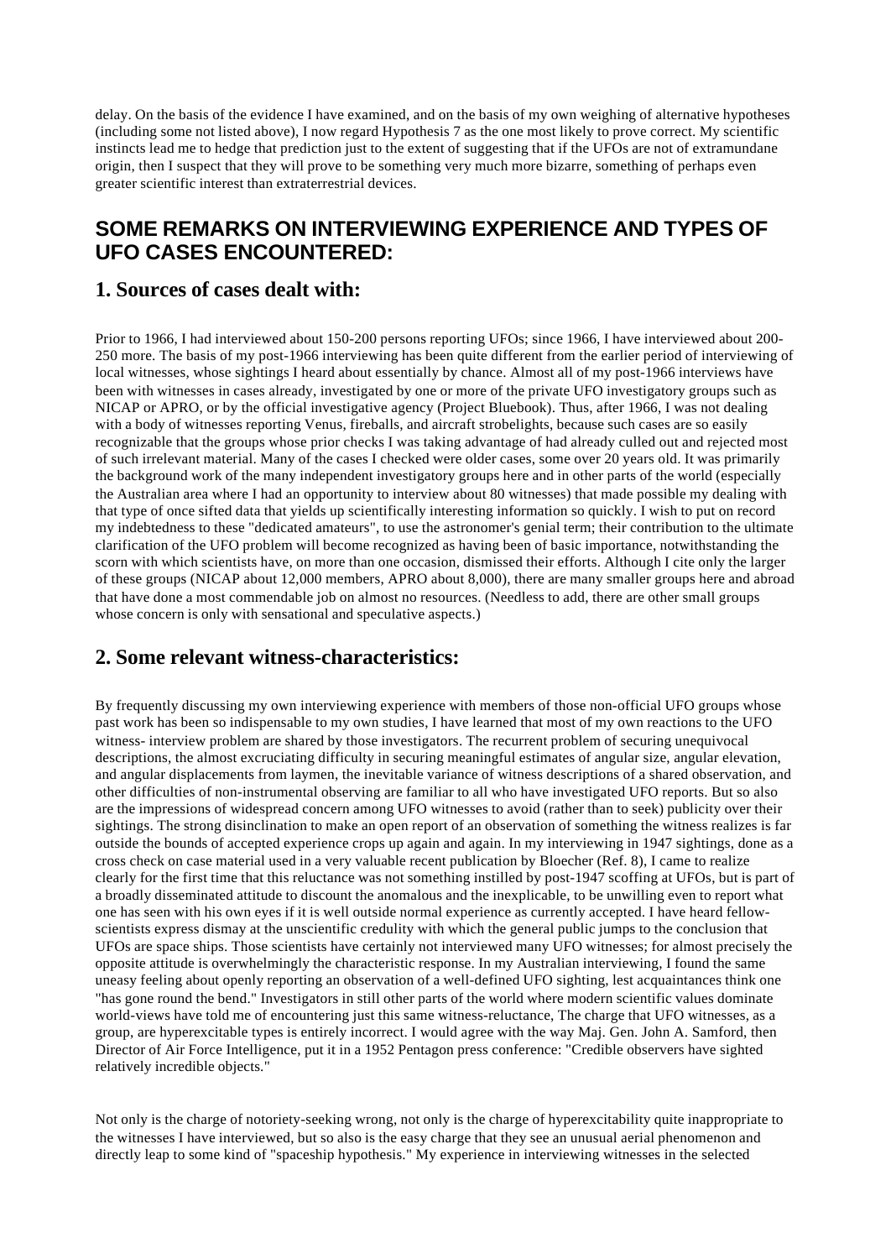delay. On the basis of the evidence I have examined, and on the basis of my own weighing of alternative hypotheses (including some not listed above), I now regard Hypothesis 7 as the one most likely to prove correct. My scientific instincts lead me to hedge that prediction just to the extent of suggesting that if the UFOs are not of extramundane origin, then I suspect that they will prove to be something very much more bizarre, something of perhaps even greater scientific interest than extraterrestrial devices.

# **SOME REMARKS ON INTERVIEWING EXPERIENCE AND TYPES OF UFO CASES ENCOUNTERED:**

#### **1. Sources of cases dealt with:**

Prior to 1966, I had interviewed about 150-200 persons reporting UFOs; since 1966, I have interviewed about 200- 250 more. The basis of my post-1966 interviewing has been quite different from the earlier period of interviewing of local witnesses, whose sightings I heard about essentially by chance. Almost all of my post-1966 interviews have been with witnesses in cases already, investigated by one or more of the private UFO investigatory groups such as NICAP or APRO, or by the official investigative agency (Project Bluebook). Thus, after 1966, I was not dealing with a body of witnesses reporting Venus, fireballs, and aircraft strobelights, because such cases are so easily recognizable that the groups whose prior checks I was taking advantage of had already culled out and rejected most of such irrelevant material. Many of the cases I checked were older cases, some over 20 years old. It was primarily the background work of the many independent investigatory groups here and in other parts of the world (especially the Australian area where I had an opportunity to interview about 80 witnesses) that made possible my dealing with that type of once sifted data that yields up scientifically interesting information so quickly. I wish to put on record my indebtedness to these "dedicated amateurs", to use the astronomer's genial term; their contribution to the ultimate clarification of the UFO problem will become recognized as having been of basic importance, notwithstanding the scorn with which scientists have, on more than one occasion, dismissed their efforts. Although I cite only the larger of these groups (NICAP about 12,000 members, APRO about 8,000), there are many smaller groups here and abroad that have done a most commendable job on almost no resources. (Needless to add, there are other small groups whose concern is only with sensational and speculative aspects.)

### **2. Some relevant witness-characteristics:**

By frequently discussing my own interviewing experience with members of those non-official UFO groups whose past work has been so indispensable to my own studies, I have learned that most of my own reactions to the UFO witness- interview problem are shared by those investigators. The recurrent problem of securing unequivocal descriptions, the almost excruciating difficulty in securing meaningful estimates of angular size, angular elevation, and angular displacements from laymen, the inevitable variance of witness descriptions of a shared observation, and other difficulties of non-instrumental observing are familiar to all who have investigated UFO reports. But so also are the impressions of widespread concern among UFO witnesses to avoid (rather than to seek) publicity over their sightings. The strong disinclination to make an open report of an observation of something the witness realizes is far outside the bounds of accepted experience crops up again and again. In my interviewing in 1947 sightings, done as a cross check on case material used in a very valuable recent publication by Bloecher (Ref. 8), I came to realize clearly for the first time that this reluctance was not something instilled by post-1947 scoffing at UFOs, but is part of a broadly disseminated attitude to discount the anomalous and the inexplicable, to be unwilling even to report what one has seen with his own eyes if it is well outside normal experience as currently accepted. I have heard fellowscientists express dismay at the unscientific credulity with which the general public jumps to the conclusion that UFOs are space ships. Those scientists have certainly not interviewed many UFO witnesses; for almost precisely the opposite attitude is overwhelmingly the characteristic response. In my Australian interviewing, I found the same uneasy feeling about openly reporting an observation of a well-defined UFO sighting, lest acquaintances think one "has gone round the bend." Investigators in still other parts of the world where modern scientific values dominate world-views have told me of encountering just this same witness-reluctance, The charge that UFO witnesses, as a group, are hyperexcitable types is entirely incorrect. I would agree with the way Maj. Gen. John A. Samford, then Director of Air Force Intelligence, put it in a 1952 Pentagon press conference: "Credible observers have sighted relatively incredible objects."

Not only is the charge of notoriety-seeking wrong, not only is the charge of hyperexcitability quite inappropriate to the witnesses I have interviewed, but so also is the easy charge that they see an unusual aerial phenomenon and directly leap to some kind of "spaceship hypothesis." My experience in interviewing witnesses in the selected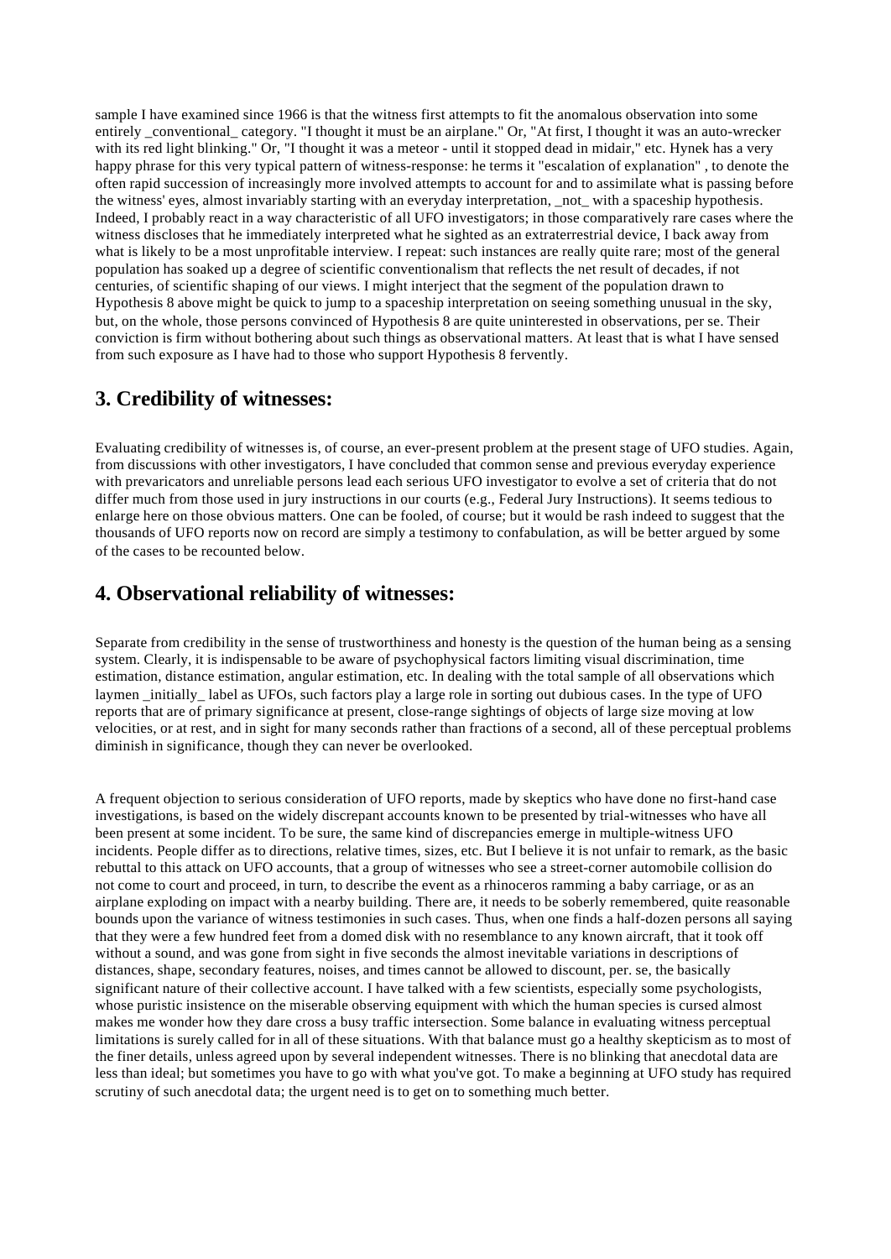sample I have examined since 1966 is that the witness first attempts to fit the anomalous observation into some entirely \_conventional\_ category. "I thought it must be an airplane." Or, "At first, I thought it was an auto-wrecker with its red light blinking." Or, "I thought it was a meteor - until it stopped dead in midair," etc. Hynek has a very happy phrase for this very typical pattern of witness-response: he terms it "escalation of explanation" , to denote the often rapid succession of increasingly more involved attempts to account for and to assimilate what is passing before the witness' eyes, almost invariably starting with an everyday interpretation, \_not\_ with a spaceship hypothesis. Indeed, I probably react in a way characteristic of all UFO investigators; in those comparatively rare cases where the witness discloses that he immediately interpreted what he sighted as an extraterrestrial device, I back away from what is likely to be a most unprofitable interview. I repeat: such instances are really quite rare; most of the general population has soaked up a degree of scientific conventionalism that reflects the net result of decades, if not centuries, of scientific shaping of our views. I might interject that the segment of the population drawn to Hypothesis 8 above might be quick to jump to a spaceship interpretation on seeing something unusual in the sky, but, on the whole, those persons convinced of Hypothesis 8 are quite uninterested in observations, per se. Their conviction is firm without bothering about such things as observational matters. At least that is what I have sensed from such exposure as I have had to those who support Hypothesis 8 fervently.

### **3. Credibility of witnesses:**

Evaluating credibility of witnesses is, of course, an ever-present problem at the present stage of UFO studies. Again, from discussions with other investigators, I have concluded that common sense and previous everyday experience with prevaricators and unreliable persons lead each serious UFO investigator to evolve a set of criteria that do not differ much from those used in jury instructions in our courts (e.g., Federal Jury Instructions). It seems tedious to enlarge here on those obvious matters. One can be fooled, of course; but it would be rash indeed to suggest that the thousands of UFO reports now on record are simply a testimony to confabulation, as will be better argued by some of the cases to be recounted below.

### **4. Observational reliability of witnesses:**

Separate from credibility in the sense of trustworthiness and honesty is the question of the human being as a sensing system. Clearly, it is indispensable to be aware of psychophysical factors limiting visual discrimination, time estimation, distance estimation, angular estimation, etc. In dealing with the total sample of all observations which laymen \_initially\_ label as UFOs, such factors play a large role in sorting out dubious cases. In the type of UFO reports that are of primary significance at present, close-range sightings of objects of large size moving at low velocities, or at rest, and in sight for many seconds rather than fractions of a second, all of these perceptual problems diminish in significance, though they can never be overlooked.

A frequent objection to serious consideration of UFO reports, made by skeptics who have done no first-hand case investigations, is based on the widely discrepant accounts known to be presented by trial-witnesses who have all been present at some incident. To be sure, the same kind of discrepancies emerge in multiple-witness UFO incidents. People differ as to directions, relative times, sizes, etc. But I believe it is not unfair to remark, as the basic rebuttal to this attack on UFO accounts, that a group of witnesses who see a street-corner automobile collision do not come to court and proceed, in turn, to describe the event as a rhinoceros ramming a baby carriage, or as an airplane exploding on impact with a nearby building. There are, it needs to be soberly remembered, quite reasonable bounds upon the variance of witness testimonies in such cases. Thus, when one finds a half-dozen persons all saying that they were a few hundred feet from a domed disk with no resemblance to any known aircraft, that it took off without a sound, and was gone from sight in five seconds the almost inevitable variations in descriptions of distances, shape, secondary features, noises, and times cannot be allowed to discount, per. se, the basically significant nature of their collective account. I have talked with a few scientists, especially some psychologists, whose puristic insistence on the miserable observing equipment with which the human species is cursed almost makes me wonder how they dare cross a busy traffic intersection. Some balance in evaluating witness perceptual limitations is surely called for in all of these situations. With that balance must go a healthy skepticism as to most of the finer details, unless agreed upon by several independent witnesses. There is no blinking that anecdotal data are less than ideal; but sometimes you have to go with what you've got. To make a beginning at UFO study has required scrutiny of such anecdotal data; the urgent need is to get on to something much better.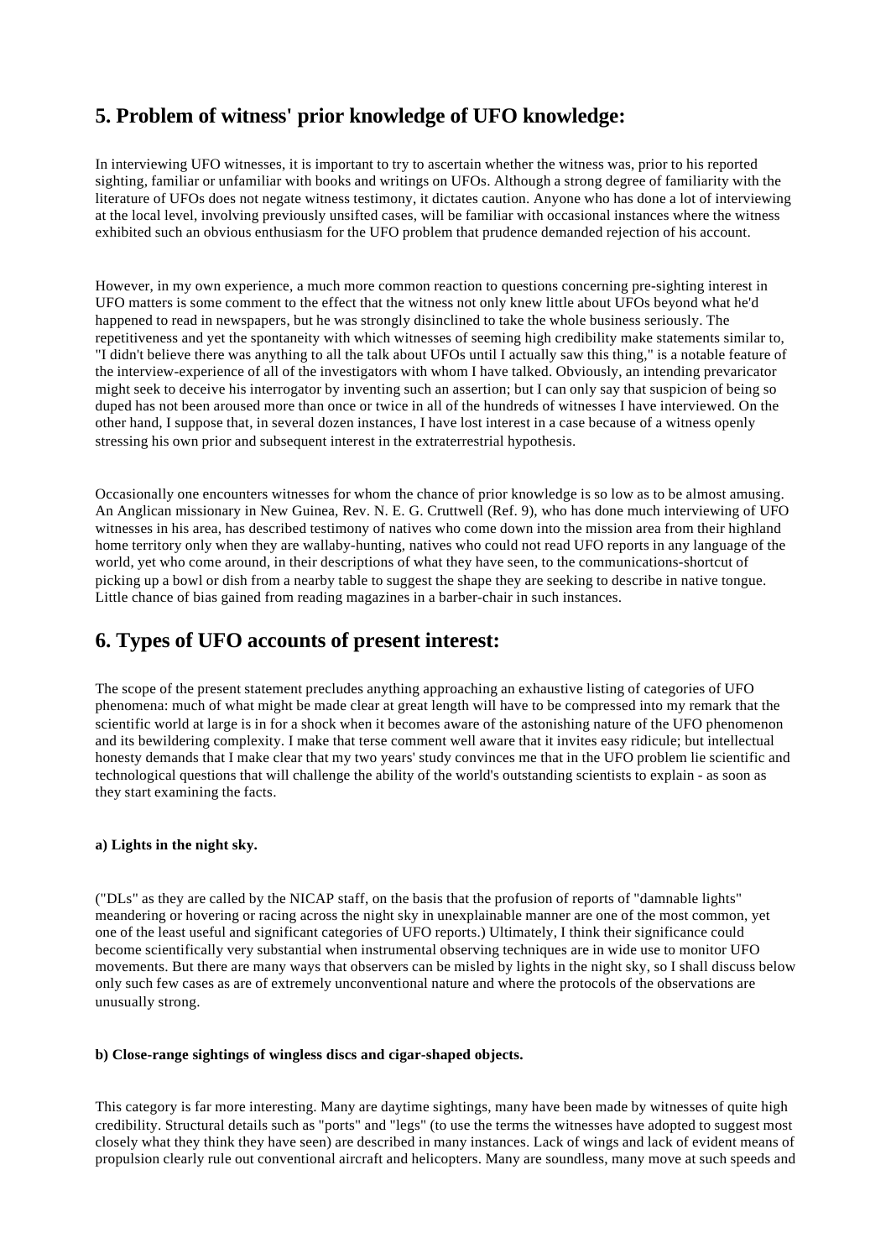# **5. Problem of witness' prior knowledge of UFO knowledge:**

In interviewing UFO witnesses, it is important to try to ascertain whether the witness was, prior to his reported sighting, familiar or unfamiliar with books and writings on UFOs. Although a strong degree of familiarity with the literature of UFOs does not negate witness testimony, it dictates caution. Anyone who has done a lot of interviewing at the local level, involving previously unsifted cases, will be familiar with occasional instances where the witness exhibited such an obvious enthusiasm for the UFO problem that prudence demanded rejection of his account.

However, in my own experience, a much more common reaction to questions concerning pre-sighting interest in UFO matters is some comment to the effect that the witness not only knew little about UFOs beyond what he'd happened to read in newspapers, but he was strongly disinclined to take the whole business seriously. The repetitiveness and yet the spontaneity with which witnesses of seeming high credibility make statements similar to, "I didn't believe there was anything to all the talk about UFOs until I actually saw this thing," is a notable feature of the interview-experience of all of the investigators with whom I have talked. Obviously, an intending prevaricator might seek to deceive his interrogator by inventing such an assertion; but I can only say that suspicion of being so duped has not been aroused more than once or twice in all of the hundreds of witnesses I have interviewed. On the other hand, I suppose that, in several dozen instances, I have lost interest in a case because of a witness openly stressing his own prior and subsequent interest in the extraterrestrial hypothesis.

Occasionally one encounters witnesses for whom the chance of prior knowledge is so low as to be almost amusing. An Anglican missionary in New Guinea, Rev. N. E. G. Cruttwell (Ref. 9), who has done much interviewing of UFO witnesses in his area, has described testimony of natives who come down into the mission area from their highland home territory only when they are wallaby-hunting, natives who could not read UFO reports in any language of the world, yet who come around, in their descriptions of what they have seen, to the communications-shortcut of picking up a bowl or dish from a nearby table to suggest the shape they are seeking to describe in native tongue. Little chance of bias gained from reading magazines in a barber-chair in such instances.

# **6. Types of UFO accounts of present interest:**

The scope of the present statement precludes anything approaching an exhaustive listing of categories of UFO phenomena: much of what might be made clear at great length will have to be compressed into my remark that the scientific world at large is in for a shock when it becomes aware of the astonishing nature of the UFO phenomenon and its bewildering complexity. I make that terse comment well aware that it invites easy ridicule; but intellectual honesty demands that I make clear that my two years' study convinces me that in the UFO problem lie scientific and technological questions that will challenge the ability of the world's outstanding scientists to explain - as soon as they start examining the facts.

#### **a) Lights in the night sky.**

("DLs" as they are called by the NICAP staff, on the basis that the profusion of reports of "damnable lights" meandering or hovering or racing across the night sky in unexplainable manner are one of the most common, yet one of the least useful and significant categories of UFO reports.) Ultimately, I think their significance could become scientifically very substantial when instrumental observing techniques are in wide use to monitor UFO movements. But there are many ways that observers can be misled by lights in the night sky, so I shall discuss below only such few cases as are of extremely unconventional nature and where the protocols of the observations are unusually strong.

#### **b) Close-range sightings of wingless discs and cigar-shaped objects.**

This category is far more interesting. Many are daytime sightings, many have been made by witnesses of quite high credibility. Structural details such as "ports" and "legs" (to use the terms the witnesses have adopted to suggest most closely what they think they have seen) are described in many instances. Lack of wings and lack of evident means of propulsion clearly rule out conventional aircraft and helicopters. Many are soundless, many move at such speeds and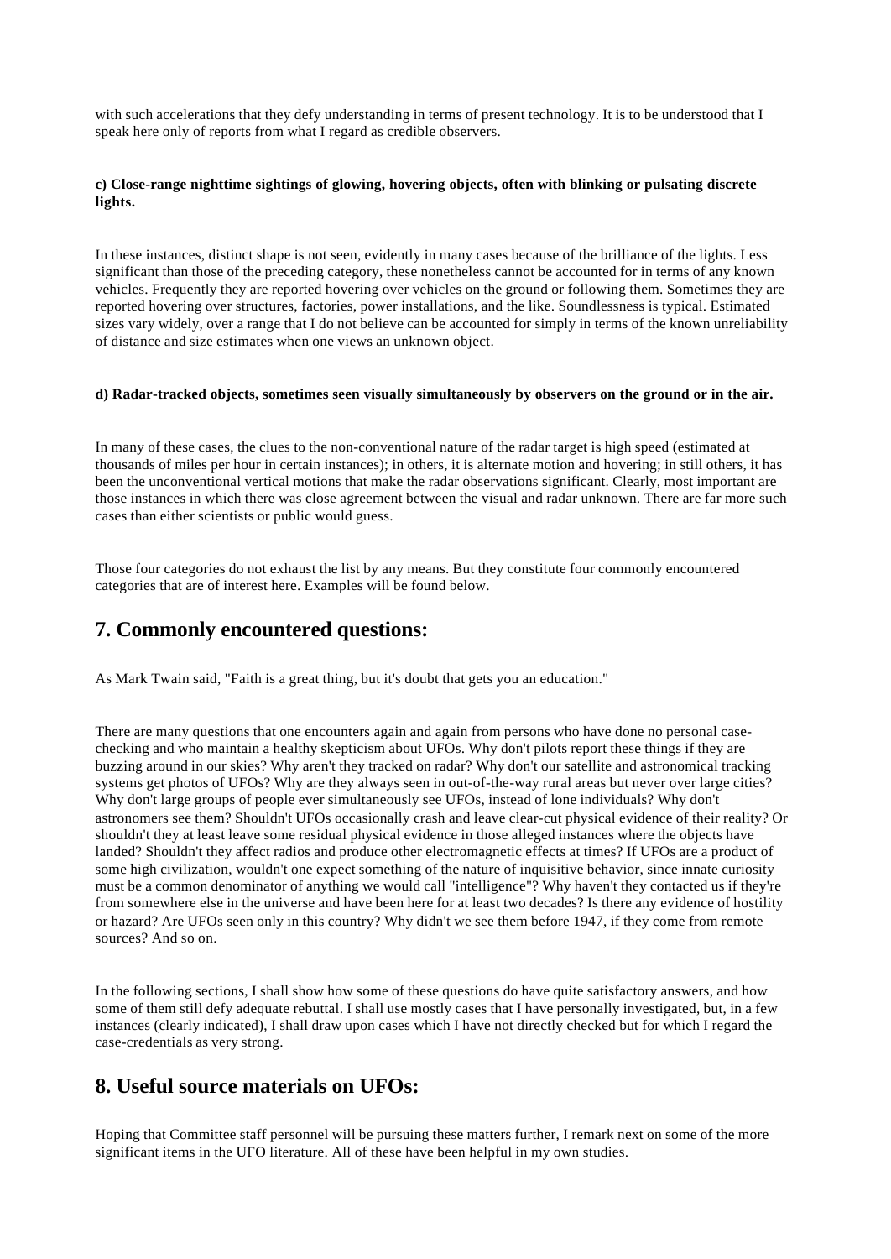with such accelerations that they defy understanding in terms of present technology. It is to be understood that I speak here only of reports from what I regard as credible observers.

#### **c) Close-range nighttime sightings of glowing, hovering objects, often with blinking or pulsating discrete lights.**

In these instances, distinct shape is not seen, evidently in many cases because of the brilliance of the lights. Less significant than those of the preceding category, these nonetheless cannot be accounted for in terms of any known vehicles. Frequently they are reported hovering over vehicles on the ground or following them. Sometimes they are reported hovering over structures, factories, power installations, and the like. Soundlessness is typical. Estimated sizes vary widely, over a range that I do not believe can be accounted for simply in terms of the known unreliability of distance and size estimates when one views an unknown object.

#### **d) Radar-tracked objects, sometimes seen visually simultaneously by observers on the ground or in the air.**

In many of these cases, the clues to the non-conventional nature of the radar target is high speed (estimated at thousands of miles per hour in certain instances); in others, it is alternate motion and hovering; in still others, it has been the unconventional vertical motions that make the radar observations significant. Clearly, most important are those instances in which there was close agreement between the visual and radar unknown. There are far more such cases than either scientists or public would guess.

Those four categories do not exhaust the list by any means. But they constitute four commonly encountered categories that are of interest here. Examples will be found below.

### **7. Commonly encountered questions:**

As Mark Twain said, "Faith is a great thing, but it's doubt that gets you an education."

There are many questions that one encounters again and again from persons who have done no personal casechecking and who maintain a healthy skepticism about UFOs. Why don't pilots report these things if they are buzzing around in our skies? Why aren't they tracked on radar? Why don't our satellite and astronomical tracking systems get photos of UFOs? Why are they always seen in out-of-the-way rural areas but never over large cities? Why don't large groups of people ever simultaneously see UFOs, instead of lone individuals? Why don't astronomers see them? Shouldn't UFOs occasionally crash and leave clear-cut physical evidence of their reality? Or shouldn't they at least leave some residual physical evidence in those alleged instances where the objects have landed? Shouldn't they affect radios and produce other electromagnetic effects at times? If UFOs are a product of some high civilization, wouldn't one expect something of the nature of inquisitive behavior, since innate curiosity must be a common denominator of anything we would call "intelligence"? Why haven't they contacted us if they're from somewhere else in the universe and have been here for at least two decades? Is there any evidence of hostility or hazard? Are UFOs seen only in this country? Why didn't we see them before 1947, if they come from remote sources? And so on.

In the following sections, I shall show how some of these questions do have quite satisfactory answers, and how some of them still defy adequate rebuttal. I shall use mostly cases that I have personally investigated, but, in a few instances (clearly indicated), I shall draw upon cases which I have not directly checked but for which I regard the case-credentials as very strong.

### **8. Useful source materials on UFOs:**

Hoping that Committee staff personnel will be pursuing these matters further, I remark next on some of the more significant items in the UFO literature. All of these have been helpful in my own studies.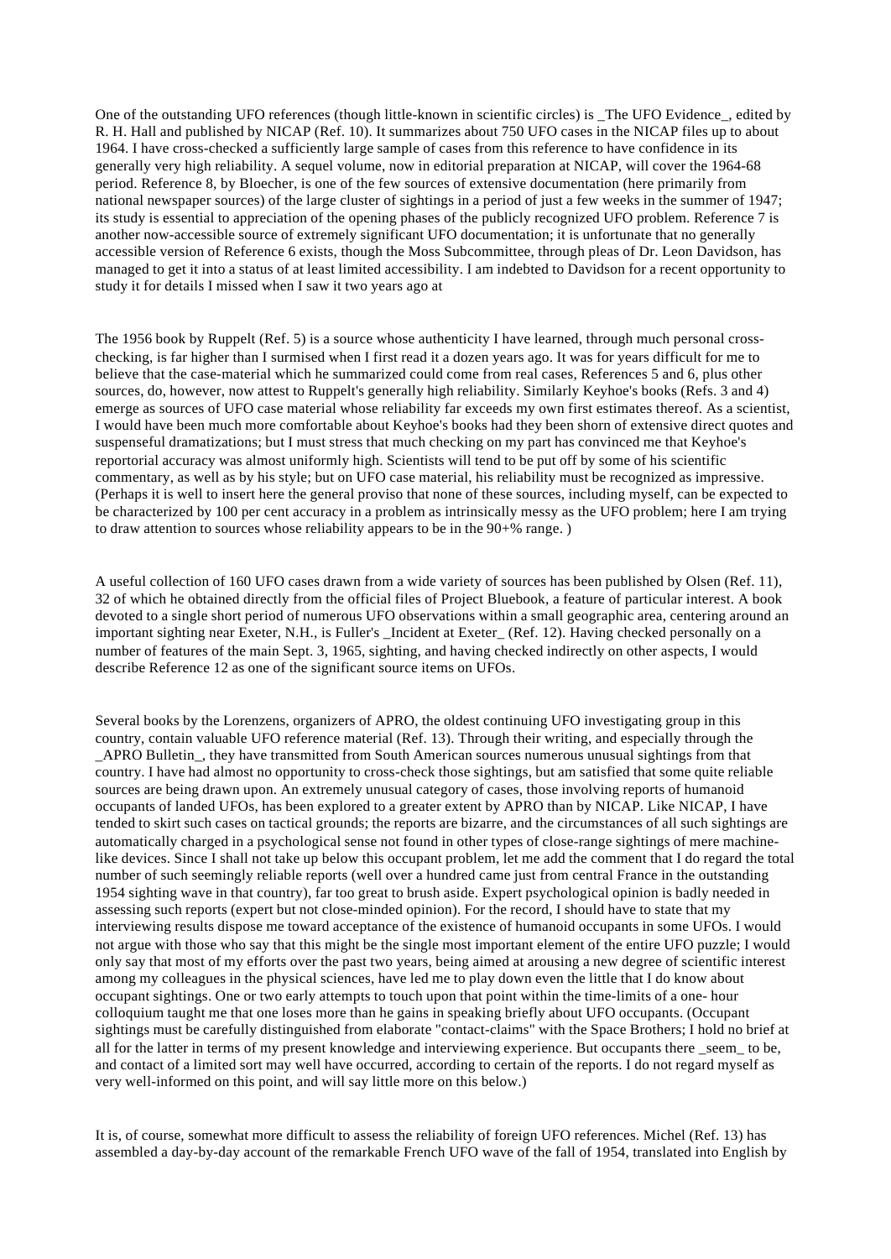One of the outstanding UFO references (though little-known in scientific circles) is \_The UFO Evidence\_, edited by R. H. Hall and published by NICAP (Ref. 10). It summarizes about 750 UFO cases in the NICAP files up to about 1964. I have cross-checked a sufficiently large sample of cases from this reference to have confidence in its generally very high reliability. A sequel volume, now in editorial preparation at NICAP, will cover the 1964-68 period. Reference 8, by Bloecher, is one of the few sources of extensive documentation (here primarily from national newspaper sources) of the large cluster of sightings in a period of just a few weeks in the summer of 1947; its study is essential to appreciation of the opening phases of the publicly recognized UFO problem. Reference 7 is another now-accessible source of extremely significant UFO documentation; it is unfortunate that no generally accessible version of Reference 6 exists, though the Moss Subcommittee, through pleas of Dr. Leon Davidson, has managed to get it into a status of at least limited accessibility. I am indebted to Davidson for a recent opportunity to study it for details I missed when I saw it two years ago at

The 1956 book by Ruppelt (Ref. 5) is a source whose authenticity I have learned, through much personal crosschecking, is far higher than I surmised when I first read it a dozen years ago. It was for years difficult for me to believe that the case-material which he summarized could come from real cases, References 5 and 6, plus other sources, do, however, now attest to Ruppelt's generally high reliability. Similarly Keyhoe's books (Refs. 3 and 4) emerge as sources of UFO case material whose reliability far exceeds my own first estimates thereof. As a scientist, I would have been much more comfortable about Keyhoe's books had they been shorn of extensive direct quotes and suspenseful dramatizations; but I must stress that much checking on my part has convinced me that Keyhoe's reportorial accuracy was almost uniformly high. Scientists will tend to be put off by some of his scientific commentary, as well as by his style; but on UFO case material, his reliability must be recognized as impressive. (Perhaps it is well to insert here the general proviso that none of these sources, including myself, can be expected to be characterized by 100 per cent accuracy in a problem as intrinsically messy as the UFO problem; here I am trying to draw attention to sources whose reliability appears to be in the  $90+%$  range.)

A useful collection of 160 UFO cases drawn from a wide variety of sources has been published by Olsen (Ref. 11), 32 of which he obtained directly from the official files of Project Bluebook, a feature of particular interest. A book devoted to a single short period of numerous UFO observations within a small geographic area, centering around an important sighting near Exeter, N.H., is Fuller's Incident at Exeter (Ref. 12). Having checked personally on a number of features of the main Sept. 3, 1965, sighting, and having checked indirectly on other aspects, I would describe Reference 12 as one of the significant source items on UFOs.

Several books by the Lorenzens, organizers of APRO, the oldest continuing UFO investigating group in this country, contain valuable UFO reference material (Ref. 13). Through their writing, and especially through the \_APRO Bulletin\_, they have transmitted from South American sources numerous unusual sightings from that country. I have had almost no opportunity to cross-check those sightings, but am satisfied that some quite reliable sources are being drawn upon. An extremely unusual category of cases, those involving reports of humanoid occupants of landed UFOs, has been explored to a greater extent by APRO than by NICAP. Like NICAP, I have tended to skirt such cases on tactical grounds; the reports are bizarre, and the circumstances of all such sightings are automatically charged in a psychological sense not found in other types of close-range sightings of mere machinelike devices. Since I shall not take up below this occupant problem, let me add the comment that I do regard the total number of such seemingly reliable reports (well over a hundred came just from central France in the outstanding 1954 sighting wave in that country), far too great to brush aside. Expert psychological opinion is badly needed in assessing such reports (expert but not close-minded opinion). For the record, I should have to state that my interviewing results dispose me toward acceptance of the existence of humanoid occupants in some UFOs. I would not argue with those who say that this might be the single most important element of the entire UFO puzzle; I would only say that most of my efforts over the past two years, being aimed at arousing a new degree of scientific interest among my colleagues in the physical sciences, have led me to play down even the little that I do know about occupant sightings. One or two early attempts to touch upon that point within the time-limits of a one- hour colloquium taught me that one loses more than he gains in speaking briefly about UFO occupants. (Occupant sightings must be carefully distinguished from elaborate "contact-claims" with the Space Brothers; I hold no brief at all for the latter in terms of my present knowledge and interviewing experience. But occupants there \_seem\_ to be, and contact of a limited sort may well have occurred, according to certain of the reports. I do not regard myself as very well-informed on this point, and will say little more on this below.)

It is, of course, somewhat more difficult to assess the reliability of foreign UFO references. Michel (Ref. 13) has assembled a day-by-day account of the remarkable French UFO wave of the fall of 1954, translated into English by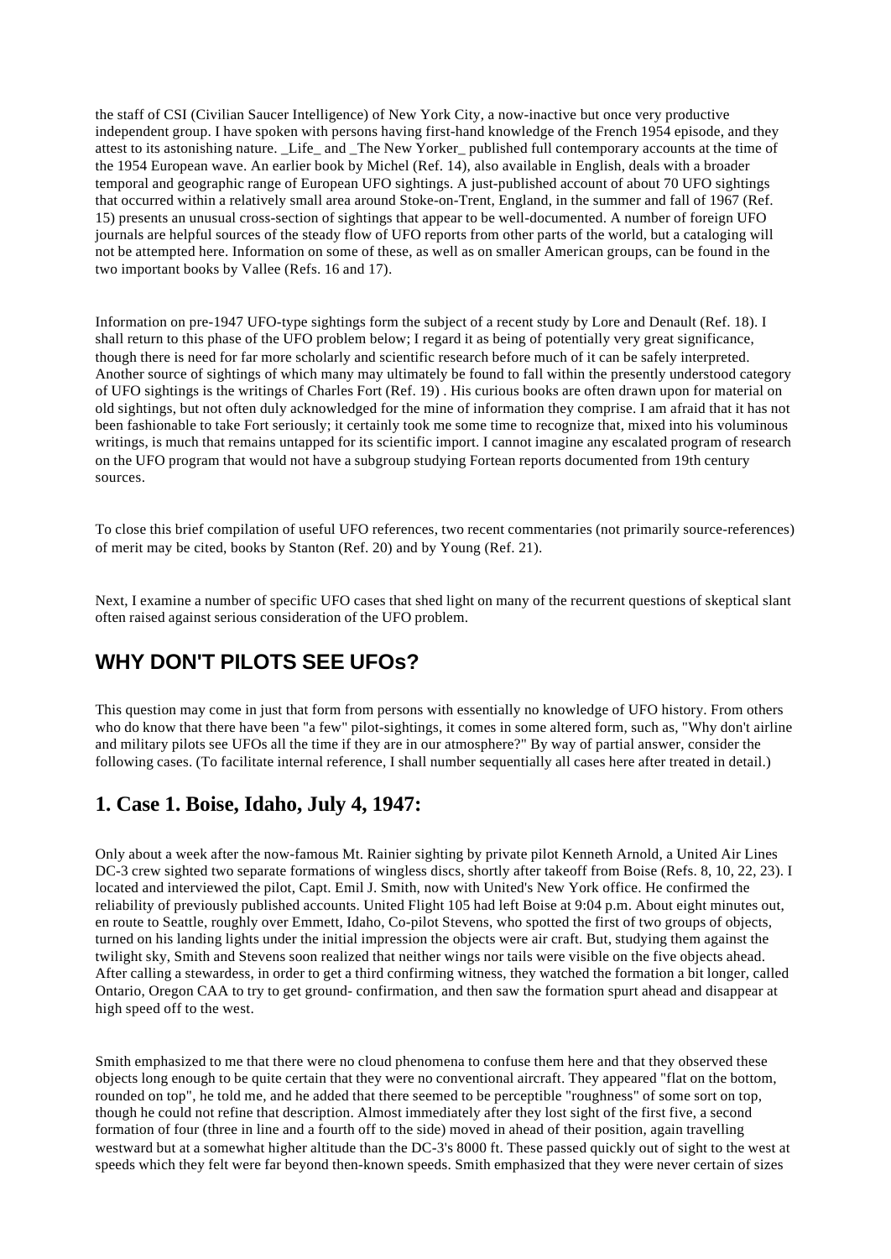the staff of CSI (Civilian Saucer Intelligence) of New York City, a now-inactive but once very productive independent group. I have spoken with persons having first-hand knowledge of the French 1954 episode, and they attest to its astonishing nature. \_Life\_ and \_The New Yorker\_ published full contemporary accounts at the time of the 1954 European wave. An earlier book by Michel (Ref. 14), also available in English, deals with a broader temporal and geographic range of European UFO sightings. A just-published account of about 70 UFO sightings that occurred within a relatively small area around Stoke-on-Trent, England, in the summer and fall of 1967 (Ref. 15) presents an unusual cross-section of sightings that appear to be well-documented. A number of foreign UFO journals are helpful sources of the steady flow of UFO reports from other parts of the world, but a cataloging will not be attempted here. Information on some of these, as well as on smaller American groups, can be found in the two important books by Vallee (Refs. 16 and 17).

Information on pre-1947 UFO-type sightings form the subject of a recent study by Lore and Denault (Ref. 18). I shall return to this phase of the UFO problem below; I regard it as being of potentially very great significance, though there is need for far more scholarly and scientific research before much of it can be safely interpreted. Another source of sightings of which many may ultimately be found to fall within the presently understood category of UFO sightings is the writings of Charles Fort (Ref. 19) . His curious books are often drawn upon for material on old sightings, but not often duly acknowledged for the mine of information they comprise. I am afraid that it has not been fashionable to take Fort seriously; it certainly took me some time to recognize that, mixed into his voluminous writings, is much that remains untapped for its scientific import. I cannot imagine any escalated program of research on the UFO program that would not have a subgroup studying Fortean reports documented from 19th century sources.

To close this brief compilation of useful UFO references, two recent commentaries (not primarily source-references) of merit may be cited, books by Stanton (Ref. 20) and by Young (Ref. 21).

Next, I examine a number of specific UFO cases that shed light on many of the recurrent questions of skeptical slant often raised against serious consideration of the UFO problem.

# **WHY DON'T PILOTS SEE UFOs?**

This question may come in just that form from persons with essentially no knowledge of UFO history. From others who do know that there have been "a few" pilot-sightings, it comes in some altered form, such as, "Why don't airline and military pilots see UFOs all the time if they are in our atmosphere?" By way of partial answer, consider the following cases. (To facilitate internal reference, I shall number sequentially all cases here after treated in detail.)

### **1. Case 1. Boise, Idaho, July 4, 1947:**

Only about a week after the now-famous Mt. Rainier sighting by private pilot Kenneth Arnold, a United Air Lines DC-3 crew sighted two separate formations of wingless discs, shortly after takeoff from Boise (Refs. 8, 10, 22, 23). I located and interviewed the pilot, Capt. Emil J. Smith, now with United's New York office. He confirmed the reliability of previously published accounts. United Flight 105 had left Boise at 9:04 p.m. About eight minutes out, en route to Seattle, roughly over Emmett, Idaho, Co-pilot Stevens, who spotted the first of two groups of objects, turned on his landing lights under the initial impression the objects were air craft. But, studying them against the twilight sky, Smith and Stevens soon realized that neither wings nor tails were visible on the five objects ahead. After calling a stewardess, in order to get a third confirming witness, they watched the formation a bit longer, called Ontario, Oregon CAA to try to get ground- confirmation, and then saw the formation spurt ahead and disappear at high speed off to the west.

Smith emphasized to me that there were no cloud phenomena to confuse them here and that they observed these objects long enough to be quite certain that they were no conventional aircraft. They appeared "flat on the bottom, rounded on top", he told me, and he added that there seemed to be perceptible "roughness" of some sort on top, though he could not refine that description. Almost immediately after they lost sight of the first five, a second formation of four (three in line and a fourth off to the side) moved in ahead of their position, again travelling westward but at a somewhat higher altitude than the DC-3's 8000 ft. These passed quickly out of sight to the west at speeds which they felt were far beyond then-known speeds. Smith emphasized that they were never certain of sizes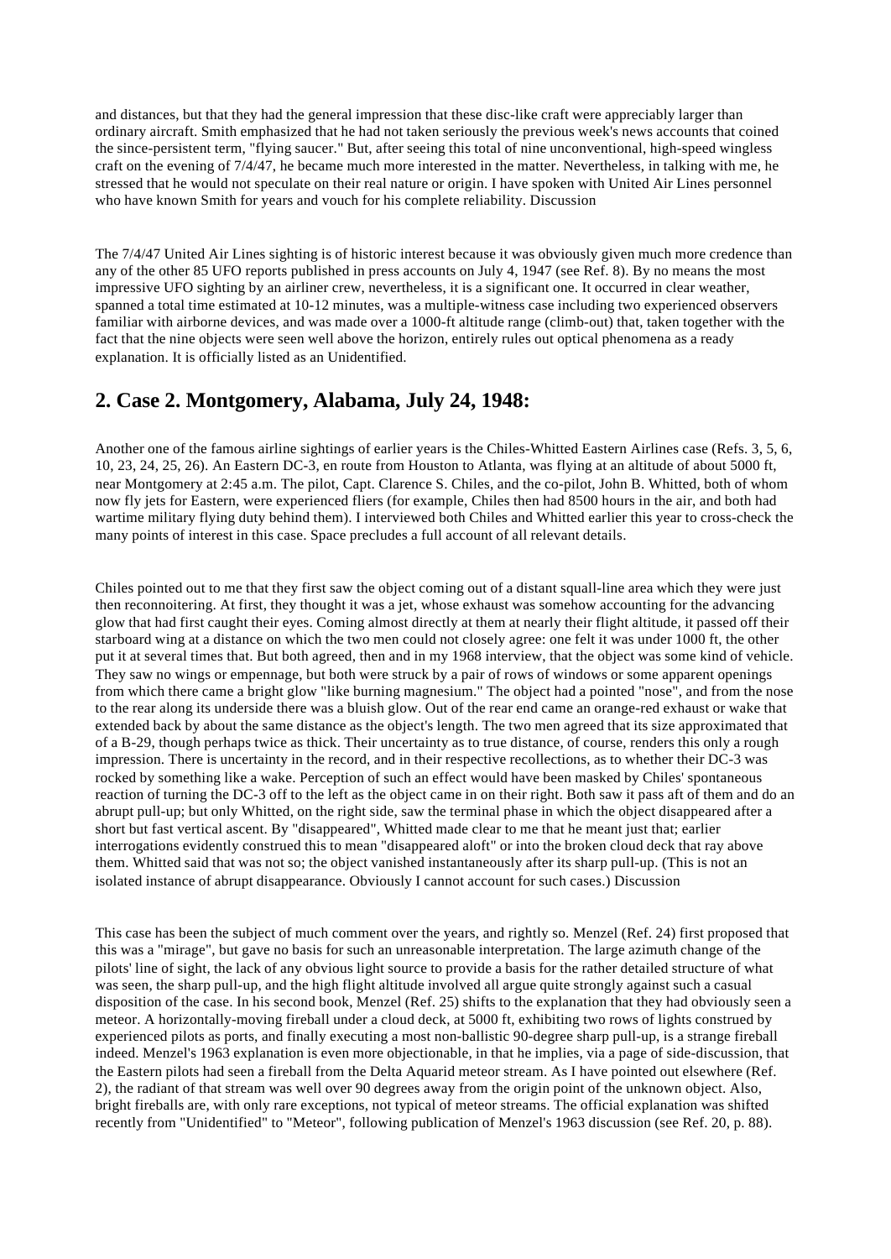and distances, but that they had the general impression that these disc-like craft were appreciably larger than ordinary aircraft. Smith emphasized that he had not taken seriously the previous week's news accounts that coined the since-persistent term, "flying saucer." But, after seeing this total of nine unconventional, high-speed wingless craft on the evening of 7/4/47, he became much more interested in the matter. Nevertheless, in talking with me, he stressed that he would not speculate on their real nature or origin. I have spoken with United Air Lines personnel who have known Smith for years and vouch for his complete reliability. Discussion

The 7/4/47 United Air Lines sighting is of historic interest because it was obviously given much more credence than any of the other 85 UFO reports published in press accounts on July 4, 1947 (see Ref. 8). By no means the most impressive UFO sighting by an airliner crew, nevertheless, it is a significant one. It occurred in clear weather, spanned a total time estimated at 10-12 minutes, was a multiple-witness case including two experienced observers familiar with airborne devices, and was made over a 1000-ft altitude range (climb-out) that, taken together with the fact that the nine objects were seen well above the horizon, entirely rules out optical phenomena as a ready explanation. It is officially listed as an Unidentified.

#### **2. Case 2. Montgomery, Alabama, July 24, 1948:**

Another one of the famous airline sightings of earlier years is the Chiles-Whitted Eastern Airlines case (Refs. 3, 5, 6, 10, 23, 24, 25, 26). An Eastern DC-3, en route from Houston to Atlanta, was flying at an altitude of about 5000 ft, near Montgomery at 2:45 a.m. The pilot, Capt. Clarence S. Chiles, and the co-pilot, John B. Whitted, both of whom now fly jets for Eastern, were experienced fliers (for example, Chiles then had 8500 hours in the air, and both had wartime military flying duty behind them). I interviewed both Chiles and Whitted earlier this year to cross-check the many points of interest in this case. Space precludes a full account of all relevant details.

Chiles pointed out to me that they first saw the object coming out of a distant squall-line area which they were just then reconnoitering. At first, they thought it was a jet, whose exhaust was somehow accounting for the advancing glow that had first caught their eyes. Coming almost directly at them at nearly their flight altitude, it passed off their starboard wing at a distance on which the two men could not closely agree: one felt it was under 1000 ft, the other put it at several times that. But both agreed, then and in my 1968 interview, that the object was some kind of vehicle. They saw no wings or empennage, but both were struck by a pair of rows of windows or some apparent openings from which there came a bright glow "like burning magnesium." The object had a pointed "nose", and from the nose to the rear along its underside there was a bluish glow. Out of the rear end came an orange-red exhaust or wake that extended back by about the same distance as the object's length. The two men agreed that its size approximated that of a B-29, though perhaps twice as thick. Their uncertainty as to true distance, of course, renders this only a rough impression. There is uncertainty in the record, and in their respective recollections, as to whether their DC-3 was rocked by something like a wake. Perception of such an effect would have been masked by Chiles' spontaneous reaction of turning the DC-3 off to the left as the object came in on their right. Both saw it pass aft of them and do an abrupt pull-up; but only Whitted, on the right side, saw the terminal phase in which the object disappeared after a short but fast vertical ascent. By "disappeared", Whitted made clear to me that he meant just that; earlier interrogations evidently construed this to mean "disappeared aloft" or into the broken cloud deck that ray above them. Whitted said that was not so; the object vanished instantaneously after its sharp pull-up. (This is not an isolated instance of abrupt disappearance. Obviously I cannot account for such cases.) Discussion

This case has been the subject of much comment over the years, and rightly so. Menzel (Ref. 24) first proposed that this was a "mirage", but gave no basis for such an unreasonable interpretation. The large azimuth change of the pilots' line of sight, the lack of any obvious light source to provide a basis for the rather detailed structure of what was seen, the sharp pull-up, and the high flight altitude involved all argue quite strongly against such a casual disposition of the case. In his second book, Menzel (Ref. 25) shifts to the explanation that they had obviously seen a meteor. A horizontally-moving fireball under a cloud deck, at 5000 ft, exhibiting two rows of lights construed by experienced pilots as ports, and finally executing a most non-ballistic 90-degree sharp pull-up, is a strange fireball indeed. Menzel's 1963 explanation is even more objectionable, in that he implies, via a page of side-discussion, that the Eastern pilots had seen a fireball from the Delta Aquarid meteor stream. As I have pointed out elsewhere (Ref. 2), the radiant of that stream was well over 90 degrees away from the origin point of the unknown object. Also, bright fireballs are, with only rare exceptions, not typical of meteor streams. The official explanation was shifted recently from "Unidentified" to "Meteor", following publication of Menzel's 1963 discussion (see Ref. 20, p. 88).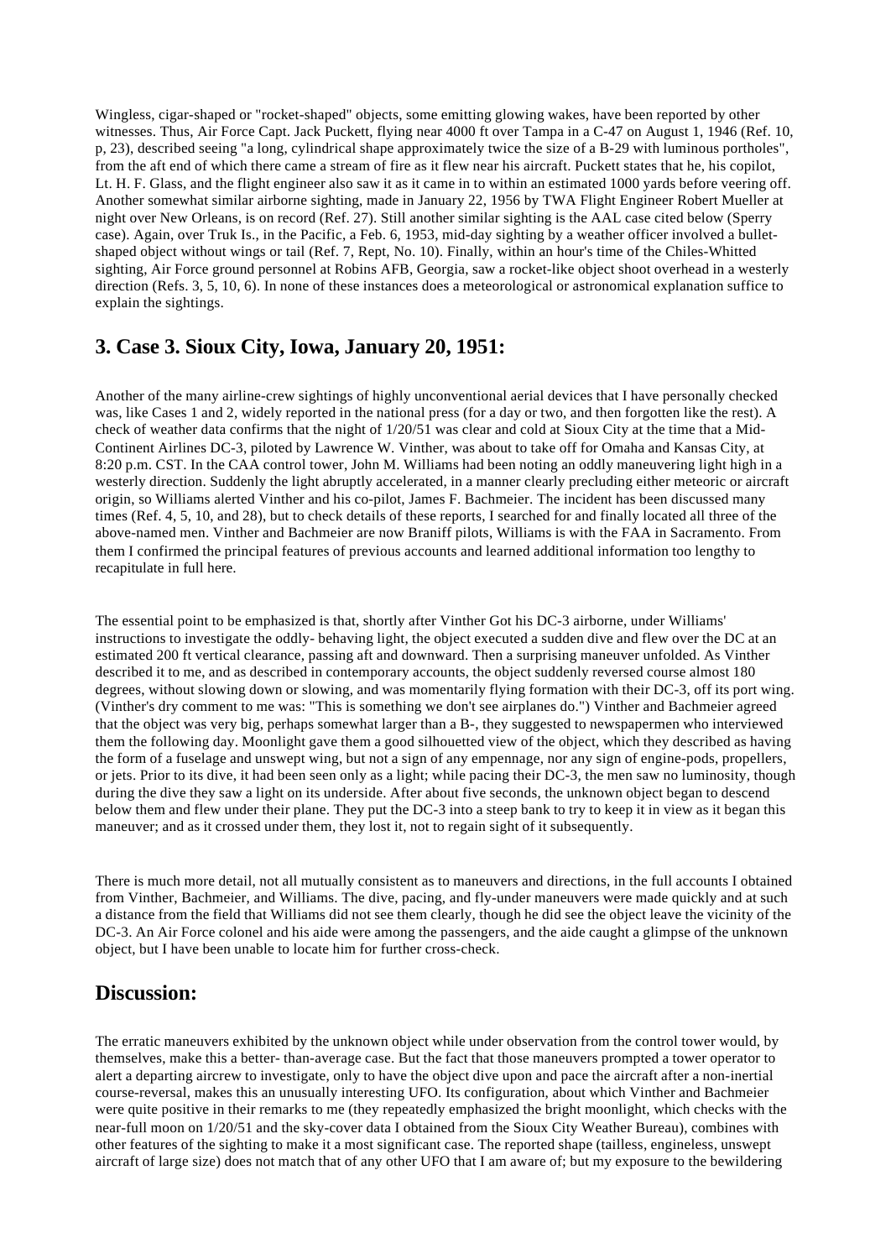Wingless, cigar-shaped or "rocket-shaped" objects, some emitting glowing wakes, have been reported by other witnesses. Thus, Air Force Capt. Jack Puckett, flying near 4000 ft over Tampa in a C-47 on August 1, 1946 (Ref. 10, p, 23), described seeing "a long, cylindrical shape approximately twice the size of a B-29 with luminous portholes", from the aft end of which there came a stream of fire as it flew near his aircraft. Puckett states that he, his copilot, Lt. H. F. Glass, and the flight engineer also saw it as it came in to within an estimated 1000 yards before veering off. Another somewhat similar airborne sighting, made in January 22, 1956 by TWA Flight Engineer Robert Mueller at night over New Orleans, is on record (Ref. 27). Still another similar sighting is the AAL case cited below (Sperry case). Again, over Truk Is., in the Pacific, a Feb. 6, 1953, mid-day sighting by a weather officer involved a bulletshaped object without wings or tail (Ref. 7, Rept, No. 10). Finally, within an hour's time of the Chiles-Whitted sighting, Air Force ground personnel at Robins AFB, Georgia, saw a rocket-like object shoot overhead in a westerly direction (Refs. 3, 5, 10, 6). In none of these instances does a meteorological or astronomical explanation suffice to explain the sightings.

#### **3. Case 3. Sioux City, Iowa, January 20, 1951:**

Another of the many airline-crew sightings of highly unconventional aerial devices that I have personally checked was, like Cases 1 and 2, widely reported in the national press (for a day or two, and then forgotten like the rest). A check of weather data confirms that the night of 1/20/51 was clear and cold at Sioux City at the time that a Mid-Continent Airlines DC-3, piloted by Lawrence W. Vinther, was about to take off for Omaha and Kansas City, at 8:20 p.m. CST. In the CAA control tower, John M. Williams had been noting an oddly maneuvering light high in a westerly direction. Suddenly the light abruptly accelerated, in a manner clearly precluding either meteoric or aircraft origin, so Williams alerted Vinther and his co-pilot, James F. Bachmeier. The incident has been discussed many times (Ref. 4, 5, 10, and 28), but to check details of these reports, I searched for and finally located all three of the above-named men. Vinther and Bachmeier are now Braniff pilots, Williams is with the FAA in Sacramento. From them I confirmed the principal features of previous accounts and learned additional information too lengthy to recapitulate in full here.

The essential point to be emphasized is that, shortly after Vinther Got his DC-3 airborne, under Williams' instructions to investigate the oddly- behaving light, the object executed a sudden dive and flew over the DC at an estimated 200 ft vertical clearance, passing aft and downward. Then a surprising maneuver unfolded. As Vinther described it to me, and as described in contemporary accounts, the object suddenly reversed course almost 180 degrees, without slowing down or slowing, and was momentarily flying formation with their DC-3, off its port wing. (Vinther's dry comment to me was: "This is something we don't see airplanes do.") Vinther and Bachmeier agreed that the object was very big, perhaps somewhat larger than a B-, they suggested to newspapermen who interviewed them the following day. Moonlight gave them a good silhouetted view of the object, which they described as having the form of a fuselage and unswept wing, but not a sign of any empennage, nor any sign of engine-pods, propellers, or jets. Prior to its dive, it had been seen only as a light; while pacing their DC-3, the men saw no luminosity, though during the dive they saw a light on its underside. After about five seconds, the unknown object began to descend below them and flew under their plane. They put the DC-3 into a steep bank to try to keep it in view as it began this maneuver; and as it crossed under them, they lost it, not to regain sight of it subsequently.

There is much more detail, not all mutually consistent as to maneuvers and directions, in the full accounts I obtained from Vinther, Bachmeier, and Williams. The dive, pacing, and fly-under maneuvers were made quickly and at such a distance from the field that Williams did not see them clearly, though he did see the object leave the vicinity of the DC-3. An Air Force colonel and his aide were among the passengers, and the aide caught a glimpse of the unknown object, but I have been unable to locate him for further cross-check.

### **Discussion:**

The erratic maneuvers exhibited by the unknown object while under observation from the control tower would, by themselves, make this a better- than-average case. But the fact that those maneuvers prompted a tower operator to alert a departing aircrew to investigate, only to have the object dive upon and pace the aircraft after a non-inertial course-reversal, makes this an unusually interesting UFO. Its configuration, about which Vinther and Bachmeier were quite positive in their remarks to me (they repeatedly emphasized the bright moonlight, which checks with the near-full moon on 1/20/51 and the sky-cover data I obtained from the Sioux City Weather Bureau), combines with other features of the sighting to make it a most significant case. The reported shape (tailless, engineless, unswept aircraft of large size) does not match that of any other UFO that I am aware of; but my exposure to the bewildering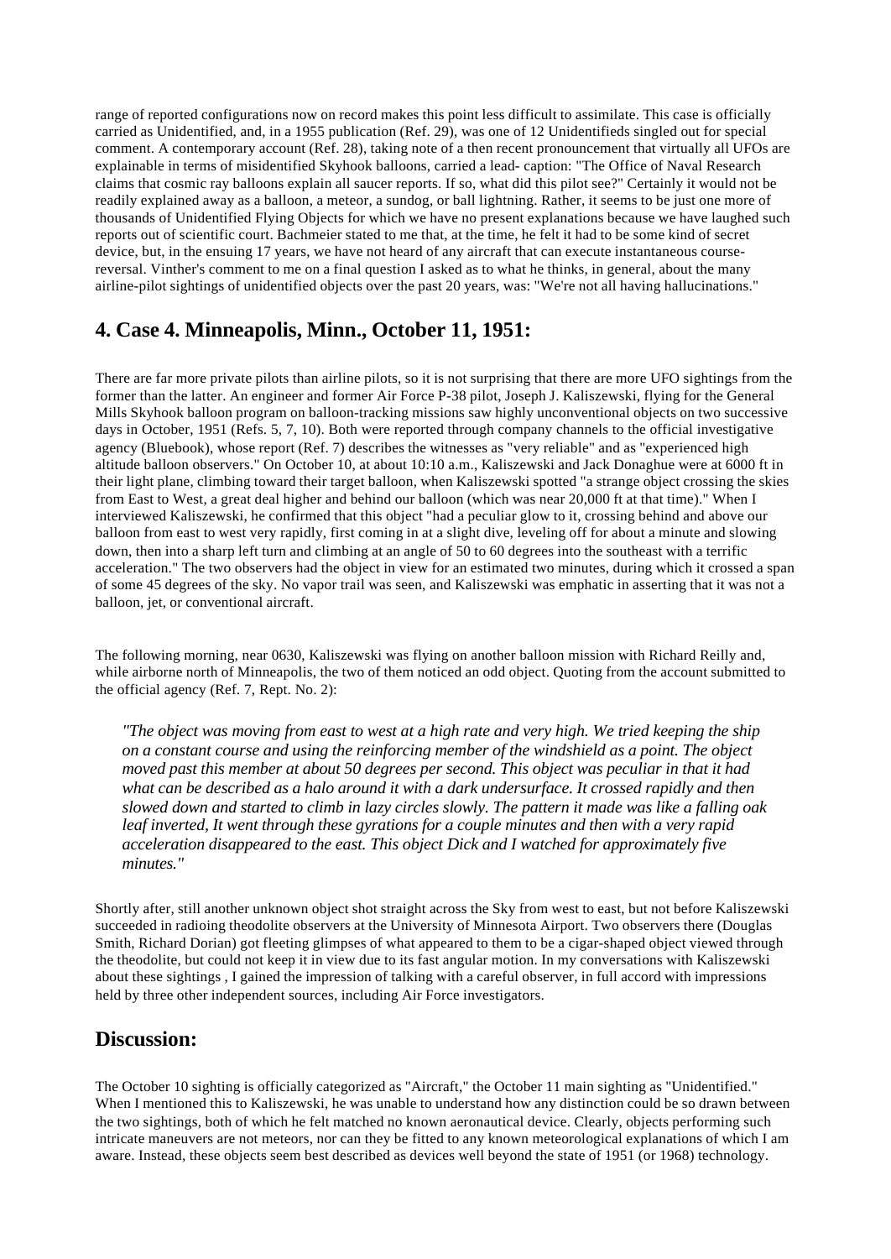range of reported configurations now on record makes this point less difficult to assimilate. This case is officially carried as Unidentified, and, in a 1955 publication (Ref. 29), was one of 12 Unidentifieds singled out for special comment. A contemporary account (Ref. 28), taking note of a then recent pronouncement that virtually all UFOs are explainable in terms of misidentified Skyhook balloons, carried a lead- caption: "The Office of Naval Research claims that cosmic ray balloons explain all saucer reports. If so, what did this pilot see?" Certainly it would not be readily explained away as a balloon, a meteor, a sundog, or ball lightning. Rather, it seems to be just one more of thousands of Unidentified Flying Objects for which we have no present explanations because we have laughed such reports out of scientific court. Bachmeier stated to me that, at the time, he felt it had to be some kind of secret device, but, in the ensuing 17 years, we have not heard of any aircraft that can execute instantaneous coursereversal. Vinther's comment to me on a final question I asked as to what he thinks, in general, about the many airline-pilot sightings of unidentified objects over the past 20 years, was: "We're not all having hallucinations."

# **4. Case 4. Minneapolis, Minn., October 11, 1951:**

There are far more private pilots than airline pilots, so it is not surprising that there are more UFO sightings from the former than the latter. An engineer and former Air Force P-38 pilot, Joseph J. Kaliszewski, flying for the General Mills Skyhook balloon program on balloon-tracking missions saw highly unconventional objects on two successive days in October, 1951 (Refs. 5, 7, 10). Both were reported through company channels to the official investigative agency (Bluebook), whose report (Ref. 7) describes the witnesses as "very reliable" and as "experienced high altitude balloon observers." On October 10, at about 10:10 a.m., Kaliszewski and Jack Donaghue were at 6000 ft in their light plane, climbing toward their target balloon, when Kaliszewski spotted "a strange object crossing the skies from East to West, a great deal higher and behind our balloon (which was near 20,000 ft at that time)." When I interviewed Kaliszewski, he confirmed that this object "had a peculiar glow to it, crossing behind and above our balloon from east to west very rapidly, first coming in at a slight dive, leveling off for about a minute and slowing down, then into a sharp left turn and climbing at an angle of 50 to 60 degrees into the southeast with a terrific acceleration." The two observers had the object in view for an estimated two minutes, during which it crossed a span of some 45 degrees of the sky. No vapor trail was seen, and Kaliszewski was emphatic in asserting that it was not a balloon, jet, or conventional aircraft.

The following morning, near 0630, Kaliszewski was flying on another balloon mission with Richard Reilly and, while airborne north of Minneapolis, the two of them noticed an odd object. Quoting from the account submitted to the official agency (Ref. 7, Rept. No. 2):

*"The object was moving from east to west at a high rate and very high. We tried keeping the ship on a constant course and using the reinforcing member of the windshield as a point. The object moved past this member at about 50 degrees per second. This object was peculiar in that it had what can be described as a halo around it with a dark undersurface. It crossed rapidly and then slowed down and started to climb in lazy circles slowly. The pattern it made was like a falling oak leaf inverted, It went through these gyrations for a couple minutes and then with a very rapid acceleration disappeared to the east. This object Dick and I watched for approximately five minutes."*

Shortly after, still another unknown object shot straight across the Sky from west to east, but not before Kaliszewski succeeded in radioing theodolite observers at the University of Minnesota Airport. Two observers there (Douglas Smith, Richard Dorian) got fleeting glimpses of what appeared to them to be a cigar-shaped object viewed through the theodolite, but could not keep it in view due to its fast angular motion. In my conversations with Kaliszewski about these sightings , I gained the impression of talking with a careful observer, in full accord with impressions held by three other independent sources, including Air Force investigators.

### **Discussion:**

The October 10 sighting is officially categorized as "Aircraft," the October 11 main sighting as "Unidentified." When I mentioned this to Kaliszewski, he was unable to understand how any distinction could be so drawn between the two sightings, both of which he felt matched no known aeronautical device. Clearly, objects performing such intricate maneuvers are not meteors, nor can they be fitted to any known meteorological explanations of which I am aware. Instead, these objects seem best described as devices well beyond the state of 1951 (or 1968) technology.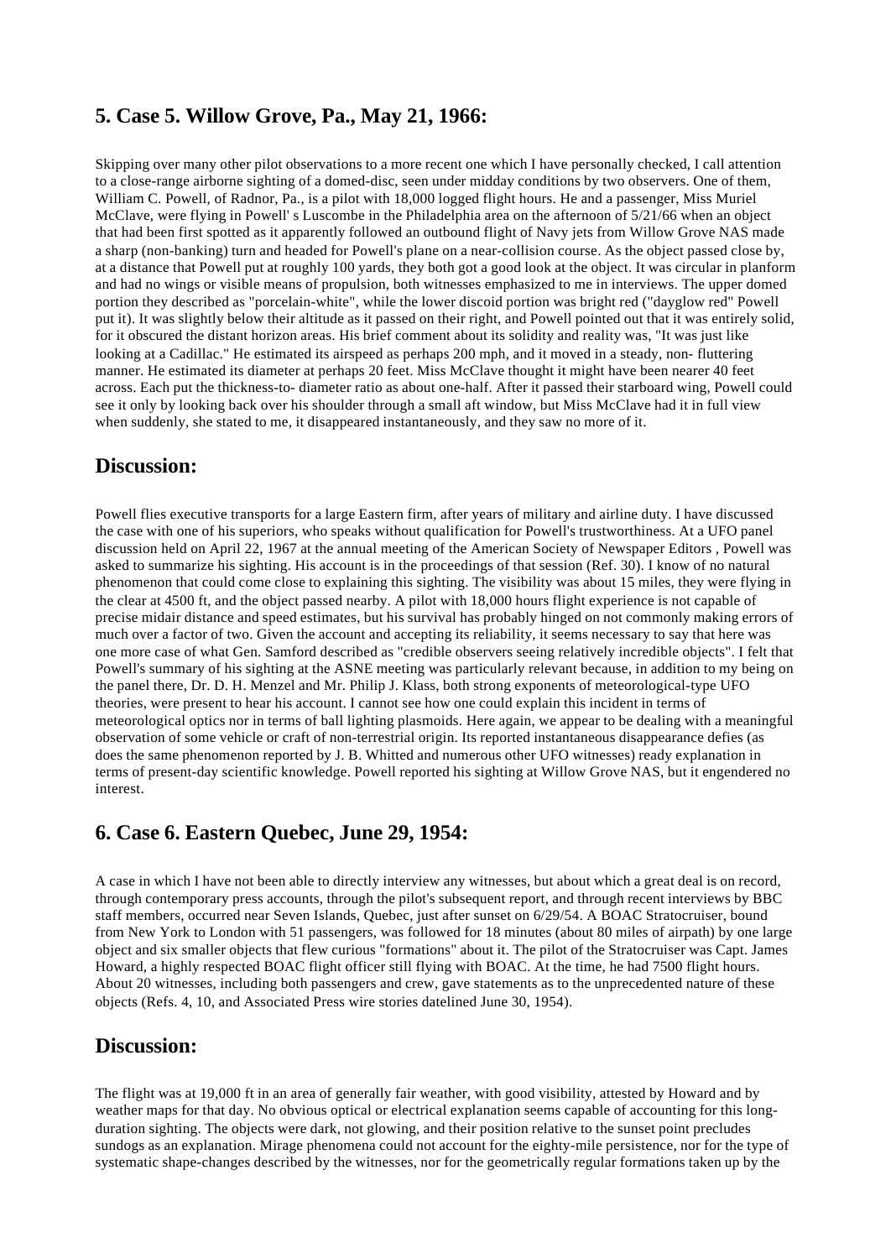# **5. Case 5. Willow Grove, Pa., May 21, 1966:**

Skipping over many other pilot observations to a more recent one which I have personally checked, I call attention to a close-range airborne sighting of a domed-disc, seen under midday conditions by two observers. One of them, William C. Powell, of Radnor, Pa., is a pilot with 18,000 logged flight hours. He and a passenger, Miss Muriel McClave, were flying in Powell' s Luscombe in the Philadelphia area on the afternoon of 5/21/66 when an object that had been first spotted as it apparently followed an outbound flight of Navy jets from Willow Grove NAS made a sharp (non-banking) turn and headed for Powell's plane on a near-collision course. As the object passed close by, at a distance that Powell put at roughly 100 yards, they both got a good look at the object. It was circular in planform and had no wings or visible means of propulsion, both witnesses emphasized to me in interviews. The upper domed portion they described as "porcelain-white", while the lower discoid portion was bright red ("dayglow red" Powell put it). It was slightly below their altitude as it passed on their right, and Powell pointed out that it was entirely solid, for it obscured the distant horizon areas. His brief comment about its solidity and reality was, "It was just like looking at a Cadillac." He estimated its airspeed as perhaps 200 mph, and it moved in a steady, non- fluttering manner. He estimated its diameter at perhaps 20 feet. Miss McClave thought it might have been nearer 40 feet across. Each put the thickness-to- diameter ratio as about one-half. After it passed their starboard wing, Powell could see it only by looking back over his shoulder through a small aft window, but Miss McClave had it in full view when suddenly, she stated to me, it disappeared instantaneously, and they saw no more of it.

#### **Discussion:**

Powell flies executive transports for a large Eastern firm, after years of military and airline duty. I have discussed the case with one of his superiors, who speaks without qualification for Powell's trustworthiness. At a UFO panel discussion held on April 22, 1967 at the annual meeting of the American Society of Newspaper Editors , Powell was asked to summarize his sighting. His account is in the proceedings of that session (Ref. 30). I know of no natural phenomenon that could come close to explaining this sighting. The visibility was about 15 miles, they were flying in the clear at 4500 ft, and the object passed nearby. A pilot with 18,000 hours flight experience is not capable of precise midair distance and speed estimates, but his survival has probably hinged on not commonly making errors of much over a factor of two. Given the account and accepting its reliability, it seems necessary to say that here was one more case of what Gen. Samford described as "credible observers seeing relatively incredible objects". I felt that Powell's summary of his sighting at the ASNE meeting was particularly relevant because, in addition to my being on the panel there, Dr. D. H. Menzel and Mr. Philip J. Klass, both strong exponents of meteorological-type UFO theories, were present to hear his account. I cannot see how one could explain this incident in terms of meteorological optics nor in terms of ball lighting plasmoids. Here again, we appear to be dealing with a meaningful observation of some vehicle or craft of non-terrestrial origin. Its reported instantaneous disappearance defies (as does the same phenomenon reported by J. B. Whitted and numerous other UFO witnesses) ready explanation in terms of present-day scientific knowledge. Powell reported his sighting at Willow Grove NAS, but it engendered no interest.

### **6. Case 6. Eastern Quebec, June 29, 1954:**

A case in which I have not been able to directly interview any witnesses, but about which a great deal is on record, through contemporary press accounts, through the pilot's subsequent report, and through recent interviews by BBC staff members, occurred near Seven Islands, Quebec, just after sunset on 6/29/54. A BOAC Stratocruiser, bound from New York to London with 51 passengers, was followed for 18 minutes (about 80 miles of airpath) by one large object and six smaller objects that flew curious "formations" about it. The pilot of the Stratocruiser was Capt. James Howard, a highly respected BOAC flight officer still flying with BOAC. At the time, he had 7500 flight hours. About 20 witnesses, including both passengers and crew, gave statements as to the unprecedented nature of these objects (Refs. 4, 10, and Associated Press wire stories datelined June 30, 1954).

#### **Discussion:**

The flight was at 19,000 ft in an area of generally fair weather, with good visibility, attested by Howard and by weather maps for that day. No obvious optical or electrical explanation seems capable of accounting for this longduration sighting. The objects were dark, not glowing, and their position relative to the sunset point precludes sundogs as an explanation. Mirage phenomena could not account for the eighty-mile persistence, nor for the type of systematic shape-changes described by the witnesses, nor for the geometrically regular formations taken up by the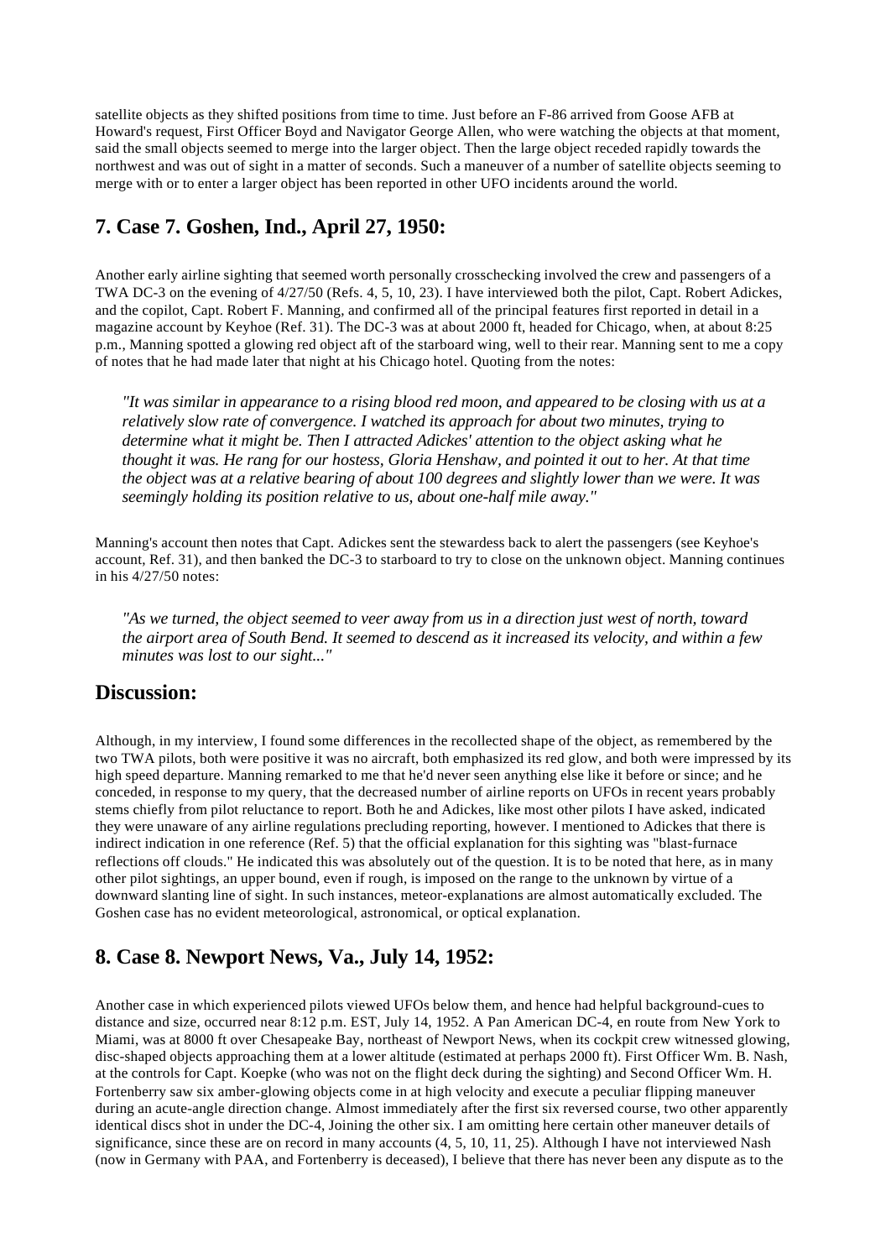satellite objects as they shifted positions from time to time. Just before an F-86 arrived from Goose AFB at Howard's request, First Officer Boyd and Navigator George Allen, who were watching the objects at that moment, said the small objects seemed to merge into the larger object. Then the large object receded rapidly towards the northwest and was out of sight in a matter of seconds. Such a maneuver of a number of satellite objects seeming to merge with or to enter a larger object has been reported in other UFO incidents around the world.

# **7. Case 7. Goshen, Ind., April 27, 1950:**

Another early airline sighting that seemed worth personally crosschecking involved the crew and passengers of a TWA DC-3 on the evening of 4/27/50 (Refs. 4, 5, 10, 23). I have interviewed both the pilot, Capt. Robert Adickes, and the copilot, Capt. Robert F. Manning, and confirmed all of the principal features first reported in detail in a magazine account by Keyhoe (Ref. 31). The DC-3 was at about 2000 ft, headed for Chicago, when, at about 8:25 p.m., Manning spotted a glowing red object aft of the starboard wing, well to their rear. Manning sent to me a copy of notes that he had made later that night at his Chicago hotel. Quoting from the notes:

*"It was similar in appearance to a rising blood red moon, and appeared to be closing with us at a relatively slow rate of convergence. I watched its approach for about two minutes, trying to determine what it might be. Then I attracted Adickes' attention to the object asking what he thought it was. He rang for our hostess, Gloria Henshaw, and pointed it out to her. At that time the object was at a relative bearing of about 100 degrees and slightly lower than we were. It was seemingly holding its position relative to us, about one-half mile away."*

Manning's account then notes that Capt. Adickes sent the stewardess back to alert the passengers (see Keyhoe's account, Ref. 31), and then banked the DC-3 to starboard to try to close on the unknown object. Manning continues in his 4/27/50 notes:

*"As we turned, the object seemed to veer away from us in a direction just west of north, toward the airport area of South Bend. It seemed to descend as it increased its velocity, and within a few minutes was lost to our sight..."*

#### **Discussion:**

Although, in my interview, I found some differences in the recollected shape of the object, as remembered by the two TWA pilots, both were positive it was no aircraft, both emphasized its red glow, and both were impressed by its high speed departure. Manning remarked to me that he'd never seen anything else like it before or since; and he conceded, in response to my query, that the decreased number of airline reports on UFOs in recent years probably stems chiefly from pilot reluctance to report. Both he and Adickes, like most other pilots I have asked, indicated they were unaware of any airline regulations precluding reporting, however. I mentioned to Adickes that there is indirect indication in one reference (Ref. 5) that the official explanation for this sighting was "blast-furnace reflections off clouds." He indicated this was absolutely out of the question. It is to be noted that here, as in many other pilot sightings, an upper bound, even if rough, is imposed on the range to the unknown by virtue of a downward slanting line of sight. In such instances, meteor-explanations are almost automatically excluded. The Goshen case has no evident meteorological, astronomical, or optical explanation.

# **8. Case 8. Newport News, Va., July 14, 1952:**

Another case in which experienced pilots viewed UFOs below them, and hence had helpful background-cues to distance and size, occurred near 8:12 p.m. EST, July 14, 1952. A Pan American DC-4, en route from New York to Miami, was at 8000 ft over Chesapeake Bay, northeast of Newport News, when its cockpit crew witnessed glowing, disc-shaped objects approaching them at a lower altitude (estimated at perhaps 2000 ft). First Officer Wm. B. Nash, at the controls for Capt. Koepke (who was not on the flight deck during the sighting) and Second Officer Wm. H. Fortenberry saw six amber-glowing objects come in at high velocity and execute a peculiar flipping maneuver during an acute-angle direction change. Almost immediately after the first six reversed course, two other apparently identical discs shot in under the DC-4, Joining the other six. I am omitting here certain other maneuver details of significance, since these are on record in many accounts (4, 5, 10, 11, 25). Although I have not interviewed Nash (now in Germany with PAA, and Fortenberry is deceased), I believe that there has never been any dispute as to the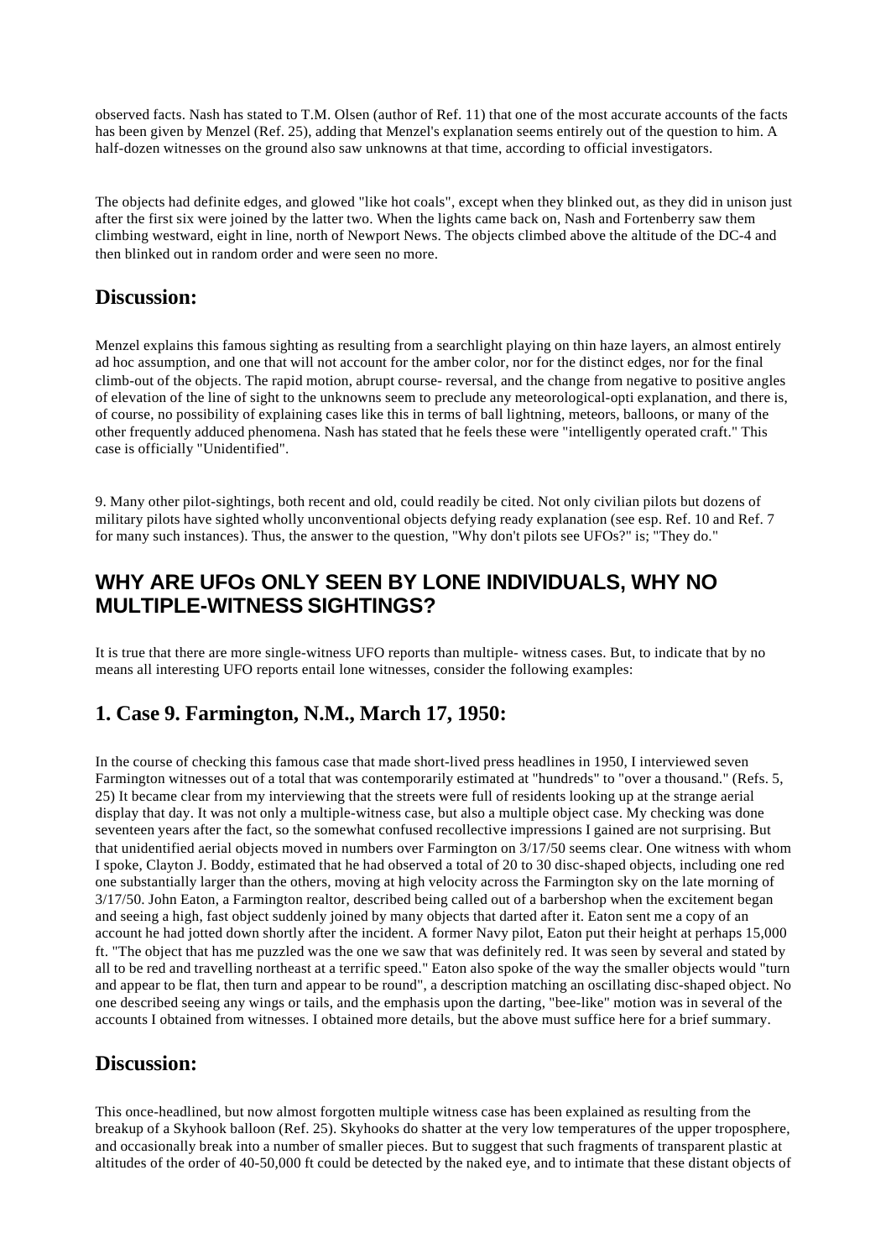observed facts. Nash has stated to T.M. Olsen (author of Ref. 11) that one of the most accurate accounts of the facts has been given by Menzel (Ref. 25), adding that Menzel's explanation seems entirely out of the question to him. A half-dozen witnesses on the ground also saw unknowns at that time, according to official investigators.

The objects had definite edges, and glowed "like hot coals", except when they blinked out, as they did in unison just after the first six were joined by the latter two. When the lights came back on, Nash and Fortenberry saw them climbing westward, eight in line, north of Newport News. The objects climbed above the altitude of the DC-4 and then blinked out in random order and were seen no more.

### **Discussion:**

Menzel explains this famous sighting as resulting from a searchlight playing on thin haze layers, an almost entirely ad hoc assumption, and one that will not account for the amber color, nor for the distinct edges, nor for the final climb-out of the objects. The rapid motion, abrupt course- reversal, and the change from negative to positive angles of elevation of the line of sight to the unknowns seem to preclude any meteorological-opti explanation, and there is, of course, no possibility of explaining cases like this in terms of ball lightning, meteors, balloons, or many of the other frequently adduced phenomena. Nash has stated that he feels these were "intelligently operated craft." This case is officially "Unidentified".

9. Many other pilot-sightings, both recent and old, could readily be cited. Not only civilian pilots but dozens of military pilots have sighted wholly unconventional objects defying ready explanation (see esp. Ref. 10 and Ref. 7 for many such instances). Thus, the answer to the question, "Why don't pilots see UFOs?" is; "They do."

# **WHY ARE UFOs ONLY SEEN BY LONE INDIVIDUALS, WHY NO MULTIPLE-WITNESS SIGHTINGS?**

It is true that there are more single-witness UFO reports than multiple- witness cases. But, to indicate that by no means all interesting UFO reports entail lone witnesses, consider the following examples:

# **1. Case 9. Farmington, N.M., March 17, 1950:**

In the course of checking this famous case that made short-lived press headlines in 1950, I interviewed seven Farmington witnesses out of a total that was contemporarily estimated at "hundreds" to "over a thousand." (Refs. 5, 25) It became clear from my interviewing that the streets were full of residents looking up at the strange aerial display that day. It was not only a multiple-witness case, but also a multiple object case. My checking was done seventeen years after the fact, so the somewhat confused recollective impressions I gained are not surprising. But that unidentified aerial objects moved in numbers over Farmington on 3/17/50 seems clear. One witness with whom I spoke, Clayton J. Boddy, estimated that he had observed a total of 20 to 30 disc-shaped objects, including one red one substantially larger than the others, moving at high velocity across the Farmington sky on the late morning of 3/17/50. John Eaton, a Farmington realtor, described being called out of a barbershop when the excitement began and seeing a high, fast object suddenly joined by many objects that darted after it. Eaton sent me a copy of an account he had jotted down shortly after the incident. A former Navy pilot, Eaton put their height at perhaps 15,000 ft. "The object that has me puzzled was the one we saw that was definitely red. It was seen by several and stated by all to be red and travelling northeast at a terrific speed." Eaton also spoke of the way the smaller objects would "turn and appear to be flat, then turn and appear to be round", a description matching an oscillating disc-shaped object. No one described seeing any wings or tails, and the emphasis upon the darting, "bee-like" motion was in several of the accounts I obtained from witnesses. I obtained more details, but the above must suffice here for a brief summary.

### **Discussion:**

This once-headlined, but now almost forgotten multiple witness case has been explained as resulting from the breakup of a Skyhook balloon (Ref. 25). Skyhooks do shatter at the very low temperatures of the upper troposphere, and occasionally break into a number of smaller pieces. But to suggest that such fragments of transparent plastic at altitudes of the order of 40-50,000 ft could be detected by the naked eye, and to intimate that these distant objects of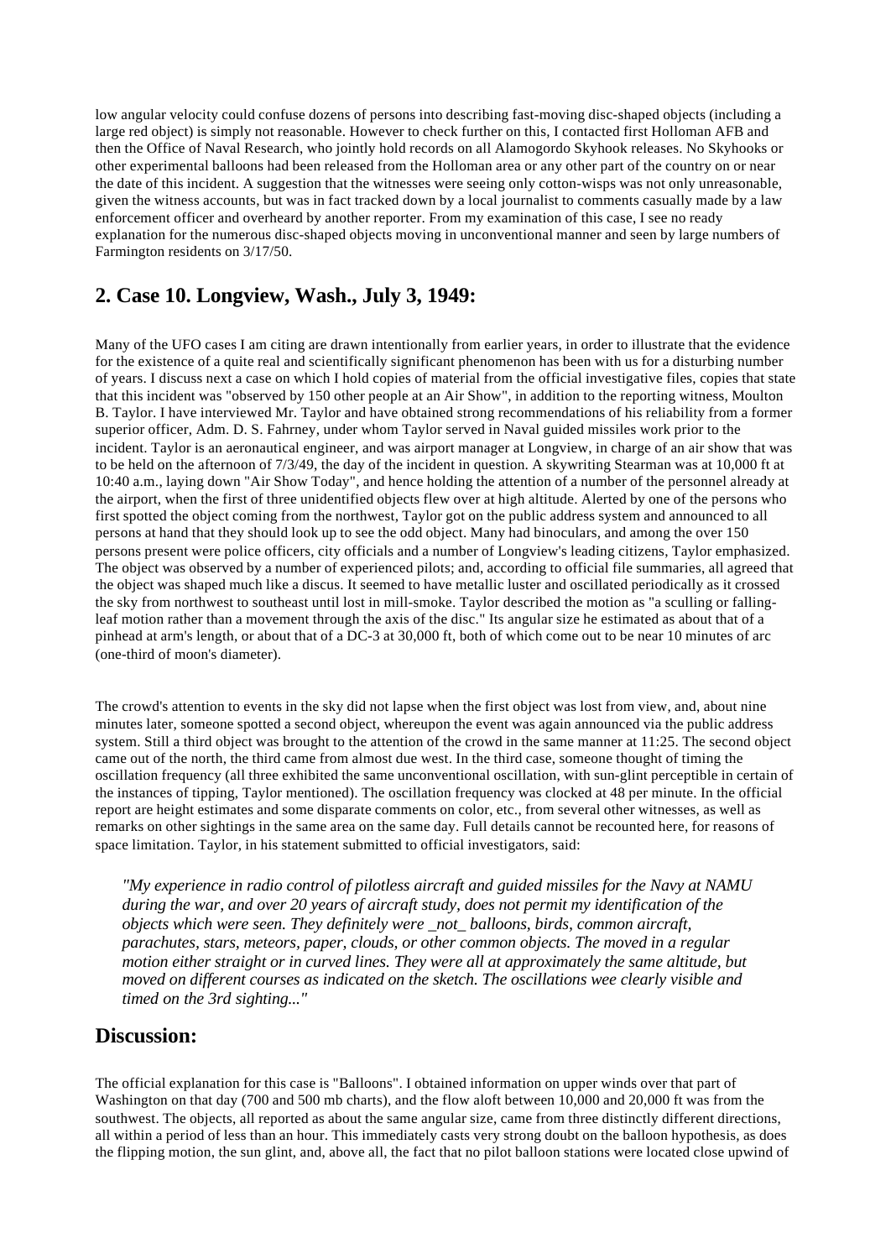low angular velocity could confuse dozens of persons into describing fast-moving disc-shaped objects (including a large red object) is simply not reasonable. However to check further on this, I contacted first Holloman AFB and then the Office of Naval Research, who jointly hold records on all Alamogordo Skyhook releases. No Skyhooks or other experimental balloons had been released from the Holloman area or any other part of the country on or near the date of this incident. A suggestion that the witnesses were seeing only cotton-wisps was not only unreasonable, given the witness accounts, but was in fact tracked down by a local journalist to comments casually made by a law enforcement officer and overheard by another reporter. From my examination of this case, I see no ready explanation for the numerous disc-shaped objects moving in unconventional manner and seen by large numbers of Farmington residents on 3/17/50.

### **2. Case 10. Longview, Wash., July 3, 1949:**

Many of the UFO cases I am citing are drawn intentionally from earlier years, in order to illustrate that the evidence for the existence of a quite real and scientifically significant phenomenon has been with us for a disturbing number of years. I discuss next a case on which I hold copies of material from the official investigative files, copies that state that this incident was "observed by 150 other people at an Air Show", in addition to the reporting witness, Moulton B. Taylor. I have interviewed Mr. Taylor and have obtained strong recommendations of his reliability from a former superior officer, Adm. D. S. Fahrney, under whom Taylor served in Naval guided missiles work prior to the incident. Taylor is an aeronautical engineer, and was airport manager at Longview, in charge of an air show that was to be held on the afternoon of 7/3/49, the day of the incident in question. A skywriting Stearman was at 10,000 ft at 10:40 a.m., laying down "Air Show Today", and hence holding the attention of a number of the personnel already at the airport, when the first of three unidentified objects flew over at high altitude. Alerted by one of the persons who first spotted the object coming from the northwest, Taylor got on the public address system and announced to all persons at hand that they should look up to see the odd object. Many had binoculars, and among the over 150 persons present were police officers, city officials and a number of Longview's leading citizens, Taylor emphasized. The object was observed by a number of experienced pilots; and, according to official file summaries, all agreed that the object was shaped much like a discus. It seemed to have metallic luster and oscillated periodically as it crossed the sky from northwest to southeast until lost in mill-smoke. Taylor described the motion as "a sculling or fallingleaf motion rather than a movement through the axis of the disc." Its angular size he estimated as about that of a pinhead at arm's length, or about that of a DC-3 at 30,000 ft, both of which come out to be near 10 minutes of arc (one-third of moon's diameter).

The crowd's attention to events in the sky did not lapse when the first object was lost from view, and, about nine minutes later, someone spotted a second object, whereupon the event was again announced via the public address system. Still a third object was brought to the attention of the crowd in the same manner at 11:25. The second object came out of the north, the third came from almost due west. In the third case, someone thought of timing the oscillation frequency (all three exhibited the same unconventional oscillation, with sun-glint perceptible in certain of the instances of tipping, Taylor mentioned). The oscillation frequency was clocked at 48 per minute. In the official report are height estimates and some disparate comments on color, etc., from several other witnesses, as well as remarks on other sightings in the same area on the same day. Full details cannot be recounted here, for reasons of space limitation. Taylor, in his statement submitted to official investigators, said:

*"My experience in radio control of pilotless aircraft and guided missiles for the Navy at NAMU during the war, and over 20 years of aircraft study, does not permit my identification of the objects which were seen. They definitely were \_not\_ balloons, birds, common aircraft, parachutes, stars, meteors, paper, clouds, or other common objects. The moved in a regular motion either straight or in curved lines. They were all at approximately the same altitude, but moved on different courses as indicated on the sketch. The oscillations wee clearly visible and timed on the 3rd sighting..."*

#### **Discussion:**

The official explanation for this case is "Balloons". I obtained information on upper winds over that part of Washington on that day (700 and 500 mb charts), and the flow aloft between 10,000 and 20,000 ft was from the southwest. The objects, all reported as about the same angular size, came from three distinctly different directions, all within a period of less than an hour. This immediately casts very strong doubt on the balloon hypothesis, as does the flipping motion, the sun glint, and, above all, the fact that no pilot balloon stations were located close upwind of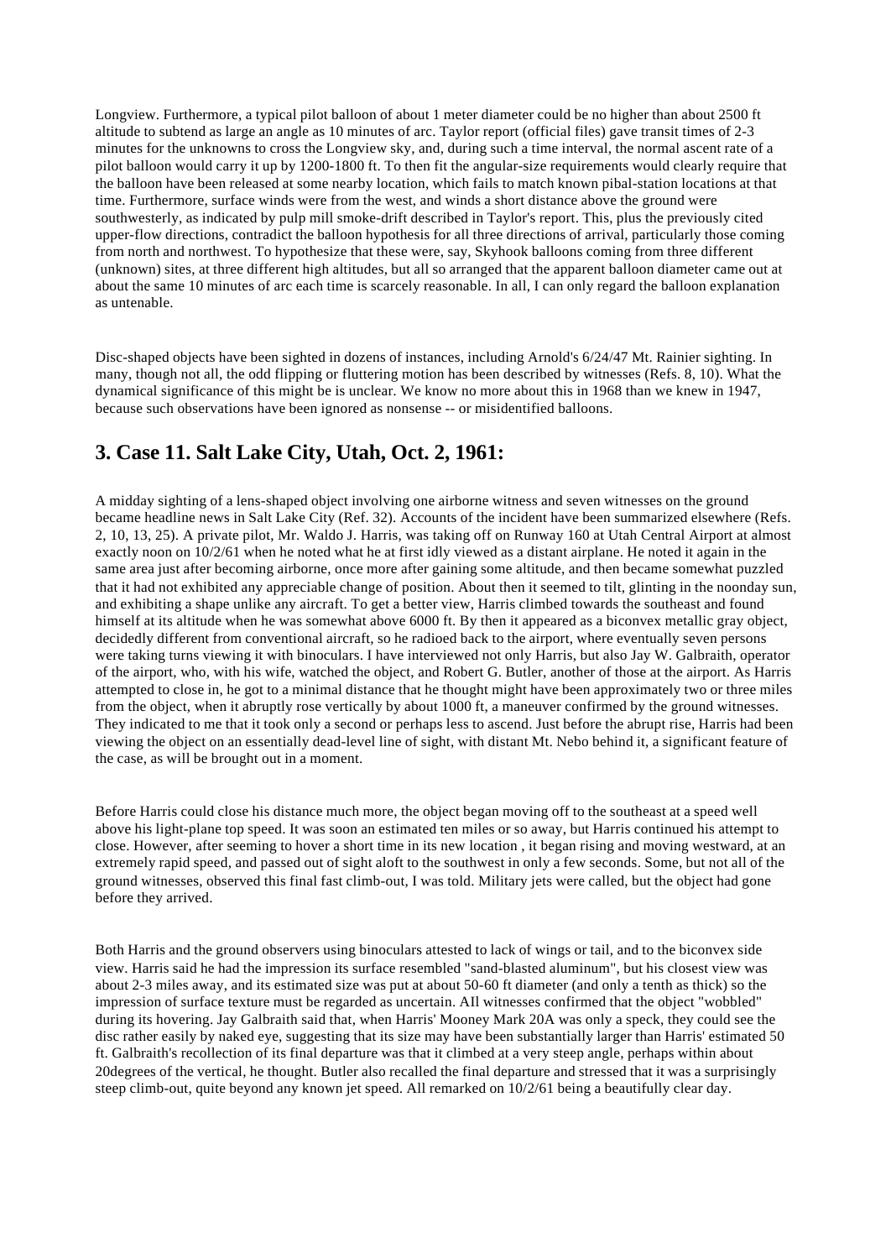Longview. Furthermore, a typical pilot balloon of about 1 meter diameter could be no higher than about 2500 ft altitude to subtend as large an angle as 10 minutes of arc. Taylor report (official files) gave transit times of 2-3 minutes for the unknowns to cross the Longview sky, and, during such a time interval, the normal ascent rate of a pilot balloon would carry it up by 1200-1800 ft. To then fit the angular-size requirements would clearly require that the balloon have been released at some nearby location, which fails to match known pibal-station locations at that time. Furthermore, surface winds were from the west, and winds a short distance above the ground were southwesterly, as indicated by pulp mill smoke-drift described in Taylor's report. This, plus the previously cited upper-flow directions, contradict the balloon hypothesis for all three directions of arrival, particularly those coming from north and northwest. To hypothesize that these were, say, Skyhook balloons coming from three different (unknown) sites, at three different high altitudes, but all so arranged that the apparent balloon diameter came out at about the same 10 minutes of arc each time is scarcely reasonable. In all, I can only regard the balloon explanation as untenable.

Disc-shaped objects have been sighted in dozens of instances, including Arnold's 6/24/47 Mt. Rainier sighting. In many, though not all, the odd flipping or fluttering motion has been described by witnesses (Refs. 8, 10). What the dynamical significance of this might be is unclear. We know no more about this in 1968 than we knew in 1947, because such observations have been ignored as nonsense -- or misidentified balloons.

# **3. Case 11. Salt Lake City, Utah, Oct. 2, 1961:**

A midday sighting of a lens-shaped object involving one airborne witness and seven witnesses on the ground became headline news in Salt Lake City (Ref. 32). Accounts of the incident have been summarized elsewhere (Refs. 2, 10, 13, 25). A private pilot, Mr. Waldo J. Harris, was taking off on Runway 160 at Utah Central Airport at almost exactly noon on 10/2/61 when he noted what he at first idly viewed as a distant airplane. He noted it again in the same area just after becoming airborne, once more after gaining some altitude, and then became somewhat puzzled that it had not exhibited any appreciable change of position. About then it seemed to tilt, glinting in the noonday sun, and exhibiting a shape unlike any aircraft. To get a better view, Harris climbed towards the southeast and found himself at its altitude when he was somewhat above 6000 ft. By then it appeared as a biconvex metallic gray object, decidedly different from conventional aircraft, so he radioed back to the airport, where eventually seven persons were taking turns viewing it with binoculars. I have interviewed not only Harris, but also Jay W. Galbraith, operator of the airport, who, with his wife, watched the object, and Robert G. Butler, another of those at the airport. As Harris attempted to close in, he got to a minimal distance that he thought might have been approximately two or three miles from the object, when it abruptly rose vertically by about 1000 ft, a maneuver confirmed by the ground witnesses. They indicated to me that it took only a second or perhaps less to ascend. Just before the abrupt rise, Harris had been viewing the object on an essentially dead-level line of sight, with distant Mt. Nebo behind it, a significant feature of the case, as will be brought out in a moment.

Before Harris could close his distance much more, the object began moving off to the southeast at a speed well above his light-plane top speed. It was soon an estimated ten miles or so away, but Harris continued his attempt to close. However, after seeming to hover a short time in its new location , it began rising and moving westward, at an extremely rapid speed, and passed out of sight aloft to the southwest in only a few seconds. Some, but not all of the ground witnesses, observed this final fast climb-out, I was told. Military jets were called, but the object had gone before they arrived.

Both Harris and the ground observers using binoculars attested to lack of wings or tail, and to the biconvex side view. Harris said he had the impression its surface resembled "sand-blasted aluminum", but his closest view was about 2-3 miles away, and its estimated size was put at about 50-60 ft diameter (and only a tenth as thick) so the impression of surface texture must be regarded as uncertain. AIl witnesses confirmed that the object "wobbled" during its hovering. Jay Galbraith said that, when Harris' Mooney Mark 20A was only a speck, they could see the disc rather easily by naked eye, suggesting that its size may have been substantially larger than Harris' estimated 50 ft. Galbraith's recollection of its final departure was that it climbed at a very steep angle, perhaps within about 20degrees of the vertical, he thought. Butler also recalled the final departure and stressed that it was a surprisingly steep climb-out, quite beyond any known jet speed. All remarked on 10/2/61 being a beautifully clear day.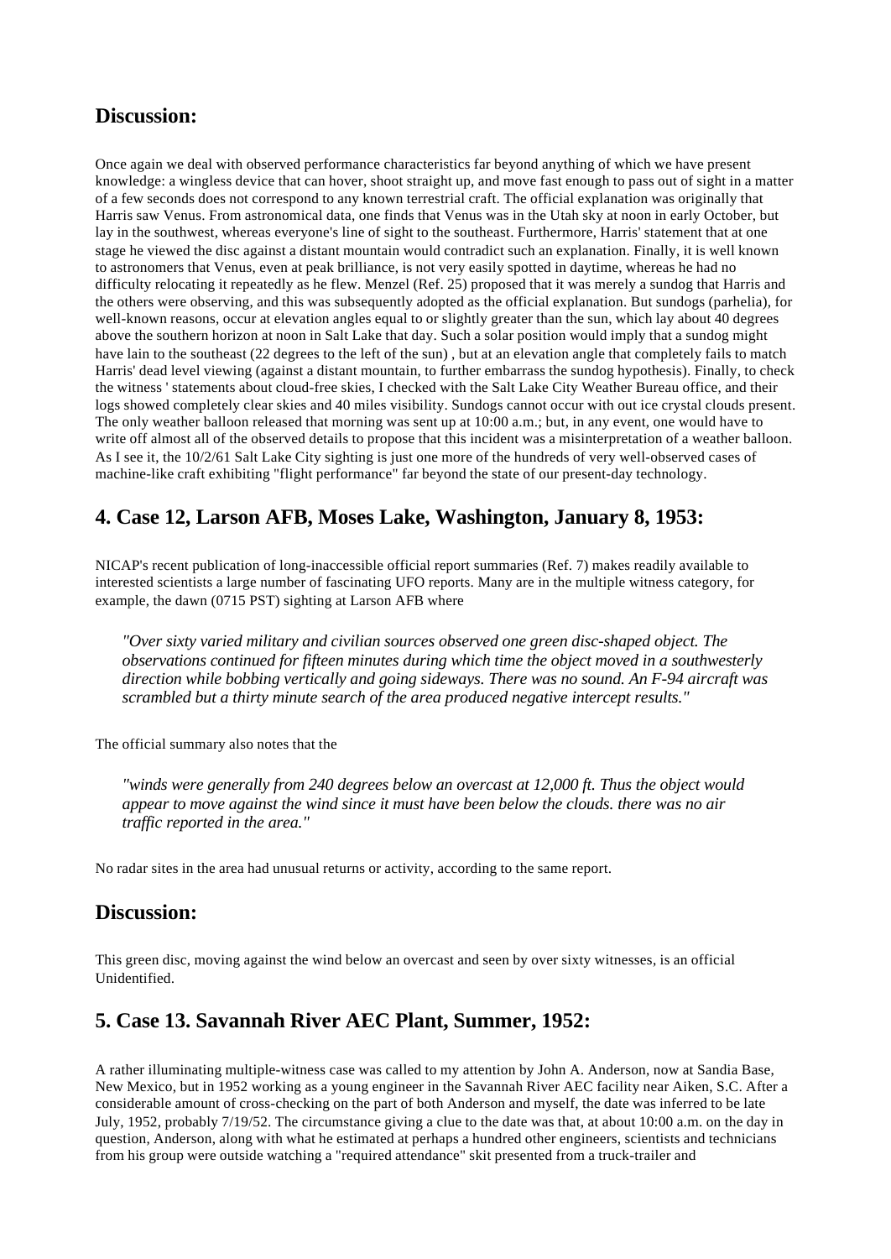### **Discussion:**

Once again we deal with observed performance characteristics far beyond anything of which we have present knowledge: a wingless device that can hover, shoot straight up, and move fast enough to pass out of sight in a matter of a few seconds does not correspond to any known terrestrial craft. The official explanation was originally that Harris saw Venus. From astronomical data, one finds that Venus was in the Utah sky at noon in early October, but lay in the southwest, whereas everyone's line of sight to the southeast. Furthermore, Harris' statement that at one stage he viewed the disc against a distant mountain would contradict such an explanation. Finally, it is well known to astronomers that Venus, even at peak brilliance, is not very easily spotted in daytime, whereas he had no difficulty relocating it repeatedly as he flew. Menzel (Ref. 25) proposed that it was merely a sundog that Harris and the others were observing, and this was subsequently adopted as the official explanation. But sundogs (parhelia), for well-known reasons, occur at elevation angles equal to or slightly greater than the sun, which lay about 40 degrees above the southern horizon at noon in Salt Lake that day. Such a solar position would imply that a sundog might have lain to the southeast (22 degrees to the left of the sun) , but at an elevation angle that completely fails to match Harris' dead level viewing (against a distant mountain, to further embarrass the sundog hypothesis). Finally, to check the witness ' statements about cloud-free skies, I checked with the Salt Lake City Weather Bureau office, and their logs showed completely clear skies and 40 miles visibility. Sundogs cannot occur with out ice crystal clouds present. The only weather balloon released that morning was sent up at 10:00 a.m.; but, in any event, one would have to write off almost all of the observed details to propose that this incident was a misinterpretation of a weather balloon. As I see it, the 10/2/61 Salt Lake City sighting is just one more of the hundreds of very well-observed cases of machine-like craft exhibiting "flight performance" far beyond the state of our present-day technology.

### **4. Case 12, Larson AFB, Moses Lake, Washington, January 8, 1953:**

NICAP's recent publication of long-inaccessible official report summaries (Ref. 7) makes readily available to interested scientists a large number of fascinating UFO reports. Many are in the multiple witness category, for example, the dawn (0715 PST) sighting at Larson AFB where

*"Over sixty varied military and civilian sources observed one green disc-shaped object. The observations continued for fifteen minutes during which time the object moved in a southwesterly direction while bobbing vertically and going sideways. There was no sound. An F-94 aircraft was scrambled but a thirty minute search of the area produced negative intercept results."*

The official summary also notes that the

*"winds were generally from 240 degrees below an overcast at 12,000 ft. Thus the object would appear to move against the wind since it must have been below the clouds. there was no air traffic reported in the area."*

No radar sites in the area had unusual returns or activity, according to the same report.

#### **Discussion:**

This green disc, moving against the wind below an overcast and seen by over sixty witnesses, is an official Unidentified.

# **5. Case 13. Savannah River AEC Plant, Summer, 1952:**

A rather illuminating multiple-witness case was called to my attention by John A. Anderson, now at Sandia Base, New Mexico, but in 1952 working as a young engineer in the Savannah River AEC facility near Aiken, S.C. After a considerable amount of cross-checking on the part of both Anderson and myself, the date was inferred to be late July, 1952, probably 7/19/52. The circumstance giving a clue to the date was that, at about 10:00 a.m. on the day in question, Anderson, along with what he estimated at perhaps a hundred other engineers, scientists and technicians from his group were outside watching a "required attendance" skit presented from a truck-trailer and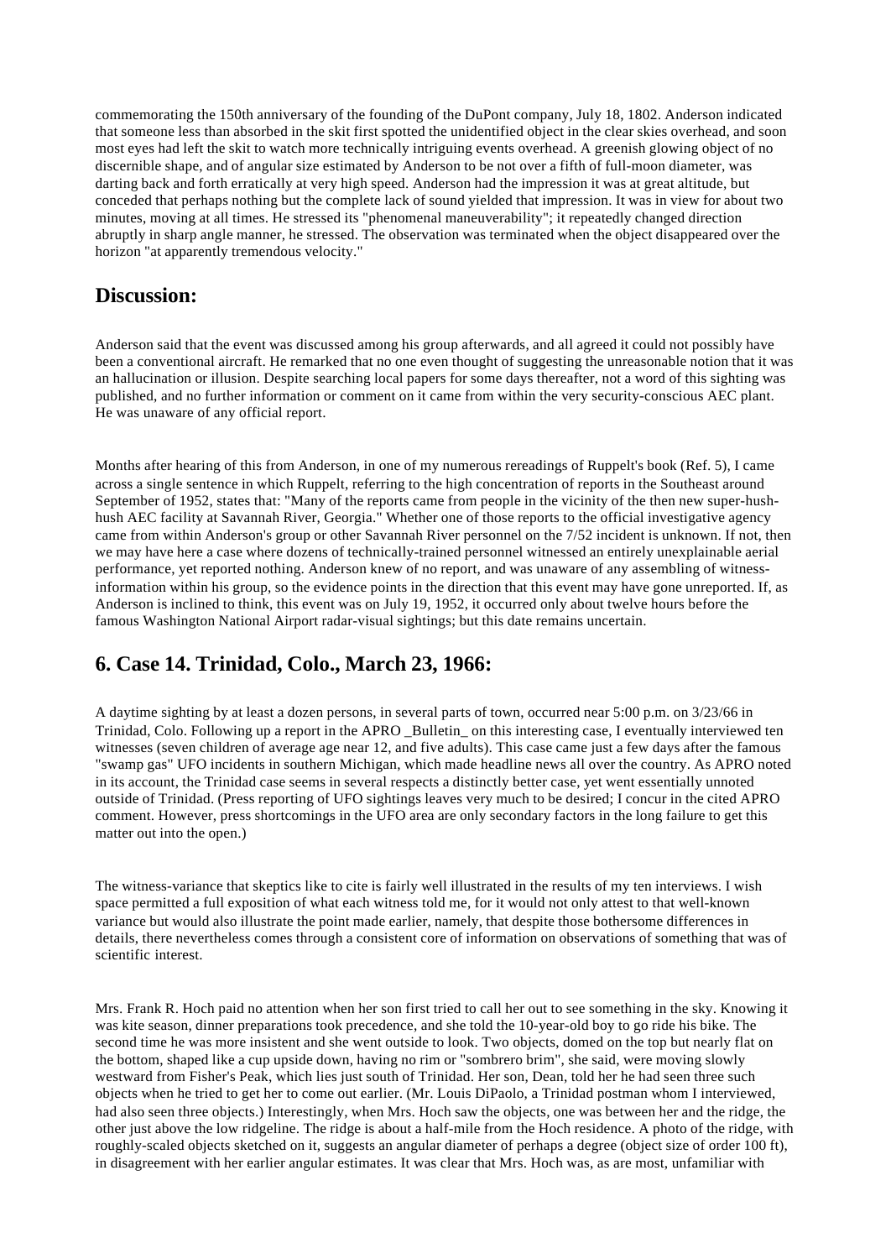commemorating the 150th anniversary of the founding of the DuPont company, July 18, 1802. Anderson indicated that someone less than absorbed in the skit first spotted the unidentified object in the clear skies overhead, and soon most eyes had left the skit to watch more technically intriguing events overhead. A greenish glowing object of no discernible shape, and of angular size estimated by Anderson to be not over a fifth of full-moon diameter, was darting back and forth erratically at very high speed. Anderson had the impression it was at great altitude, but conceded that perhaps nothing but the complete lack of sound yielded that impression. It was in view for about two minutes, moving at all times. He stressed its "phenomenal maneuverability"; it repeatedly changed direction abruptly in sharp angle manner, he stressed. The observation was terminated when the object disappeared over the horizon "at apparently tremendous velocity."

### **Discussion:**

Anderson said that the event was discussed among his group afterwards, and all agreed it could not possibly have been a conventional aircraft. He remarked that no one even thought of suggesting the unreasonable notion that it was an hallucination or illusion. Despite searching local papers for some days thereafter, not a word of this sighting was published, and no further information or comment on it came from within the very security-conscious AEC plant. He was unaware of any official report.

Months after hearing of this from Anderson, in one of my numerous rereadings of Ruppelt's book (Ref. 5), I came across a single sentence in which Ruppelt, referring to the high concentration of reports in the Southeast around September of 1952, states that: "Many of the reports came from people in the vicinity of the then new super-hushhush AEC facility at Savannah River, Georgia." Whether one of those reports to the official investigative agency came from within Anderson's group or other Savannah River personnel on the 7/52 incident is unknown. If not, then we may have here a case where dozens of technically-trained personnel witnessed an entirely unexplainable aerial performance, yet reported nothing. Anderson knew of no report, and was unaware of any assembling of witnessinformation within his group, so the evidence points in the direction that this event may have gone unreported. If, as Anderson is inclined to think, this event was on July 19, 1952, it occurred only about twelve hours before the famous Washington National Airport radar-visual sightings; but this date remains uncertain.

# **6. Case 14. Trinidad, Colo., March 23, 1966:**

A daytime sighting by at least a dozen persons, in several parts of town, occurred near 5:00 p.m. on 3/23/66 in Trinidad, Colo. Following up a report in the APRO \_Bulletin\_ on this interesting case, I eventually interviewed ten witnesses (seven children of average age near 12, and five adults). This case came just a few days after the famous "swamp gas" UFO incidents in southern Michigan, which made headline news all over the country. As APRO noted in its account, the Trinidad case seems in several respects a distinctly better case, yet went essentially unnoted outside of Trinidad. (Press reporting of UFO sightings leaves very much to be desired; I concur in the cited APRO comment. However, press shortcomings in the UFO area are only secondary factors in the long failure to get this matter out into the open.)

The witness-variance that skeptics like to cite is fairly well illustrated in the results of my ten interviews. I wish space permitted a full exposition of what each witness told me, for it would not only attest to that well-known variance but would also illustrate the point made earlier, namely, that despite those bothersome differences in details, there nevertheless comes through a consistent core of information on observations of something that was of scientific interest.

Mrs. Frank R. Hoch paid no attention when her son first tried to call her out to see something in the sky. Knowing it was kite season, dinner preparations took precedence, and she told the 10-year-old boy to go ride his bike. The second time he was more insistent and she went outside to look. Two objects, domed on the top but nearly flat on the bottom, shaped like a cup upside down, having no rim or "sombrero brim", she said, were moving slowly westward from Fisher's Peak, which lies just south of Trinidad. Her son, Dean, told her he had seen three such objects when he tried to get her to come out earlier. (Mr. Louis DiPaolo, a Trinidad postman whom I interviewed, had also seen three objects.) Interestingly, when Mrs. Hoch saw the objects, one was between her and the ridge, the other just above the low ridgeline. The ridge is about a half-mile from the Hoch residence. A photo of the ridge, with roughly-scaled objects sketched on it, suggests an angular diameter of perhaps a degree (object size of order 100 ft), in disagreement with her earlier angular estimates. It was clear that Mrs. Hoch was, as are most, unfamiliar with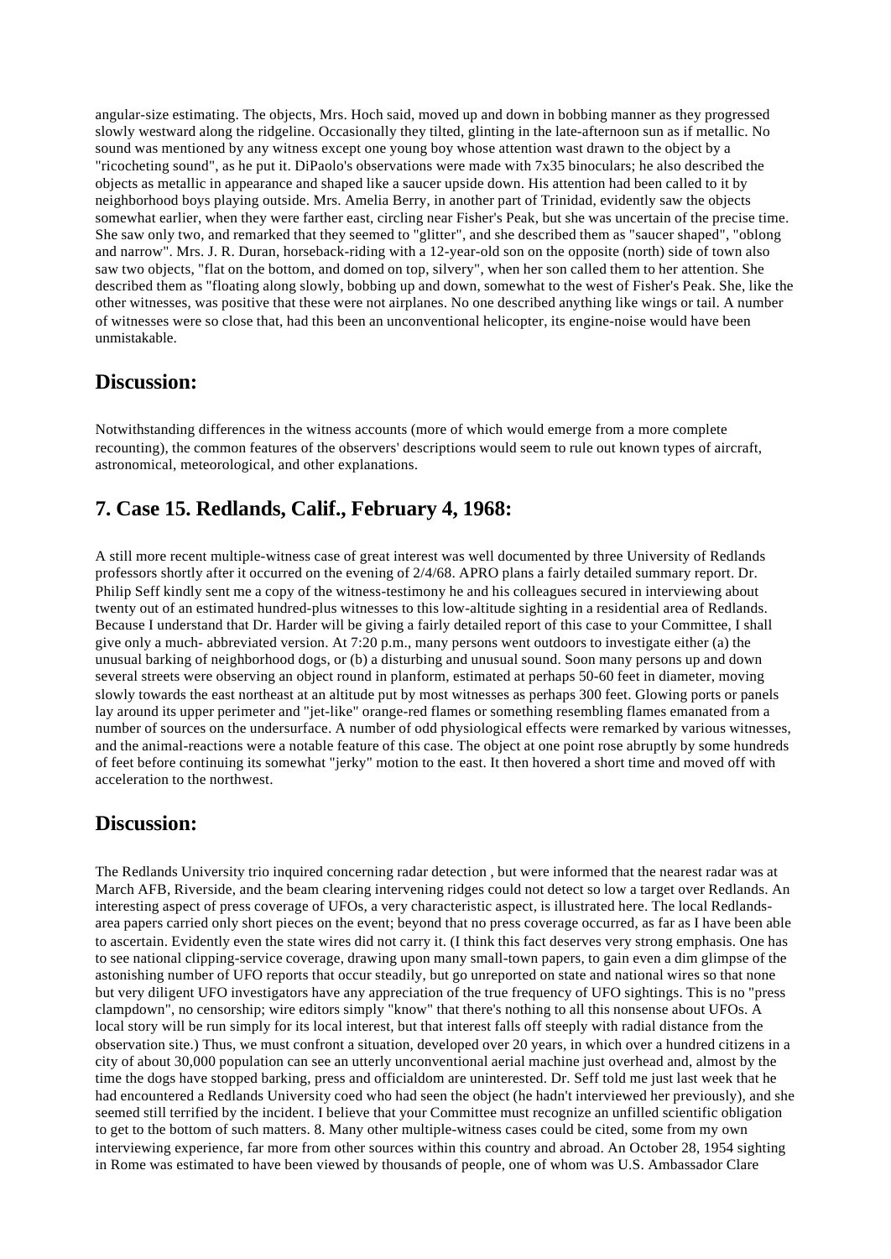angular-size estimating. The objects, Mrs. Hoch said, moved up and down in bobbing manner as they progressed slowly westward along the ridgeline. Occasionally they tilted, glinting in the late-afternoon sun as if metallic. No sound was mentioned by any witness except one young boy whose attention wast drawn to the object by a "ricocheting sound", as he put it. DiPaolo's observations were made with 7x35 binoculars; he also described the objects as metallic in appearance and shaped like a saucer upside down. His attention had been called to it by neighborhood boys playing outside. Mrs. Amelia Berry, in another part of Trinidad, evidently saw the objects somewhat earlier, when they were farther east, circling near Fisher's Peak, but she was uncertain of the precise time. She saw only two, and remarked that they seemed to "glitter", and she described them as "saucer shaped", "oblong and narrow". Mrs. J. R. Duran, horseback-riding with a 12-year-old son on the opposite (north) side of town also saw two objects, "flat on the bottom, and domed on top, silvery", when her son called them to her attention. She described them as "floating along slowly, bobbing up and down, somewhat to the west of Fisher's Peak. She, like the other witnesses, was positive that these were not airplanes. No one described anything like wings or tail. A number of witnesses were so close that, had this been an unconventional helicopter, its engine-noise would have been unmistakable.

### **Discussion:**

Notwithstanding differences in the witness accounts (more of which would emerge from a more complete recounting), the common features of the observers' descriptions would seem to rule out known types of aircraft, astronomical, meteorological, and other explanations.

# **7. Case 15. Redlands, Calif., February 4, 1968:**

A still more recent multiple-witness case of great interest was well documented by three University of Redlands professors shortly after it occurred on the evening of 2/4/68. APRO plans a fairly detailed summary report. Dr. Philip Seff kindly sent me a copy of the witness-testimony he and his colleagues secured in interviewing about twenty out of an estimated hundred-plus witnesses to this low-altitude sighting in a residential area of Redlands. Because I understand that Dr. Harder will be giving a fairly detailed report of this case to your Committee, I shall give only a much- abbreviated version. At 7:20 p.m., many persons went outdoors to investigate either (a) the unusual barking of neighborhood dogs, or (b) a disturbing and unusual sound. Soon many persons up and down several streets were observing an object round in planform, estimated at perhaps 50-60 feet in diameter, moving slowly towards the east northeast at an altitude put by most witnesses as perhaps 300 feet. Glowing ports or panels lay around its upper perimeter and "jet-like" orange-red flames or something resembling flames emanated from a number of sources on the undersurface. A number of odd physiological effects were remarked by various witnesses, and the animal-reactions were a notable feature of this case. The object at one point rose abruptly by some hundreds of feet before continuing its somewhat "jerky" motion to the east. It then hovered a short time and moved off with acceleration to the northwest.

### **Discussion:**

The Redlands University trio inquired concerning radar detection , but were informed that the nearest radar was at March AFB, Riverside, and the beam clearing intervening ridges could not detect so low a target over Redlands. An interesting aspect of press coverage of UFOs, a very characteristic aspect, is illustrated here. The local Redlandsarea papers carried only short pieces on the event; beyond that no press coverage occurred, as far as I have been able to ascertain. Evidently even the state wires did not carry it. (I think this fact deserves very strong emphasis. One has to see national clipping-service coverage, drawing upon many small-town papers, to gain even a dim glimpse of the astonishing number of UFO reports that occur steadily, but go unreported on state and national wires so that none but very diligent UFO investigators have any appreciation of the true frequency of UFO sightings. This is no "press clampdown", no censorship; wire editors simply "know" that there's nothing to all this nonsense about UFOs. A local story will be run simply for its local interest, but that interest falls off steeply with radial distance from the observation site.) Thus, we must confront a situation, developed over 20 years, in which over a hundred citizens in a city of about 30,000 population can see an utterly unconventional aerial machine just overhead and, almost by the time the dogs have stopped barking, press and officialdom are uninterested. Dr. Seff told me just last week that he had encountered a Redlands University coed who had seen the object (he hadn't interviewed her previously), and she seemed still terrified by the incident. I believe that your Committee must recognize an unfilled scientific obligation to get to the bottom of such matters. 8. Many other multiple-witness cases could be cited, some from my own interviewing experience, far more from other sources within this country and abroad. An October 28, 1954 sighting in Rome was estimated to have been viewed by thousands of people, one of whom was U.S. Ambassador Clare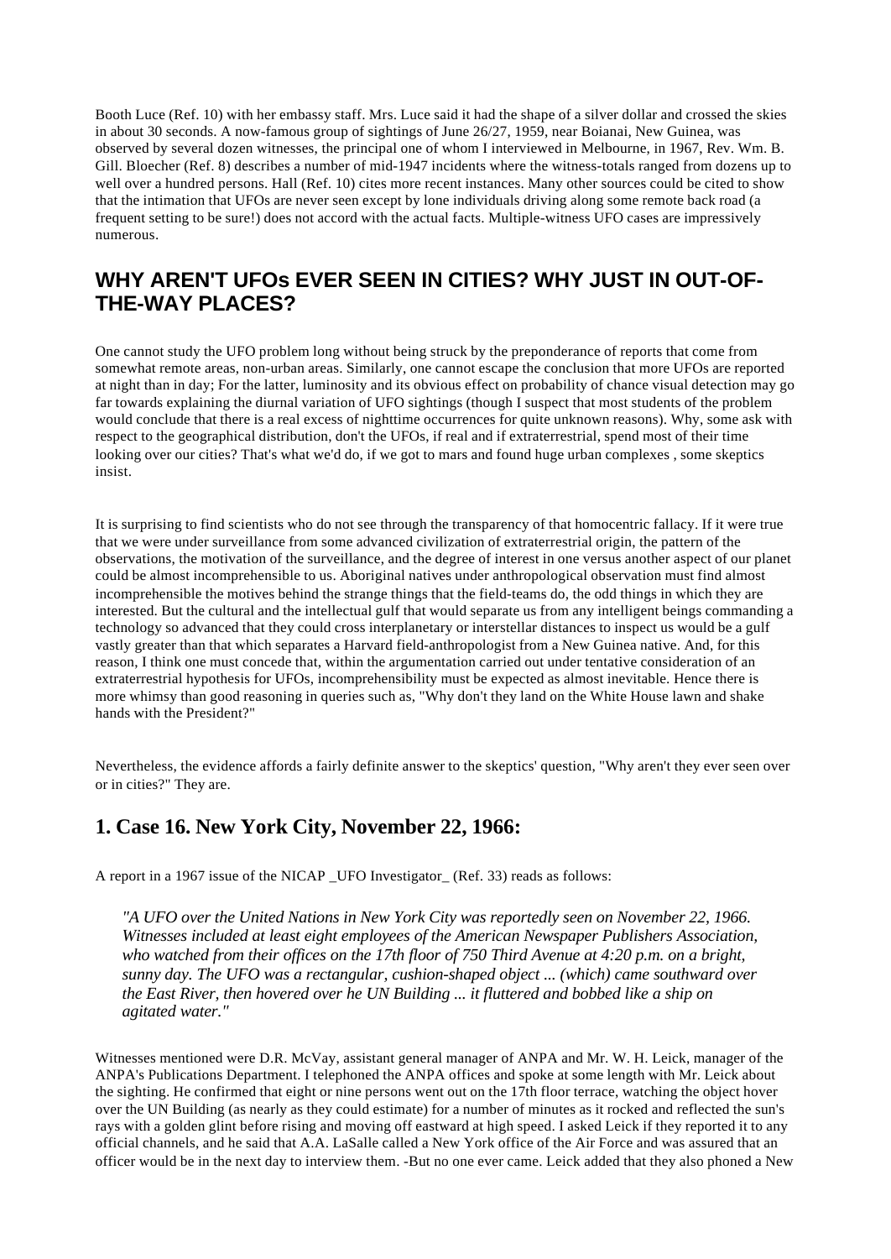Booth Luce (Ref. 10) with her embassy staff. Mrs. Luce said it had the shape of a silver dollar and crossed the skies in about 30 seconds. A now-famous group of sightings of June 26/27, 1959, near Boianai, New Guinea, was observed by several dozen witnesses, the principal one of whom I interviewed in Melbourne, in 1967, Rev. Wm. B. Gill. Bloecher (Ref. 8) describes a number of mid-1947 incidents where the witness-totals ranged from dozens up to well over a hundred persons. Hall (Ref. 10) cites more recent instances. Many other sources could be cited to show that the intimation that UFOs are never seen except by lone individuals driving along some remote back road (a frequent setting to be sure!) does not accord with the actual facts. Multiple-witness UFO cases are impressively numerous.

# **WHY AREN'T UFOs EVER SEEN IN CITIES? WHY JUST IN OUT-OF-THE-WAY PLACES?**

One cannot study the UFO problem long without being struck by the preponderance of reports that come from somewhat remote areas, non-urban areas. Similarly, one cannot escape the conclusion that more UFOs are reported at night than in day; For the latter, luminosity and its obvious effect on probability of chance visual detection may go far towards explaining the diurnal variation of UFO sightings (though I suspect that most students of the problem would conclude that there is a real excess of nighttime occurrences for quite unknown reasons). Why, some ask with respect to the geographical distribution, don't the UFOs, if real and if extraterrestrial, spend most of their time looking over our cities? That's what we'd do, if we got to mars and found huge urban complexes , some skeptics insist.

It is surprising to find scientists who do not see through the transparency of that homocentric fallacy. If it were true that we were under surveillance from some advanced civilization of extraterrestrial origin, the pattern of the observations, the motivation of the surveillance, and the degree of interest in one versus another aspect of our planet could be almost incomprehensible to us. Aboriginal natives under anthropological observation must find almost incomprehensible the motives behind the strange things that the field-teams do, the odd things in which they are interested. But the cultural and the intellectual gulf that would separate us from any intelligent beings commanding a technology so advanced that they could cross interplanetary or interstellar distances to inspect us would be a gulf vastly greater than that which separates a Harvard field-anthropologist from a New Guinea native. And, for this reason, I think one must concede that, within the argumentation carried out under tentative consideration of an extraterrestrial hypothesis for UFOs, incomprehensibility must be expected as almost inevitable. Hence there is more whimsy than good reasoning in queries such as, "Why don't they land on the White House lawn and shake hands with the President?"

Nevertheless, the evidence affords a fairly definite answer to the skeptics' question, "Why aren't they ever seen over or in cities?" They are.

### **1. Case 16. New York City, November 22, 1966:**

A report in a 1967 issue of the NICAP UFO Investigator (Ref. 33) reads as follows:

*"A UFO over the United Nations in New York City was reportedly seen on November 22, 1966. Witnesses included at least eight employees of the American Newspaper Publishers Association, who watched from their offices on the 17th floor of 750 Third Avenue at 4:20 p.m. on a bright, sunny day. The UFO was a rectangular, cushion-shaped object ... (which) came southward over the East River, then hovered over he UN Building ... it fluttered and bobbed like a ship on agitated water."*

Witnesses mentioned were D.R. McVay, assistant general manager of ANPA and Mr. W. H. Leick, manager of the ANPA's Publications Department. I telephoned the ANPA offices and spoke at some length with Mr. Leick about the sighting. He confirmed that eight or nine persons went out on the 17th floor terrace, watching the object hover over the UN Building (as nearly as they could estimate) for a number of minutes as it rocked and reflected the sun's rays with a golden glint before rising and moving off eastward at high speed. I asked Leick if they reported it to any official channels, and he said that A.A. LaSalle called a New York office of the Air Force and was assured that an officer would be in the next day to interview them. -But no one ever came. Leick added that they also phoned a New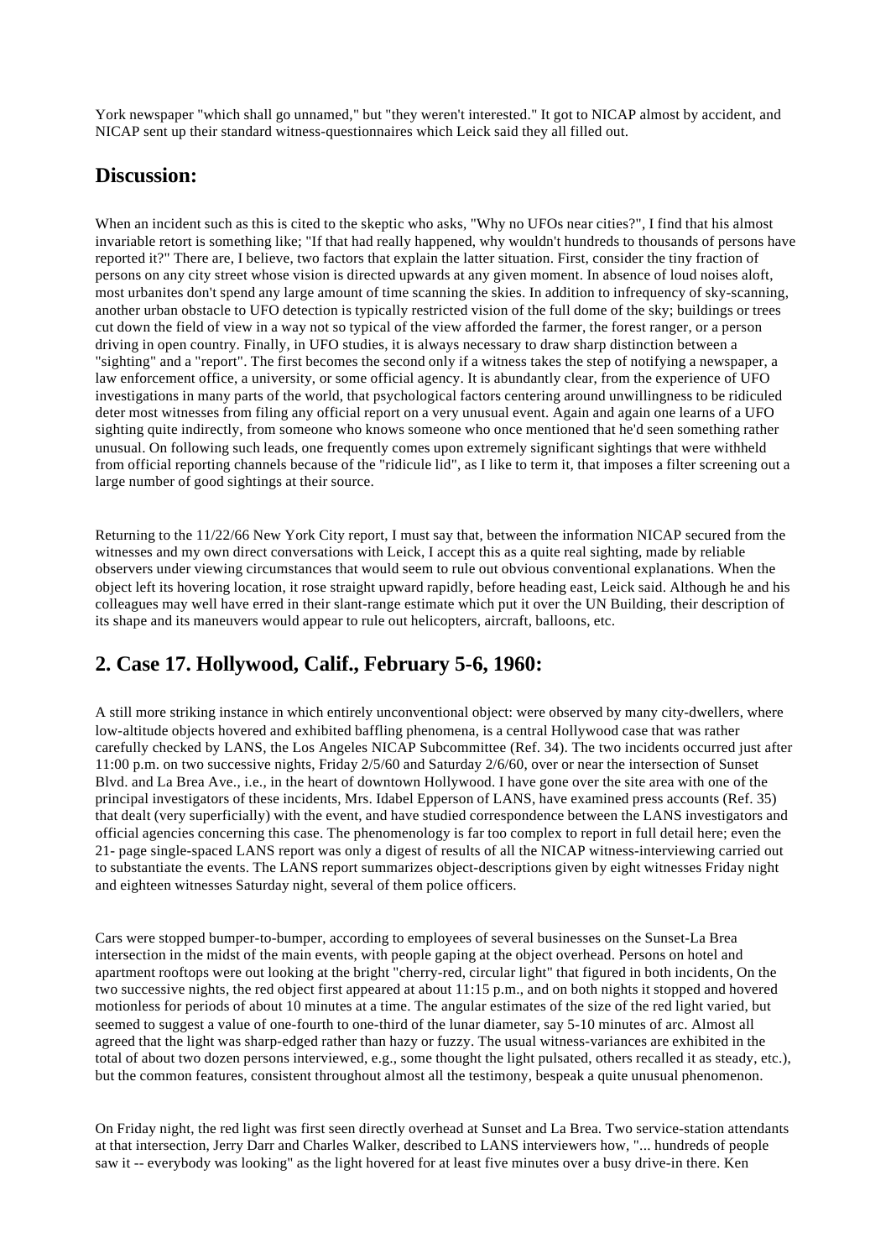York newspaper "which shall go unnamed," but "they weren't interested." It got to NICAP almost by accident, and NICAP sent up their standard witness-questionnaires which Leick said they all filled out.

#### **Discussion:**

When an incident such as this is cited to the skeptic who asks, "Why no UFOs near cities?", I find that his almost invariable retort is something like; "If that had really happened, why wouldn't hundreds to thousands of persons have reported it?" There are, I believe, two factors that explain the latter situation. First, consider the tiny fraction of persons on any city street whose vision is directed upwards at any given moment. In absence of loud noises aloft, most urbanites don't spend any large amount of time scanning the skies. In addition to infrequency of sky-scanning, another urban obstacle to UFO detection is typically restricted vision of the full dome of the sky; buildings or trees cut down the field of view in a way not so typical of the view afforded the farmer, the forest ranger, or a person driving in open country. Finally, in UFO studies, it is always necessary to draw sharp distinction between a "sighting" and a "report". The first becomes the second only if a witness takes the step of notifying a newspaper, a law enforcement office, a university, or some official agency. It is abundantly clear, from the experience of UFO investigations in many parts of the world, that psychological factors centering around unwillingness to be ridiculed deter most witnesses from filing any official report on a very unusual event. Again and again one learns of a UFO sighting quite indirectly, from someone who knows someone who once mentioned that he'd seen something rather unusual. On following such leads, one frequently comes upon extremely significant sightings that were withheld from official reporting channels because of the "ridicule lid", as I like to term it, that imposes a filter screening out a large number of good sightings at their source.

Returning to the 11/22/66 New York City report, I must say that, between the information NICAP secured from the witnesses and my own direct conversations with Leick, I accept this as a quite real sighting, made by reliable observers under viewing circumstances that would seem to rule out obvious conventional explanations. When the object left its hovering location, it rose straight upward rapidly, before heading east, Leick said. Although he and his colleagues may well have erred in their slant-range estimate which put it over the UN Building, their description of its shape and its maneuvers would appear to rule out helicopters, aircraft, balloons, etc.

# **2. Case 17. Hollywood, Calif., February 5-6, 1960:**

A still more striking instance in which entirely unconventional object: were observed by many city-dwellers, where low-altitude objects hovered and exhibited baffling phenomena, is a central Hollywood case that was rather carefully checked by LANS, the Los Angeles NICAP Subcommittee (Ref. 34). The two incidents occurred just after 11:00 p.m. on two successive nights, Friday 2/5/60 and Saturday 2/6/60, over or near the intersection of Sunset Blvd. and La Brea Ave., i.e., in the heart of downtown Hollywood. I have gone over the site area with one of the principal investigators of these incidents, Mrs. Idabel Epperson of LANS, have examined press accounts (Ref. 35) that dealt (very superficially) with the event, and have studied correspondence between the LANS investigators and official agencies concerning this case. The phenomenology is far too complex to report in full detail here; even the 21- page single-spaced LANS report was only a digest of results of all the NICAP witness-interviewing carried out to substantiate the events. The LANS report summarizes object-descriptions given by eight witnesses Friday night and eighteen witnesses Saturday night, several of them police officers.

Cars were stopped bumper-to-bumper, according to employees of several businesses on the Sunset-La Brea intersection in the midst of the main events, with people gaping at the object overhead. Persons on hotel and apartment rooftops were out looking at the bright "cherry-red, circular light" that figured in both incidents, On the two successive nights, the red object first appeared at about 11:15 p.m., and on both nights it stopped and hovered motionless for periods of about 10 minutes at a time. The angular estimates of the size of the red light varied, but seemed to suggest a value of one-fourth to one-third of the lunar diameter, say 5-10 minutes of arc. Almost all agreed that the light was sharp-edged rather than hazy or fuzzy. The usual witness-variances are exhibited in the total of about two dozen persons interviewed, e.g., some thought the light pulsated, others recalled it as steady, etc.), but the common features, consistent throughout almost all the testimony, bespeak a quite unusual phenomenon.

On Friday night, the red light was first seen directly overhead at Sunset and La Brea. Two service-station attendants at that intersection, Jerry Darr and Charles Walker, described to LANS interviewers how, "... hundreds of people saw it -- everybody was looking" as the light hovered for at least five minutes over a busy drive-in there. Ken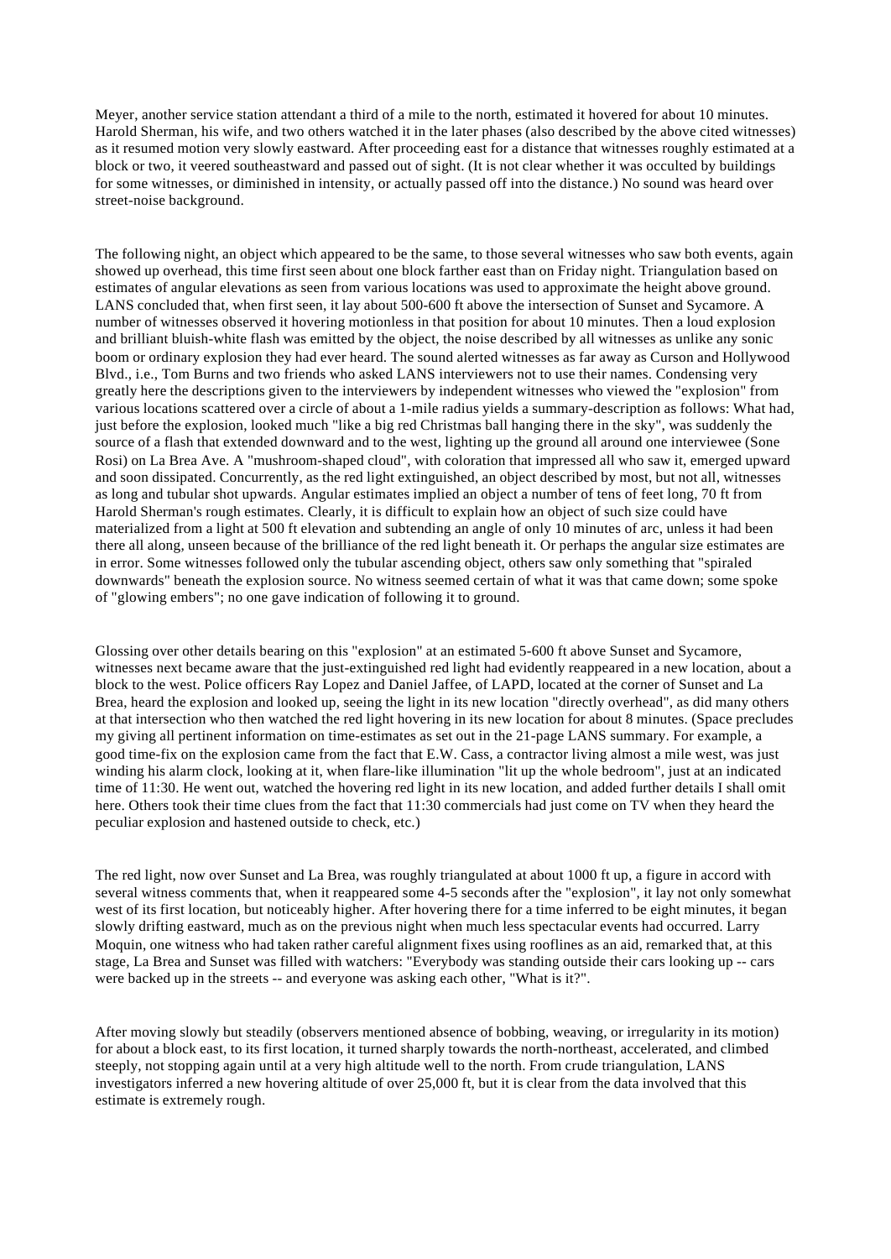Meyer, another service station attendant a third of a mile to the north, estimated it hovered for about 10 minutes. Harold Sherman, his wife, and two others watched it in the later phases (also described by the above cited witnesses) as it resumed motion very slowly eastward. After proceeding east for a distance that witnesses roughly estimated at a block or two, it veered southeastward and passed out of sight. (It is not clear whether it was occulted by buildings for some witnesses, or diminished in intensity, or actually passed off into the distance.) No sound was heard over street-noise background.

The following night, an object which appeared to be the same, to those several witnesses who saw both events, again showed up overhead, this time first seen about one block farther east than on Friday night. Triangulation based on estimates of angular elevations as seen from various locations was used to approximate the height above ground. LANS concluded that, when first seen, it lay about 500-600 ft above the intersection of Sunset and Sycamore. A number of witnesses observed it hovering motionless in that position for about 10 minutes. Then a loud explosion and brilliant bluish-white flash was emitted by the object, the noise described by all witnesses as unlike any sonic boom or ordinary explosion they had ever heard. The sound alerted witnesses as far away as Curson and Hollywood Blvd., i.e., Tom Burns and two friends who asked LANS interviewers not to use their names. Condensing very greatly here the descriptions given to the interviewers by independent witnesses who viewed the "explosion" from various locations scattered over a circle of about a 1-mile radius yields a summary-description as follows: What had, just before the explosion, looked much "like a big red Christmas ball hanging there in the sky", was suddenly the source of a flash that extended downward and to the west, lighting up the ground all around one interviewee (Sone Rosi) on La Brea Ave. A "mushroom-shaped cloud", with coloration that impressed all who saw it, emerged upward and soon dissipated. Concurrently, as the red light extinguished, an object described by most, but not all, witnesses as long and tubular shot upwards. Angular estimates implied an object a number of tens of feet long, 70 ft from Harold Sherman's rough estimates. Clearly, it is difficult to explain how an object of such size could have materialized from a light at 500 ft elevation and subtending an angle of only 10 minutes of arc, unless it had been there all along, unseen because of the brilliance of the red light beneath it. Or perhaps the angular size estimates are in error. Some witnesses followed only the tubular ascending object, others saw only something that "spiraled downwards" beneath the explosion source. No witness seemed certain of what it was that came down; some spoke of "glowing embers"; no one gave indication of following it to ground.

Glossing over other details bearing on this "explosion" at an estimated 5-600 ft above Sunset and Sycamore, witnesses next became aware that the just-extinguished red light had evidently reappeared in a new location, about a block to the west. Police officers Ray Lopez and Daniel Jaffee, of LAPD, located at the corner of Sunset and La Brea, heard the explosion and looked up, seeing the light in its new location "directly overhead", as did many others at that intersection who then watched the red light hovering in its new location for about 8 minutes. (Space precludes my giving all pertinent information on time-estimates as set out in the 21-page LANS summary. For example, a good time-fix on the explosion came from the fact that E.W. Cass, a contractor living almost a mile west, was just winding his alarm clock, looking at it, when flare-like illumination "lit up the whole bedroom", just at an indicated time of 11:30. He went out, watched the hovering red light in its new location, and added further details I shall omit here. Others took their time clues from the fact that 11:30 commercials had just come on TV when they heard the peculiar explosion and hastened outside to check, etc.)

The red light, now over Sunset and La Brea, was roughly triangulated at about 1000 ft up, a figure in accord with several witness comments that, when it reappeared some 4-5 seconds after the "explosion", it lay not only somewhat west of its first location, but noticeably higher. After hovering there for a time inferred to be eight minutes, it began slowly drifting eastward, much as on the previous night when much less spectacular events had occurred. Larry Moquin, one witness who had taken rather careful alignment fixes using rooflines as an aid, remarked that, at this stage, La Brea and Sunset was filled with watchers: "Everybody was standing outside their cars looking up -- cars were backed up in the streets -- and everyone was asking each other, "What is it?".

After moving slowly but steadily (observers mentioned absence of bobbing, weaving, or irregularity in its motion) for about a block east, to its first location, it turned sharply towards the north-northeast, accelerated, and climbed steeply, not stopping again until at a very high altitude well to the north. From crude triangulation, LANS investigators inferred a new hovering altitude of over 25,000 ft, but it is clear from the data involved that this estimate is extremely rough.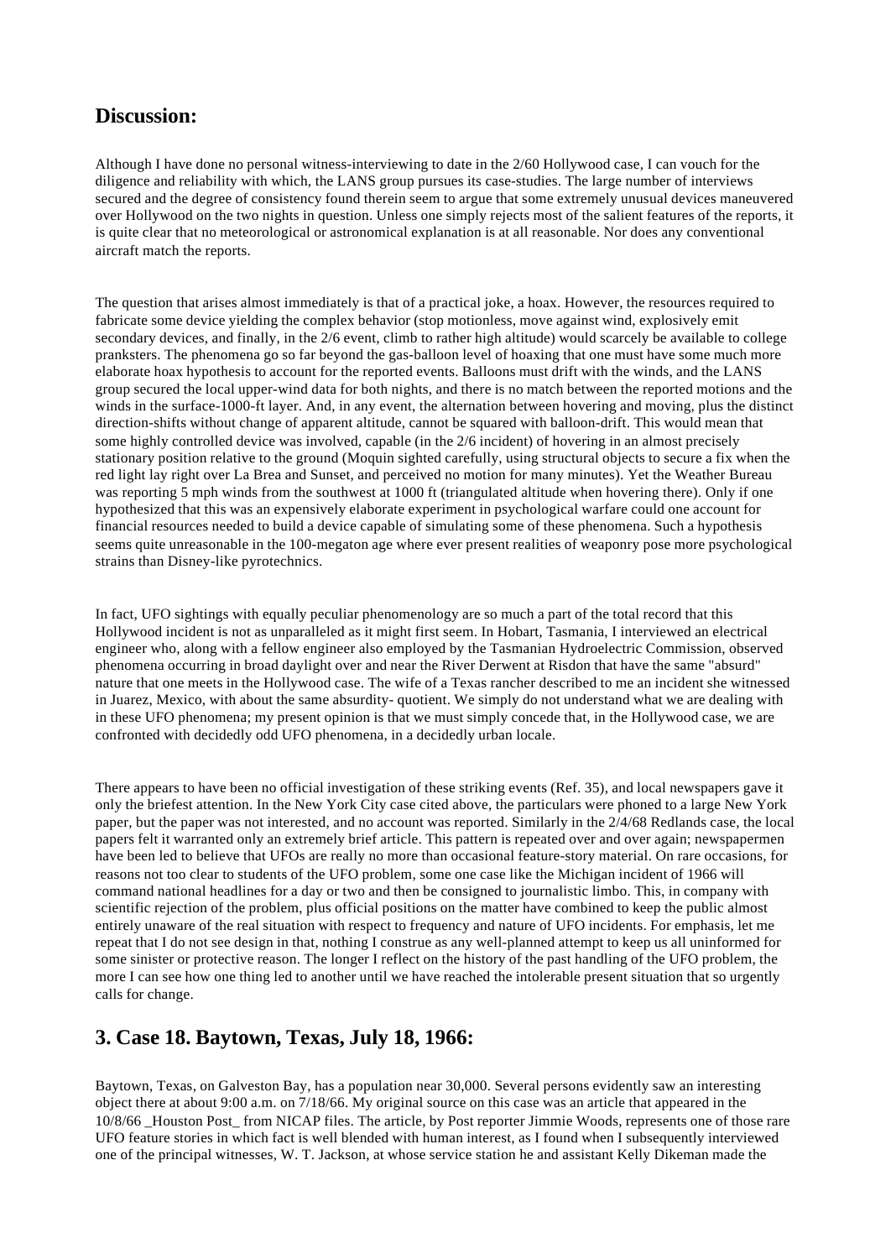#### **Discussion:**

Although I have done no personal witness-interviewing to date in the 2/60 Hollywood case, I can vouch for the diligence and reliability with which, the LANS group pursues its case-studies. The large number of interviews secured and the degree of consistency found therein seem to argue that some extremely unusual devices maneuvered over Hollywood on the two nights in question. Unless one simply rejects most of the salient features of the reports, it is quite clear that no meteorological or astronomical explanation is at all reasonable. Nor does any conventional aircraft match the reports.

The question that arises almost immediately is that of a practical joke, a hoax. However, the resources required to fabricate some device yielding the complex behavior (stop motionless, move against wind, explosively emit secondary devices, and finally, in the 2/6 event, climb to rather high altitude) would scarcely be available to college pranksters. The phenomena go so far beyond the gas-balloon level of hoaxing that one must have some much more elaborate hoax hypothesis to account for the reported events. Balloons must drift with the winds, and the LANS group secured the local upper-wind data for both nights, and there is no match between the reported motions and the winds in the surface-1000-ft layer. And, in any event, the alternation between hovering and moving, plus the distinct direction-shifts without change of apparent altitude, cannot be squared with balloon-drift. This would mean that some highly controlled device was involved, capable (in the 2/6 incident) of hovering in an almost precisely stationary position relative to the ground (Moquin sighted carefully, using structural objects to secure a fix when the red light lay right over La Brea and Sunset, and perceived no motion for many minutes). Yet the Weather Bureau was reporting 5 mph winds from the southwest at 1000 ft (triangulated altitude when hovering there). Only if one hypothesized that this was an expensively elaborate experiment in psychological warfare could one account for financial resources needed to build a device capable of simulating some of these phenomena. Such a hypothesis seems quite unreasonable in the 100-megaton age where ever present realities of weaponry pose more psychological strains than Disney-like pyrotechnics.

In fact, UFO sightings with equally peculiar phenomenology are so much a part of the total record that this Hollywood incident is not as unparalleled as it might first seem. In Hobart, Tasmania, I interviewed an electrical engineer who, along with a fellow engineer also employed by the Tasmanian Hydroelectric Commission, observed phenomena occurring in broad daylight over and near the River Derwent at Risdon that have the same "absurd" nature that one meets in the Hollywood case. The wife of a Texas rancher described to me an incident she witnessed in Juarez, Mexico, with about the same absurdity- quotient. We simply do not understand what we are dealing with in these UFO phenomena; my present opinion is that we must simply concede that, in the Hollywood case, we are confronted with decidedly odd UFO phenomena, in a decidedly urban locale.

There appears to have been no official investigation of these striking events (Ref. 35), and local newspapers gave it only the briefest attention. In the New York City case cited above, the particulars were phoned to a large New York paper, but the paper was not interested, and no account was reported. Similarly in the 2/4/68 Redlands case, the local papers felt it warranted only an extremely brief article. This pattern is repeated over and over again; newspapermen have been led to believe that UFOs are really no more than occasional feature-story material. On rare occasions, for reasons not too clear to students of the UFO problem, some one case like the Michigan incident of 1966 will command national headlines for a day or two and then be consigned to journalistic limbo. This, in company with scientific rejection of the problem, plus official positions on the matter have combined to keep the public almost entirely unaware of the real situation with respect to frequency and nature of UFO incidents. For emphasis, let me repeat that I do not see design in that, nothing I construe as any well-planned attempt to keep us all uninformed for some sinister or protective reason. The longer I reflect on the history of the past handling of the UFO problem, the more I can see how one thing led to another until we have reached the intolerable present situation that so urgently calls for change.

### **3. Case 18. Baytown, Texas, July 18, 1966:**

Baytown, Texas, on Galveston Bay, has a population near 30,000. Several persons evidently saw an interesting object there at about 9:00 a.m. on 7/18/66. My original source on this case was an article that appeared in the 10/8/66 \_Houston Post\_ from NICAP files. The article, by Post reporter Jimmie Woods, represents one of those rare UFO feature stories in which fact is well blended with human interest, as I found when I subsequently interviewed one of the principal witnesses, W. T. Jackson, at whose service station he and assistant Kelly Dikeman made the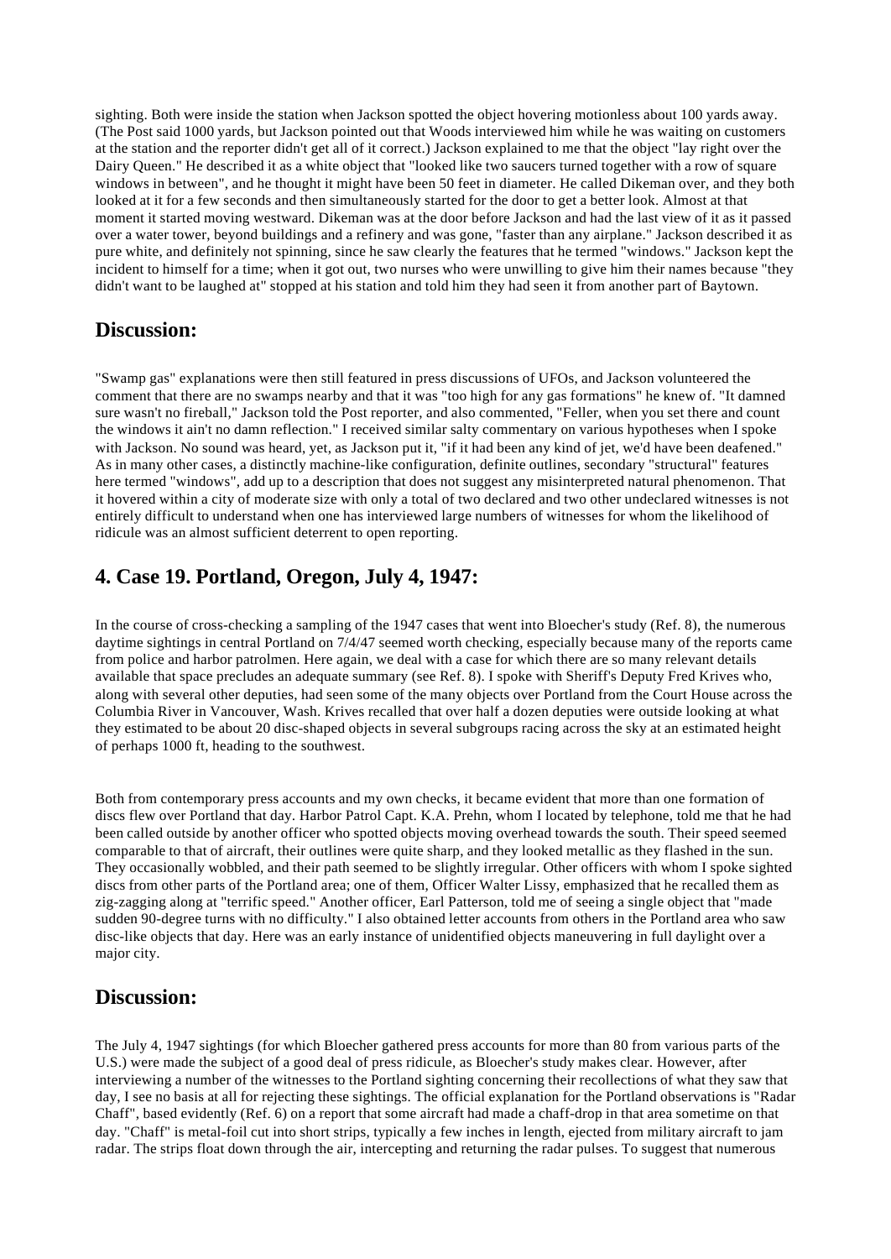sighting. Both were inside the station when Jackson spotted the object hovering motionless about 100 yards away. (The Post said 1000 yards, but Jackson pointed out that Woods interviewed him while he was waiting on customers at the station and the reporter didn't get all of it correct.) Jackson explained to me that the object "lay right over the Dairy Queen." He described it as a white object that "looked like two saucers turned together with a row of square windows in between", and he thought it might have been 50 feet in diameter. He called Dikeman over, and they both looked at it for a few seconds and then simultaneously started for the door to get a better look. Almost at that moment it started moving westward. Dikeman was at the door before Jackson and had the last view of it as it passed over a water tower, beyond buildings and a refinery and was gone, "faster than any airplane." Jackson described it as pure white, and definitely not spinning, since he saw clearly the features that he termed "windows." Jackson kept the incident to himself for a time; when it got out, two nurses who were unwilling to give him their names because "they didn't want to be laughed at" stopped at his station and told him they had seen it from another part of Baytown.

### **Discussion:**

"Swamp gas" explanations were then still featured in press discussions of UFOs, and Jackson volunteered the comment that there are no swamps nearby and that it was "too high for any gas formations" he knew of. "It damned sure wasn't no fireball," Jackson told the Post reporter, and also commented, "Feller, when you set there and count the windows it ain't no damn reflection." I received similar salty commentary on various hypotheses when I spoke with Jackson. No sound was heard, yet, as Jackson put it, "if it had been any kind of jet, we'd have been deafened." As in many other cases, a distinctly machine-like configuration, definite outlines, secondary "structural" features here termed "windows", add up to a description that does not suggest any misinterpreted natural phenomenon. That it hovered within a city of moderate size with only a total of two declared and two other undeclared witnesses is not entirely difficult to understand when one has interviewed large numbers of witnesses for whom the likelihood of ridicule was an almost sufficient deterrent to open reporting.

# **4. Case 19. Portland, Oregon, July 4, 1947:**

In the course of cross-checking a sampling of the 1947 cases that went into Bloecher's study (Ref. 8), the numerous daytime sightings in central Portland on 7/4/47 seemed worth checking, especially because many of the reports came from police and harbor patrolmen. Here again, we deal with a case for which there are so many relevant details available that space precludes an adequate summary (see Ref. 8). I spoke with Sheriff's Deputy Fred Krives who, along with several other deputies, had seen some of the many objects over Portland from the Court House across the Columbia River in Vancouver, Wash. Krives recalled that over half a dozen deputies were outside looking at what they estimated to be about 20 disc-shaped objects in several subgroups racing across the sky at an estimated height of perhaps 1000 ft, heading to the southwest.

Both from contemporary press accounts and my own checks, it became evident that more than one formation of discs flew over Portland that day. Harbor Patrol Capt. K.A. Prehn, whom I located by telephone, told me that he had been called outside by another officer who spotted objects moving overhead towards the south. Their speed seemed comparable to that of aircraft, their outlines were quite sharp, and they looked metallic as they flashed in the sun. They occasionally wobbled, and their path seemed to be slightly irregular. Other officers with whom I spoke sighted discs from other parts of the Portland area; one of them, Officer Walter Lissy, emphasized that he recalled them as zig-zagging along at "terrific speed." Another officer, Earl Patterson, told me of seeing a single object that "made sudden 90-degree turns with no difficulty." I also obtained letter accounts from others in the Portland area who saw disc-like objects that day. Here was an early instance of unidentified objects maneuvering in full daylight over a major city.

# **Discussion:**

The July 4, 1947 sightings (for which Bloecher gathered press accounts for more than 80 from various parts of the U.S.) were made the subject of a good deal of press ridicule, as Bloecher's study makes clear. However, after interviewing a number of the witnesses to the Portland sighting concerning their recollections of what they saw that day, I see no basis at all for rejecting these sightings. The official explanation for the Portland observations is "Radar Chaff", based evidently (Ref. 6) on a report that some aircraft had made a chaff-drop in that area sometime on that day. "Chaff" is metal-foil cut into short strips, typically a few inches in length, ejected from military aircraft to jam radar. The strips float down through the air, intercepting and returning the radar pulses. To suggest that numerous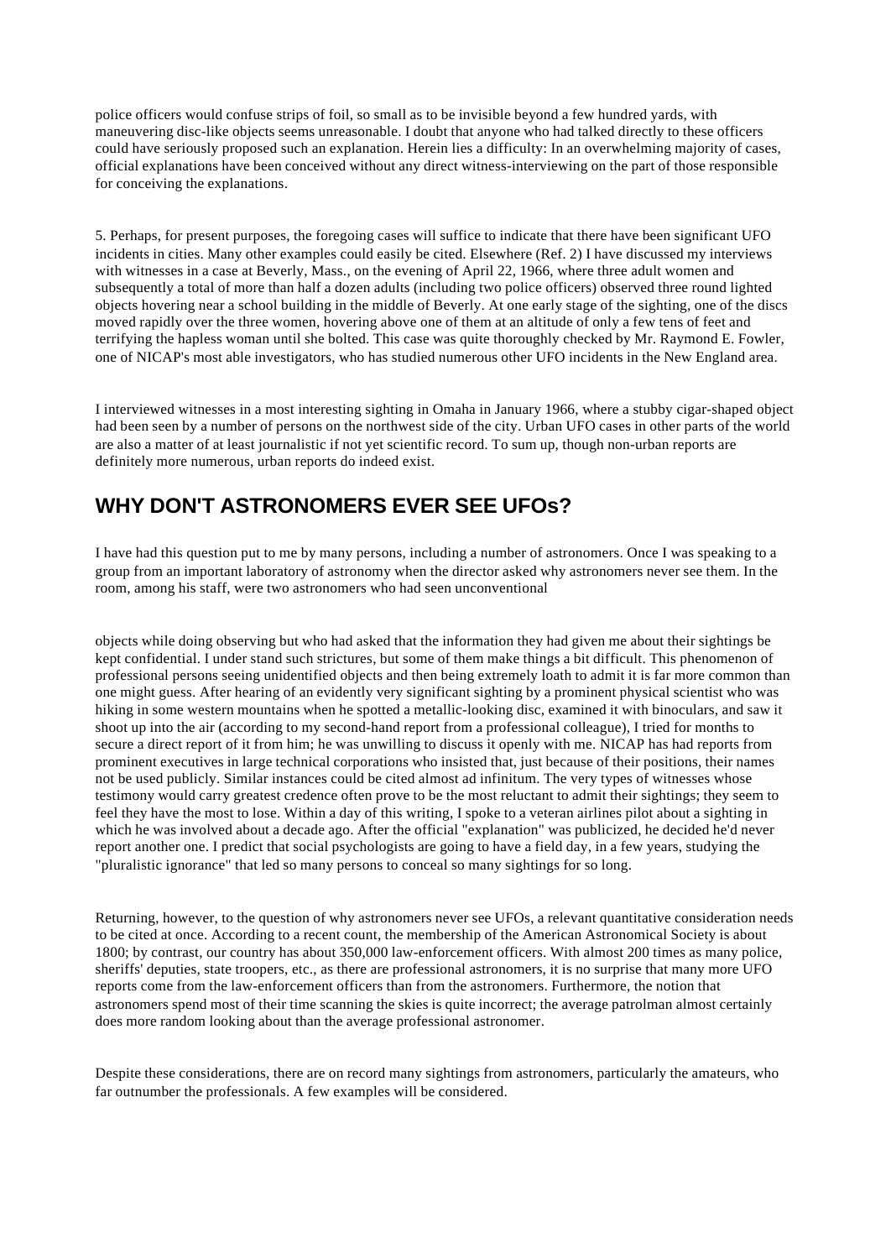police officers would confuse strips of foil, so small as to be invisible beyond a few hundred yards, with maneuvering disc-like objects seems unreasonable. I doubt that anyone who had talked directly to these officers could have seriously proposed such an explanation. Herein lies a difficulty: In an overwhelming majority of cases, official explanations have been conceived without any direct witness-interviewing on the part of those responsible for conceiving the explanations.

5. Perhaps, for present purposes, the foregoing cases will suffice to indicate that there have been significant UFO incidents in cities. Many other examples could easily be cited. Elsewhere (Ref. 2) I have discussed my interviews with witnesses in a case at Beverly, Mass., on the evening of April 22, 1966, where three adult women and subsequently a total of more than half a dozen adults (including two police officers) observed three round lighted objects hovering near a school building in the middle of Beverly. At one early stage of the sighting, one of the discs moved rapidly over the three women, hovering above one of them at an altitude of only a few tens of feet and terrifying the hapless woman until she bolted. This case was quite thoroughly checked by Mr. Raymond E. Fowler, one of NICAP's most able investigators, who has studied numerous other UFO incidents in the New England area.

I interviewed witnesses in a most interesting sighting in Omaha in January 1966, where a stubby cigar-shaped object had been seen by a number of persons on the northwest side of the city. Urban UFO cases in other parts of the world are also a matter of at least journalistic if not yet scientific record. To sum up, though non-urban reports are definitely more numerous, urban reports do indeed exist.

# **WHY DON'T ASTRONOMERS EVER SEE UFOs?**

I have had this question put to me by many persons, including a number of astronomers. Once I was speaking to a group from an important laboratory of astronomy when the director asked why astronomers never see them. In the room, among his staff, were two astronomers who had seen unconventional

objects while doing observing but who had asked that the information they had given me about their sightings be kept confidential. I under stand such strictures, but some of them make things a bit difficult. This phenomenon of professional persons seeing unidentified objects and then being extremely loath to admit it is far more common than one might guess. After hearing of an evidently very significant sighting by a prominent physical scientist who was hiking in some western mountains when he spotted a metallic-looking disc, examined it with binoculars, and saw it shoot up into the air (according to my second-hand report from a professional colleague), I tried for months to secure a direct report of it from him; he was unwilling to discuss it openly with me. NICAP has had reports from prominent executives in large technical corporations who insisted that, just because of their positions, their names not be used publicly. Similar instances could be cited almost ad infinitum. The very types of witnesses whose testimony would carry greatest credence often prove to be the most reluctant to admit their sightings; they seem to feel they have the most to lose. Within a day of this writing, I spoke to a veteran airlines pilot about a sighting in which he was involved about a decade ago. After the official "explanation" was publicized, he decided he'd never report another one. I predict that social psychologists are going to have a field day, in a few years, studying the "pluralistic ignorance" that led so many persons to conceal so many sightings for so long.

Returning, however, to the question of why astronomers never see UFOs, a relevant quantitative consideration needs to be cited at once. According to a recent count, the membership of the American Astronomical Society is about 1800; by contrast, our country has about 350,000 law-enforcement officers. With almost 200 times as many police, sheriffs' deputies, state troopers, etc., as there are professional astronomers, it is no surprise that many more UFO reports come from the law-enforcement officers than from the astronomers. Furthermore, the notion that astronomers spend most of their time scanning the skies is quite incorrect; the average patrolman almost certainly does more random looking about than the average professional astronomer.

Despite these considerations, there are on record many sightings from astronomers, particularly the amateurs, who far outnumber the professionals. A few examples will be considered.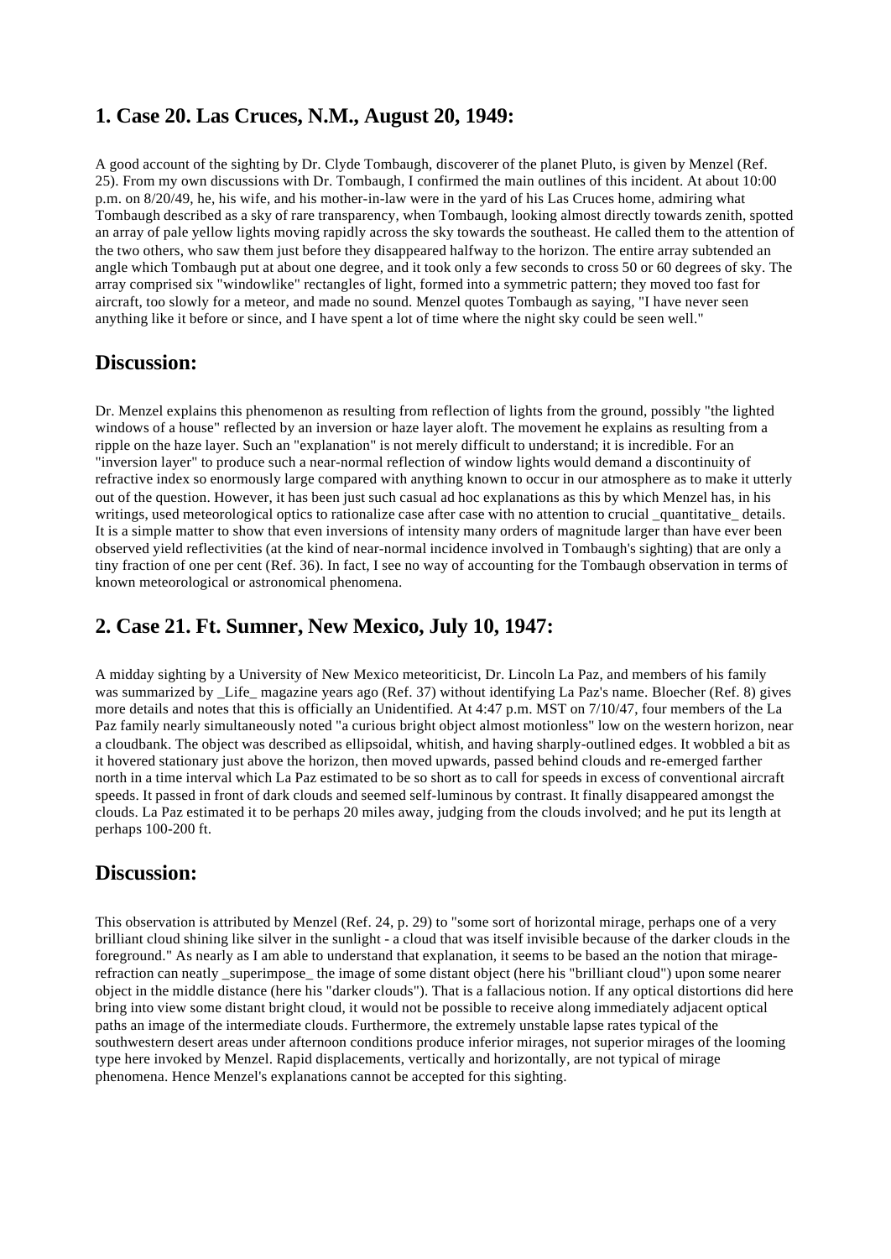# **1. Case 20. Las Cruces, N.M., August 20, 1949:**

A good account of the sighting by Dr. Clyde Tombaugh, discoverer of the planet Pluto, is given by Menzel (Ref. 25). From my own discussions with Dr. Tombaugh, I confirmed the main outlines of this incident. At about 10:00 p.m. on 8/20/49, he, his wife, and his mother-in-law were in the yard of his Las Cruces home, admiring what Tombaugh described as a sky of rare transparency, when Tombaugh, looking almost directly towards zenith, spotted an array of pale yellow lights moving rapidly across the sky towards the southeast. He called them to the attention of the two others, who saw them just before they disappeared halfway to the horizon. The entire array subtended an angle which Tombaugh put at about one degree, and it took only a few seconds to cross 50 or 60 degrees of sky. The array comprised six "windowlike" rectangles of light, formed into a symmetric pattern; they moved too fast for aircraft, too slowly for a meteor, and made no sound. Menzel quotes Tombaugh as saying, "I have never seen anything like it before or since, and I have spent a lot of time where the night sky could be seen well."

# **Discussion:**

Dr. Menzel explains this phenomenon as resulting from reflection of lights from the ground, possibly "the lighted windows of a house" reflected by an inversion or haze layer aloft. The movement he explains as resulting from a ripple on the haze layer. Such an "explanation" is not merely difficult to understand; it is incredible. For an "inversion layer" to produce such a near-normal reflection of window lights would demand a discontinuity of refractive index so enormously large compared with anything known to occur in our atmosphere as to make it utterly out of the question. However, it has been just such casual ad hoc explanations as this by which Menzel has, in his writings, used meteorological optics to rationalize case after case with no attention to crucial \_quantitative\_ details. It is a simple matter to show that even inversions of intensity many orders of magnitude larger than have ever been observed yield reflectivities (at the kind of near-normal incidence involved in Tombaugh's sighting) that are only a tiny fraction of one per cent (Ref. 36). In fact, I see no way of accounting for the Tombaugh observation in terms of known meteorological or astronomical phenomena.

# **2. Case 21. Ft. Sumner, New Mexico, July 10, 1947:**

A midday sighting by a University of New Mexico meteoriticist, Dr. Lincoln La Paz, and members of his family was summarized by Life magazine years ago (Ref. 37) without identifying La Paz's name. Bloecher (Ref. 8) gives more details and notes that this is officially an Unidentified. At 4:47 p.m. MST on 7/10/47, four members of the La Paz family nearly simultaneously noted "a curious bright object almost motionless" low on the western horizon, near a cloudbank. The object was described as ellipsoidal, whitish, and having sharply-outlined edges. It wobbled a bit as it hovered stationary just above the horizon, then moved upwards, passed behind clouds and re-emerged farther north in a time interval which La Paz estimated to be so short as to call for speeds in excess of conventional aircraft speeds. It passed in front of dark clouds and seemed self-luminous by contrast. It finally disappeared amongst the clouds. La Paz estimated it to be perhaps 20 miles away, judging from the clouds involved; and he put its length at perhaps 100-200 ft.

# **Discussion:**

This observation is attributed by Menzel (Ref. 24, p. 29) to "some sort of horizontal mirage, perhaps one of a very brilliant cloud shining like silver in the sunlight - a cloud that was itself invisible because of the darker clouds in the foreground." As nearly as I am able to understand that explanation, it seems to be based an the notion that miragerefraction can neatly \_superimpose\_ the image of some distant object (here his "brilliant cloud") upon some nearer object in the middle distance (here his "darker clouds"). That is a fallacious notion. If any optical distortions did here bring into view some distant bright cloud, it would not be possible to receive along immediately adjacent optical paths an image of the intermediate clouds. Furthermore, the extremely unstable lapse rates typical of the southwestern desert areas under afternoon conditions produce inferior mirages, not superior mirages of the looming type here invoked by Menzel. Rapid displacements, vertically and horizontally, are not typical of mirage phenomena. Hence Menzel's explanations cannot be accepted for this sighting.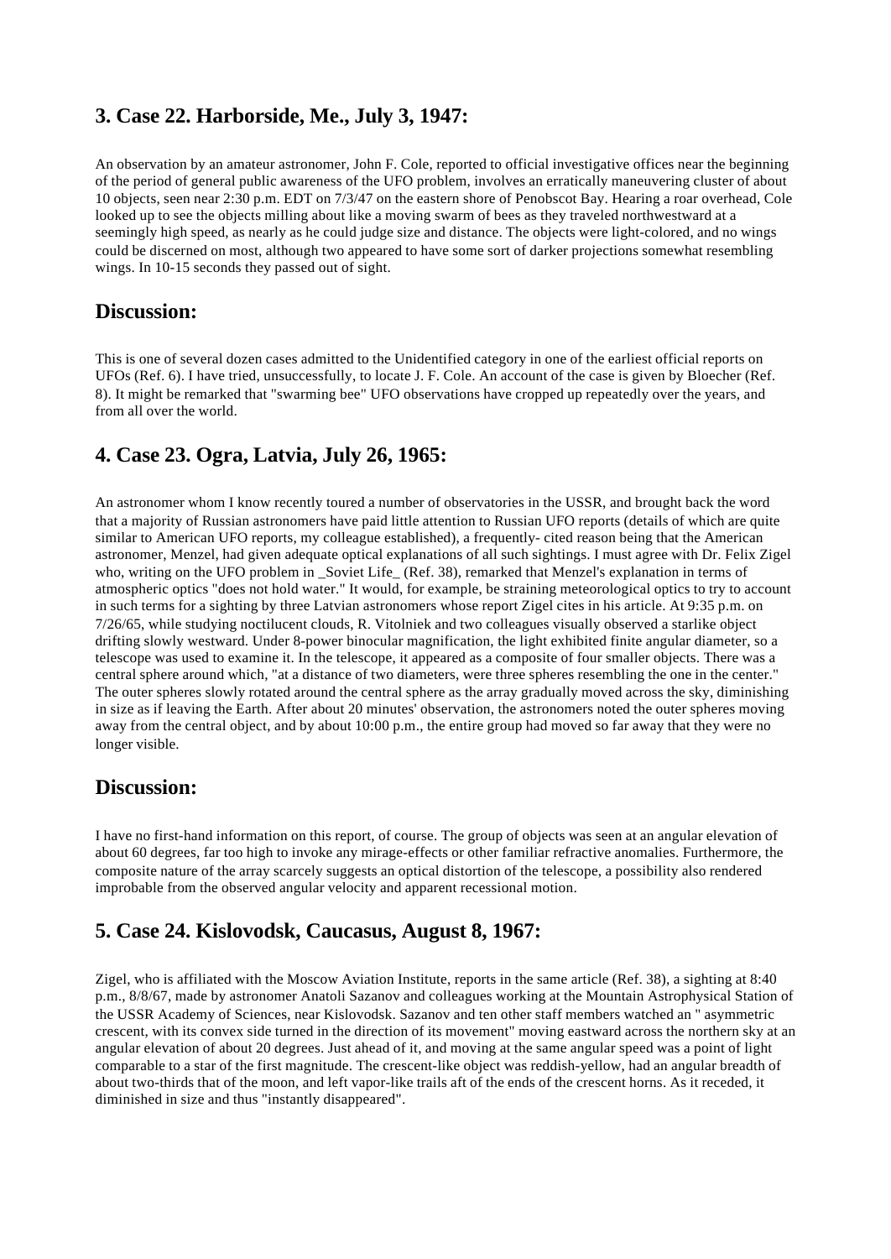# **3. Case 22. Harborside, Me., July 3, 1947:**

An observation by an amateur astronomer, John F. Cole, reported to official investigative offices near the beginning of the period of general public awareness of the UFO problem, involves an erratically maneuvering cluster of about 10 objects, seen near 2:30 p.m. EDT on 7/3/47 on the eastern shore of Penobscot Bay. Hearing a roar overhead, Cole looked up to see the objects milling about like a moving swarm of bees as they traveled northwestward at a seemingly high speed, as nearly as he could judge size and distance. The objects were light-colored, and no wings could be discerned on most, although two appeared to have some sort of darker projections somewhat resembling wings. In 10-15 seconds they passed out of sight.

#### **Discussion:**

This is one of several dozen cases admitted to the Unidentified category in one of the earliest official reports on UFOs (Ref. 6). I have tried, unsuccessfully, to locate J. F. Cole. An account of the case is given by Bloecher (Ref. 8). It might be remarked that "swarming bee" UFO observations have cropped up repeatedly over the years, and from all over the world.

# **4. Case 23. Ogra, Latvia, July 26, 1965:**

An astronomer whom I know recently toured a number of observatories in the USSR, and brought back the word that a majority of Russian astronomers have paid little attention to Russian UFO reports (details of which are quite similar to American UFO reports, my colleague established), a frequently- cited reason being that the American astronomer, Menzel, had given adequate optical explanations of all such sightings. I must agree with Dr. Felix Zigel who, writing on the UFO problem in \_Soviet Life\_ (Ref. 38), remarked that Menzel's explanation in terms of atmospheric optics "does not hold water." It would, for example, be straining meteorological optics to try to account in such terms for a sighting by three Latvian astronomers whose report Zigel cites in his article. At 9:35 p.m. on 7/26/65, while studying noctilucent clouds, R. Vitolniek and two colleagues visually observed a starlike object drifting slowly westward. Under 8-power binocular magnification, the light exhibited finite angular diameter, so a telescope was used to examine it. In the telescope, it appeared as a composite of four smaller objects. There was a central sphere around which, "at a distance of two diameters, were three spheres resembling the one in the center." The outer spheres slowly rotated around the central sphere as the array gradually moved across the sky, diminishing in size as if leaving the Earth. After about 20 minutes' observation, the astronomers noted the outer spheres moving away from the central object, and by about 10:00 p.m., the entire group had moved so far away that they were no longer visible.

### **Discussion:**

I have no first-hand information on this report, of course. The group of objects was seen at an angular elevation of about 60 degrees, far too high to invoke any mirage-effects or other familiar refractive anomalies. Furthermore, the composite nature of the array scarcely suggests an optical distortion of the telescope, a possibility also rendered improbable from the observed angular velocity and apparent recessional motion.

# **5. Case 24. Kislovodsk, Caucasus, August 8, 1967:**

Zigel, who is affiliated with the Moscow Aviation Institute, reports in the same article (Ref. 38), a sighting at 8:40 p.m., 8/8/67, made by astronomer Anatoli Sazanov and colleagues working at the Mountain Astrophysical Station of the USSR Academy of Sciences, near Kislovodsk. Sazanov and ten other staff members watched an " asymmetric crescent, with its convex side turned in the direction of its movement" moving eastward across the northern sky at an angular elevation of about 20 degrees. Just ahead of it, and moving at the same angular speed was a point of light comparable to a star of the first magnitude. The crescent-like object was reddish-yellow, had an angular breadth of about two-thirds that of the moon, and left vapor-like trails aft of the ends of the crescent horns. As it receded, it diminished in size and thus "instantly disappeared".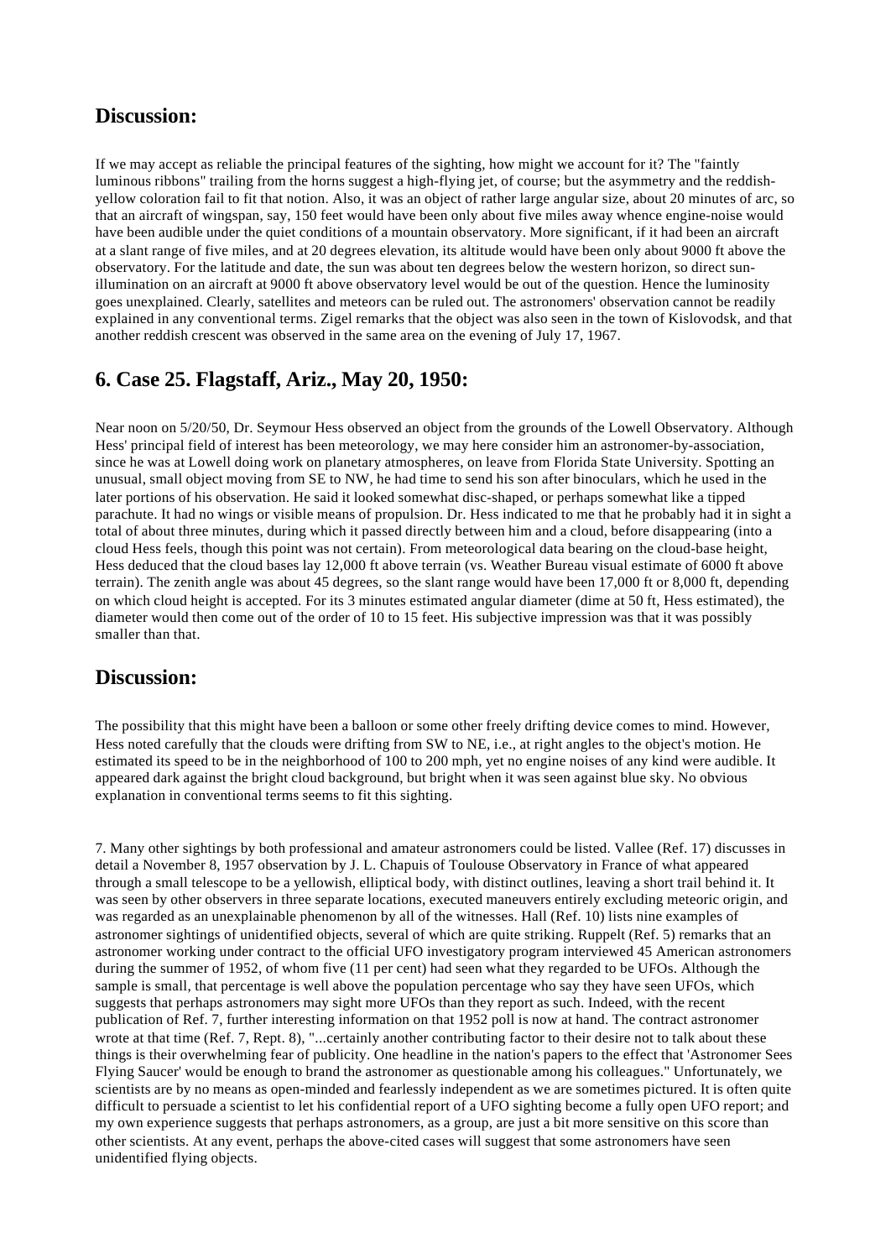### **Discussion:**

If we may accept as reliable the principal features of the sighting, how might we account for it? The "faintly luminous ribbons" trailing from the horns suggest a high-flying jet, of course; but the asymmetry and the reddishyellow coloration fail to fit that notion. Also, it was an object of rather large angular size, about 20 minutes of arc, so that an aircraft of wingspan, say, 150 feet would have been only about five miles away whence engine-noise would have been audible under the quiet conditions of a mountain observatory. More significant, if it had been an aircraft at a slant range of five miles, and at 20 degrees elevation, its altitude would have been only about 9000 ft above the observatory. For the latitude and date, the sun was about ten degrees below the western horizon, so direct sunillumination on an aircraft at 9000 ft above observatory level would be out of the question. Hence the luminosity goes unexplained. Clearly, satellites and meteors can be ruled out. The astronomers' observation cannot be readily explained in any conventional terms. Zigel remarks that the object was also seen in the town of Kislovodsk, and that another reddish crescent was observed in the same area on the evening of July 17, 1967.

#### **6. Case 25. Flagstaff, Ariz., May 20, 1950:**

Near noon on 5/20/50, Dr. Seymour Hess observed an object from the grounds of the Lowell Observatory. Although Hess' principal field of interest has been meteorology, we may here consider him an astronomer-by-association, since he was at Lowell doing work on planetary atmospheres, on leave from Florida State University. Spotting an unusual, small object moving from SE to NW, he had time to send his son after binoculars, which he used in the later portions of his observation. He said it looked somewhat disc-shaped, or perhaps somewhat like a tipped parachute. It had no wings or visible means of propulsion. Dr. Hess indicated to me that he probably had it in sight a total of about three minutes, during which it passed directly between him and a cloud, before disappearing (into a cloud Hess feels, though this point was not certain). From meteorological data bearing on the cloud-base height, Hess deduced that the cloud bases lay 12,000 ft above terrain (vs. Weather Bureau visual estimate of 6000 ft above terrain). The zenith angle was about 45 degrees, so the slant range would have been 17,000 ft or 8,000 ft, depending on which cloud height is accepted. For its 3 minutes estimated angular diameter (dime at 50 ft, Hess estimated), the diameter would then come out of the order of 10 to 15 feet. His subjective impression was that it was possibly smaller than that.

### **Discussion:**

The possibility that this might have been a balloon or some other freely drifting device comes to mind. However, Hess noted carefully that the clouds were drifting from SW to NE, i.e., at right angles to the object's motion. He estimated its speed to be in the neighborhood of 100 to 200 mph, yet no engine noises of any kind were audible. It appeared dark against the bright cloud background, but bright when it was seen against blue sky. No obvious explanation in conventional terms seems to fit this sighting.

7. Many other sightings by both professional and amateur astronomers could be listed. Vallee (Ref. 17) discusses in detail a November 8, 1957 observation by J. L. Chapuis of Toulouse Observatory in France of what appeared through a small telescope to be a yellowish, elliptical body, with distinct outlines, leaving a short trail behind it. It was seen by other observers in three separate locations, executed maneuvers entirely excluding meteoric origin, and was regarded as an unexplainable phenomenon by all of the witnesses. Hall (Ref. 10) lists nine examples of astronomer sightings of unidentified objects, several of which are quite striking. Ruppelt (Ref. 5) remarks that an astronomer working under contract to the official UFO investigatory program interviewed 45 American astronomers during the summer of 1952, of whom five (11 per cent) had seen what they regarded to be UFOs. Although the sample is small, that percentage is well above the population percentage who say they have seen UFOs, which suggests that perhaps astronomers may sight more UFOs than they report as such. Indeed, with the recent publication of Ref. 7, further interesting information on that 1952 poll is now at hand. The contract astronomer wrote at that time (Ref. 7, Rept. 8), "...certainly another contributing factor to their desire not to talk about these things is their overwhelming fear of publicity. One headline in the nation's papers to the effect that 'Astronomer Sees Flying Saucer' would be enough to brand the astronomer as questionable among his colleagues." Unfortunately, we scientists are by no means as open-minded and fearlessly independent as we are sometimes pictured. It is often quite difficult to persuade a scientist to let his confidential report of a UFO sighting become a fully open UFO report; and my own experience suggests that perhaps astronomers, as a group, are just a bit more sensitive on this score than other scientists. At any event, perhaps the above-cited cases will suggest that some astronomers have seen unidentified flying objects.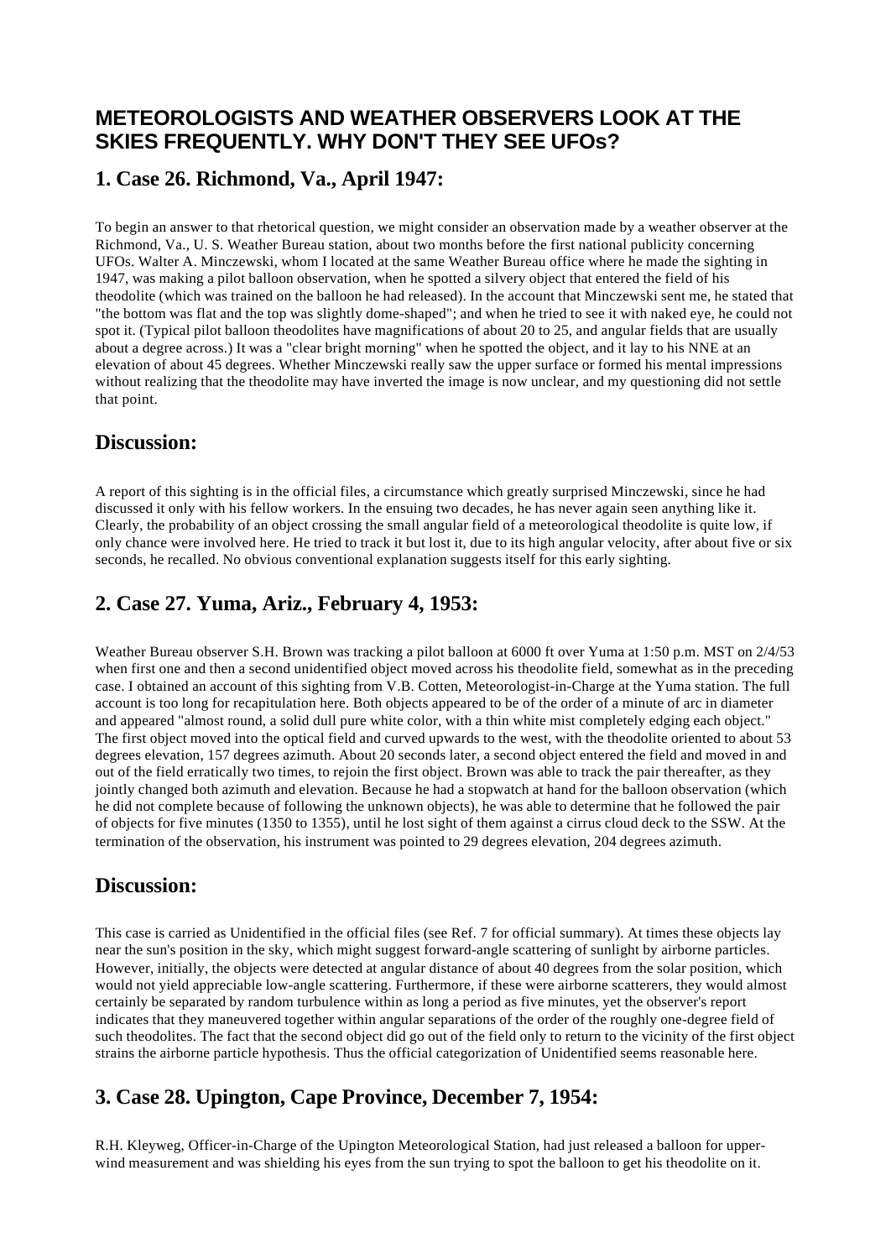# **METEOROLOGISTS AND WEATHER OBSERVERS LOOK AT THE SKIES FREQUENTLY. WHY DON'T THEY SEE UFOs?**

# **1. Case 26. Richmond, Va., April 1947:**

To begin an answer to that rhetorical question, we might consider an observation made by a weather observer at the Richmond, Va., U. S. Weather Bureau station, about two months before the first national publicity concerning UFOs. Walter A. Minczewski, whom I located at the same Weather Bureau office where he made the sighting in 1947, was making a pilot balloon observation, when he spotted a silvery object that entered the field of his theodolite (which was trained on the balloon he had released). In the account that Minczewski sent me, he stated that "the bottom was flat and the top was slightly dome-shaped"; and when he tried to see it with naked eye, he could not spot it. (Typical pilot balloon theodolites have magnifications of about 20 to 25, and angular fields that are usually about a degree across.) It was a "clear bright morning" when he spotted the object, and it lay to his NNE at an elevation of about 45 degrees. Whether Minczewski really saw the upper surface or formed his mental impressions without realizing that the theodolite may have inverted the image is now unclear, and my questioning did not settle that point.

### **Discussion:**

A report of this sighting is in the official files, a circumstance which greatly surprised Minczewski, since he had discussed it only with his fellow workers. In the ensuing two decades, he has never again seen anything like it. Clearly, the probability of an object crossing the small angular field of a meteorological theodolite is quite low, if only chance were involved here. He tried to track it but lost it, due to its high angular velocity, after about five or six seconds, he recalled. No obvious conventional explanation suggests itself for this early sighting.

# **2. Case 27. Yuma, Ariz., February 4, 1953:**

Weather Bureau observer S.H. Brown was tracking a pilot balloon at 6000 ft over Yuma at 1:50 p.m. MST on 2/4/53 when first one and then a second unidentified object moved across his theodolite field, somewhat as in the preceding case. I obtained an account of this sighting from V.B. Cotten, Meteorologist-in-Charge at the Yuma station. The full account is too long for recapitulation here. Both objects appeared to be of the order of a minute of arc in diameter and appeared "almost round, a solid dull pure white color, with a thin white mist completely edging each object." The first object moved into the optical field and curved upwards to the west, with the theodolite oriented to about 53 degrees elevation, 157 degrees azimuth. About 20 seconds later, a second object entered the field and moved in and out of the field erratically two times, to rejoin the first object. Brown was able to track the pair thereafter, as they jointly changed both azimuth and elevation. Because he had a stopwatch at hand for the balloon observation (which he did not complete because of following the unknown objects), he was able to determine that he followed the pair of objects for five minutes (1350 to 1355), until he lost sight of them against a cirrus cloud deck to the SSW. At the termination of the observation, his instrument was pointed to 29 degrees elevation, 204 degrees azimuth.

# **Discussion:**

This case is carried as Unidentified in the official files (see Ref. 7 for official summary). At times these objects lay near the sun's position in the sky, which might suggest forward-angle scattering of sunlight by airborne particles. However, initially, the objects were detected at angular distance of about 40 degrees from the solar position, which would not yield appreciable low-angle scattering. Furthermore, if these were airborne scatterers, they would almost certainly be separated by random turbulence within as long a period as five minutes, yet the observer's report indicates that they maneuvered together within angular separations of the order of the roughly one-degree field of such theodolites. The fact that the second object did go out of the field only to return to the vicinity of the first object strains the airborne particle hypothesis. Thus the official categorization of Unidentified seems reasonable here.

# **3. Case 28. Upington, Cape Province, December 7, 1954:**

R.H. Kleyweg, Officer-in-Charge of the Upington Meteorological Station, had just released a balloon for upperwind measurement and was shielding his eyes from the sun trying to spot the balloon to get his theodolite on it.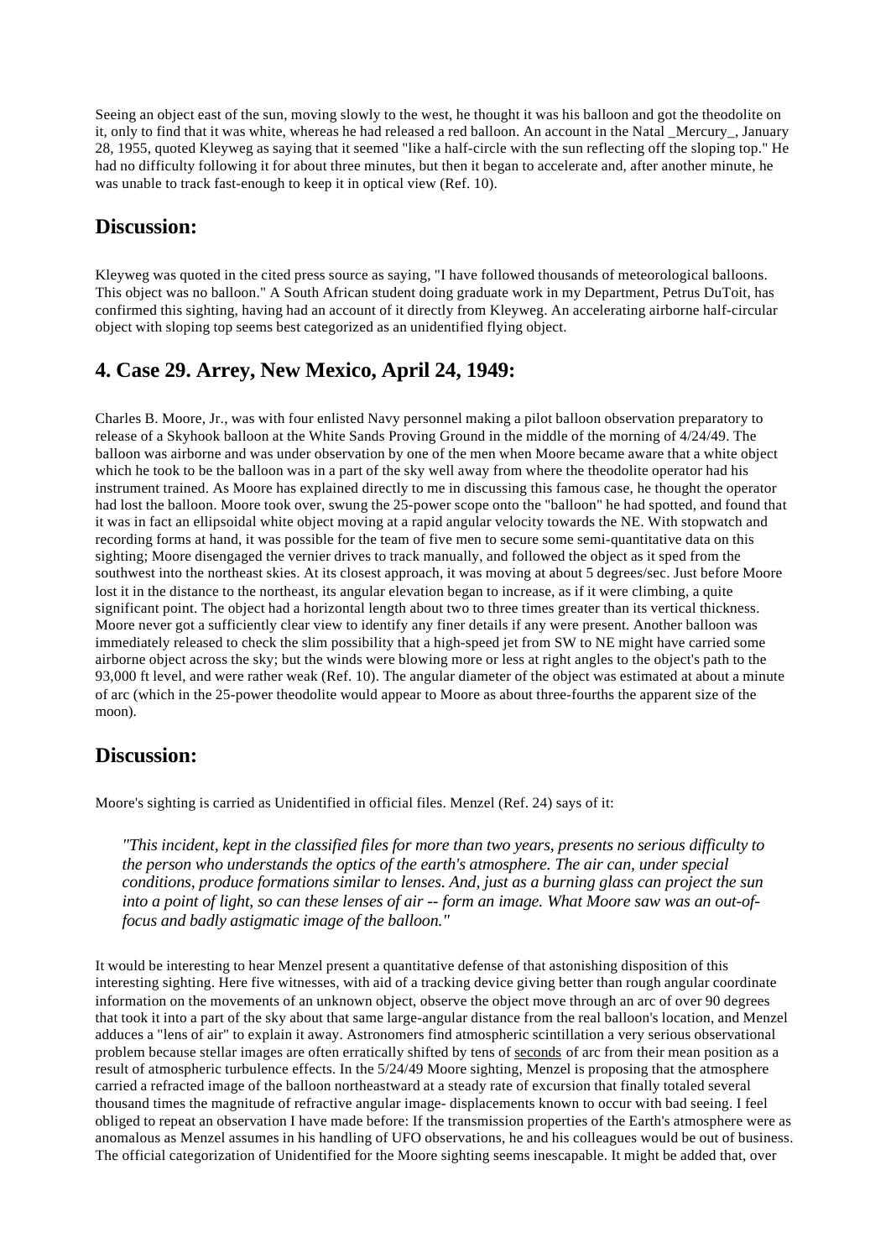Seeing an object east of the sun, moving slowly to the west, he thought it was his balloon and got the theodolite on it, only to find that it was white, whereas he had released a red balloon. An account in the Natal \_Mercury\_, January 28, 1955, quoted Kleyweg as saying that it seemed "like a half-circle with the sun reflecting off the sloping top." He had no difficulty following it for about three minutes, but then it began to accelerate and, after another minute, he was unable to track fast-enough to keep it in optical view (Ref. 10).

### **Discussion:**

Kleyweg was quoted in the cited press source as saying, "I have followed thousands of meteorological balloons. This object was no balloon." A South African student doing graduate work in my Department, Petrus DuToit, has confirmed this sighting, having had an account of it directly from Kleyweg. An accelerating airborne half-circular object with sloping top seems best categorized as an unidentified flying object.

# **4. Case 29. Arrey, New Mexico, April 24, 1949:**

Charles B. Moore, Jr., was with four enlisted Navy personnel making a pilot balloon observation preparatory to release of a Skyhook balloon at the White Sands Proving Ground in the middle of the morning of 4/24/49. The balloon was airborne and was under observation by one of the men when Moore became aware that a white object which he took to be the balloon was in a part of the sky well away from where the theodolite operator had his instrument trained. As Moore has explained directly to me in discussing this famous case, he thought the operator had lost the balloon. Moore took over, swung the 25-power scope onto the "balloon" he had spotted, and found that it was in fact an ellipsoidal white object moving at a rapid angular velocity towards the NE. With stopwatch and recording forms at hand, it was possible for the team of five men to secure some semi-quantitative data on this sighting; Moore disengaged the vernier drives to track manually, and followed the object as it sped from the southwest into the northeast skies. At its closest approach, it was moving at about 5 degrees/sec. Just before Moore lost it in the distance to the northeast, its angular elevation began to increase, as if it were climbing, a quite significant point. The object had a horizontal length about two to three times greater than its vertical thickness. Moore never got a sufficiently clear view to identify any finer details if any were present. Another balloon was immediately released to check the slim possibility that a high-speed jet from SW to NE might have carried some airborne object across the sky; but the winds were blowing more or less at right angles to the object's path to the 93,000 ft level, and were rather weak (Ref. 10). The angular diameter of the object was estimated at about a minute of arc (which in the 25-power theodolite would appear to Moore as about three-fourths the apparent size of the moon).

# **Discussion:**

Moore's sighting is carried as Unidentified in official files. Menzel (Ref. 24) says of it:

*"This incident, kept in the classified files for more than two years, presents no serious difficulty to the person who understands the optics of the earth's atmosphere. The air can, under special conditions, produce formations similar to lenses. And, just as a burning glass can project the sun into a point of light, so can these lenses of air -- form an image. What Moore saw was an out-offocus and badly astigmatic image of the balloon."*

It would be interesting to hear Menzel present a quantitative defense of that astonishing disposition of this interesting sighting. Here five witnesses, with aid of a tracking device giving better than rough angular coordinate information on the movements of an unknown object, observe the object move through an arc of over 90 degrees that took it into a part of the sky about that same large-angular distance from the real balloon's location, and Menzel adduces a "lens of air" to explain it away. Astronomers find atmospheric scintillation a very serious observational problem because stellar images are often erratically shifted by tens of seconds of arc from their mean position as a result of atmospheric turbulence effects. In the 5/24/49 Moore sighting, Menzel is proposing that the atmosphere carried a refracted image of the balloon northeastward at a steady rate of excursion that finally totaled several thousand times the magnitude of refractive angular image- displacements known to occur with bad seeing. I feel obliged to repeat an observation I have made before: If the transmission properties of the Earth's atmosphere were as anomalous as Menzel assumes in his handling of UFO observations, he and his colleagues would be out of business. The official categorization of Unidentified for the Moore sighting seems inescapable. It might be added that, over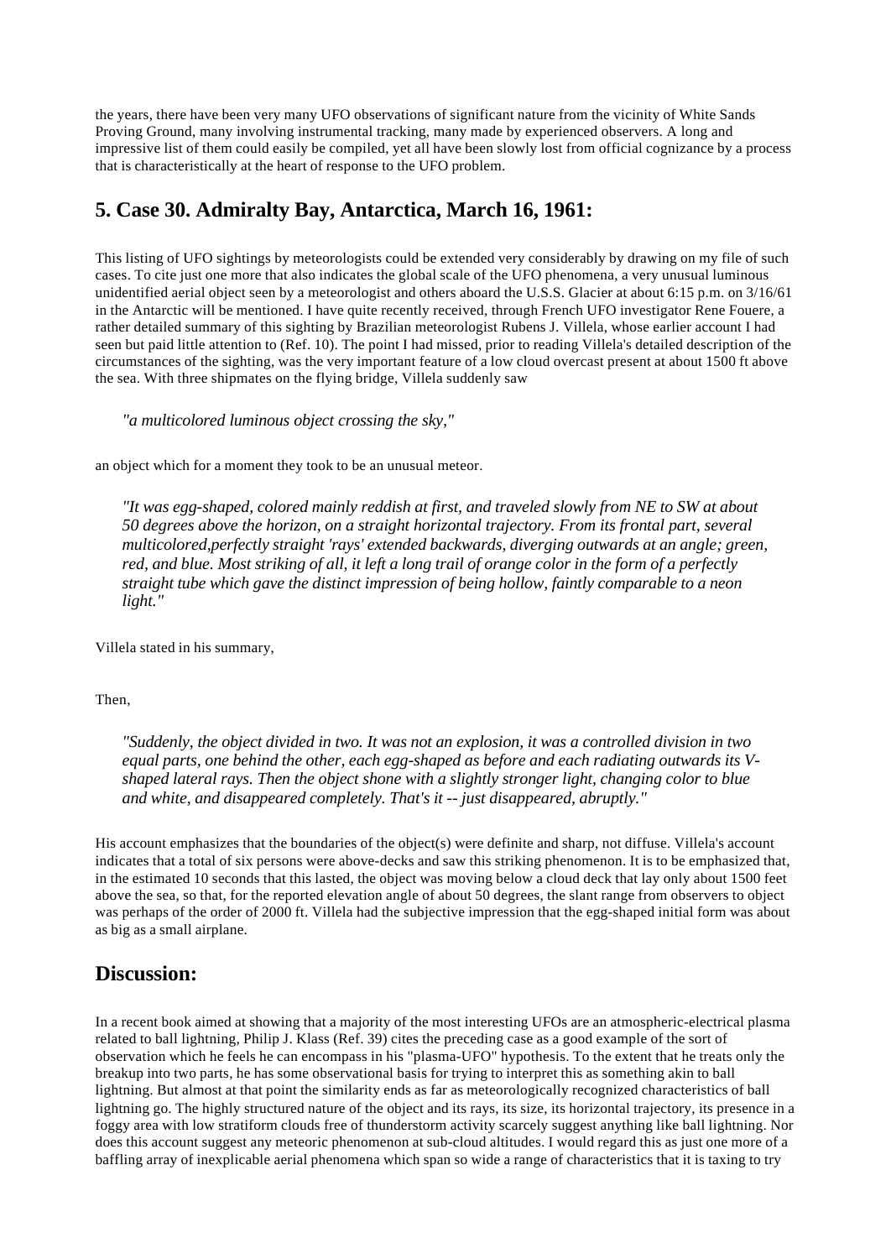the years, there have been very many UFO observations of significant nature from the vicinity of White Sands Proving Ground, many involving instrumental tracking, many made by experienced observers. A long and impressive list of them could easily be compiled, yet all have been slowly lost from official cognizance by a process that is characteristically at the heart of response to the UFO problem.

# **5. Case 30. Admiralty Bay, Antarctica, March 16, 1961:**

This listing of UFO sightings by meteorologists could be extended very considerably by drawing on my file of such cases. To cite just one more that also indicates the global scale of the UFO phenomena, a very unusual luminous unidentified aerial object seen by a meteorologist and others aboard the U.S.S. Glacier at about 6:15 p.m. on 3/16/61 in the Antarctic will be mentioned. I have quite recently received, through French UFO investigator Rene Fouere, a rather detailed summary of this sighting by Brazilian meteorologist Rubens J. Villela, whose earlier account I had seen but paid little attention to (Ref. 10). The point I had missed, prior to reading Villela's detailed description of the circumstances of the sighting, was the very important feature of a low cloud overcast present at about 1500 ft above the sea. With three shipmates on the flying bridge, Villela suddenly saw

*"a multicolored luminous object crossing the sky,"*

an object which for a moment they took to be an unusual meteor.

*"It was egg-shaped, colored mainly reddish at first, and traveled slowly from NE to SW at about 50 degrees above the horizon, on a straight horizontal trajectory. From its frontal part, several multicolored,perfectly straight 'rays' extended backwards, diverging outwards at an angle; green, red, and blue. Most striking of all, it left a long trail of orange color in the form of a perfectly straight tube which gave the distinct impression of being hollow, faintly comparable to a neon light."*

Villela stated in his summary,

#### Then,

*"Suddenly, the object divided in two. It was not an explosion, it was a controlled division in two equal parts, one behind the other, each egg-shaped as before and each radiating outwards its Vshaped lateral rays. Then the object shone with a slightly stronger light, changing color to blue and white, and disappeared completely. That's it -- just disappeared, abruptly."*

His account emphasizes that the boundaries of the object(s) were definite and sharp, not diffuse. Villela's account indicates that a total of six persons were above-decks and saw this striking phenomenon. It is to be emphasized that, in the estimated 10 seconds that this lasted, the object was moving below a cloud deck that lay only about 1500 feet above the sea, so that, for the reported elevation angle of about 50 degrees, the slant range from observers to object was perhaps of the order of 2000 ft. Villela had the subjective impression that the egg-shaped initial form was about as big as a small airplane.

### **Discussion:**

In a recent book aimed at showing that a majority of the most interesting UFOs are an atmospheric-electrical plasma related to ball lightning, Philip J. Klass (Ref. 39) cites the preceding case as a good example of the sort of observation which he feels he can encompass in his "plasma-UFO" hypothesis. To the extent that he treats only the breakup into two parts, he has some observational basis for trying to interpret this as something akin to ball lightning. But almost at that point the similarity ends as far as meteorologically recognized characteristics of ball lightning go. The highly structured nature of the object and its rays, its size, its horizontal trajectory, its presence in a foggy area with low stratiform clouds free of thunderstorm activity scarcely suggest anything like ball lightning. Nor does this account suggest any meteoric phenomenon at sub-cloud altitudes. I would regard this as just one more of a baffling array of inexplicable aerial phenomena which span so wide a range of characteristics that it is taxing to try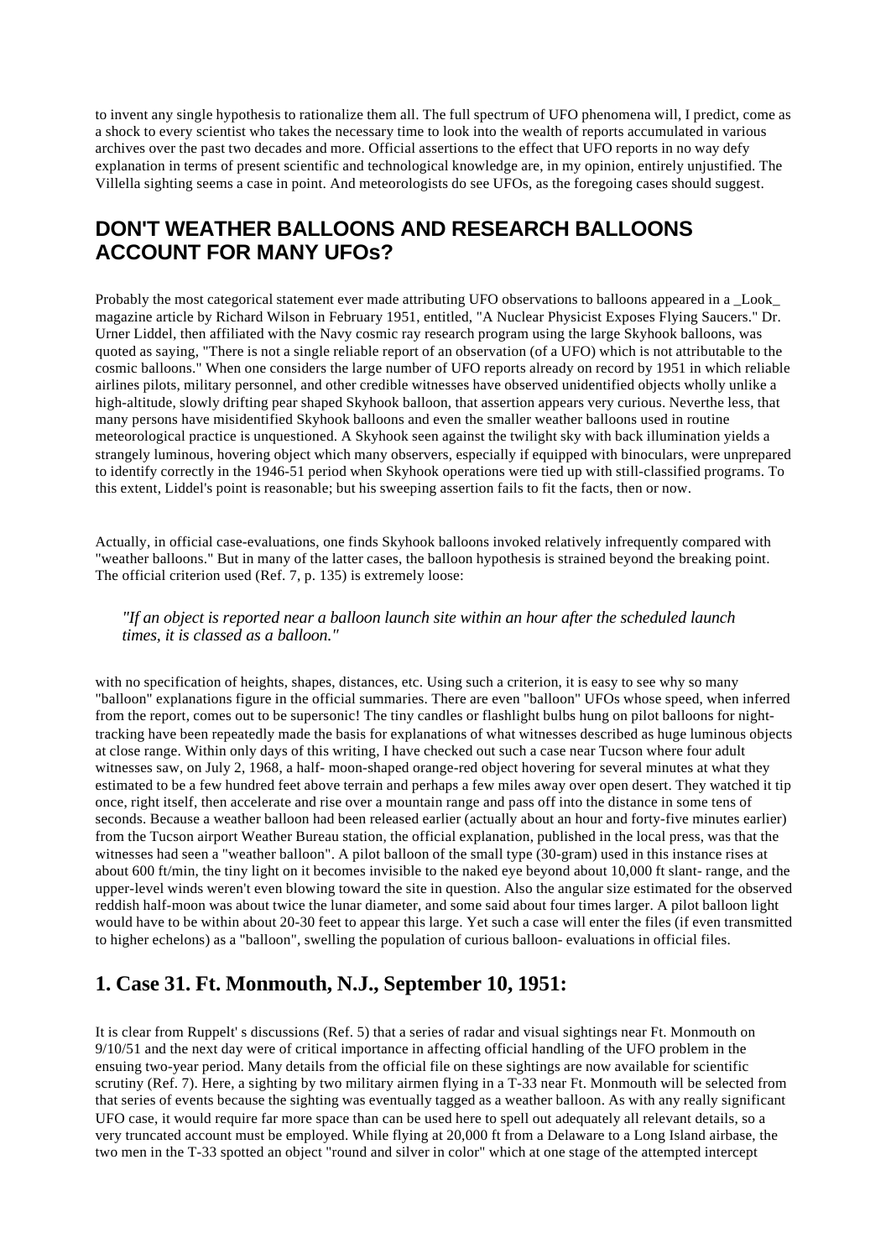to invent any single hypothesis to rationalize them all. The full spectrum of UFO phenomena will, I predict, come as a shock to every scientist who takes the necessary time to look into the wealth of reports accumulated in various archives over the past two decades and more. Official assertions to the effect that UFO reports in no way defy explanation in terms of present scientific and technological knowledge are, in my opinion, entirely unjustified. The Villella sighting seems a case in point. And meteorologists do see UFOs, as the foregoing cases should suggest.

# **DON'T WEATHER BALLOONS AND RESEARCH BALLOONS ACCOUNT FOR MANY UFOs?**

Probably the most categorical statement ever made attributing UFO observations to balloons appeared in a \_Look\_ magazine article by Richard Wilson in February 1951, entitled, "A Nuclear Physicist Exposes Flying Saucers." Dr. Urner Liddel, then affiliated with the Navy cosmic ray research program using the large Skyhook balloons, was quoted as saying, "There is not a single reliable report of an observation (of a UFO) which is not attributable to the cosmic balloons." When one considers the large number of UFO reports already on record by 1951 in which reliable airlines pilots, military personnel, and other credible witnesses have observed unidentified objects wholly unlike a high-altitude, slowly drifting pear shaped Skyhook balloon, that assertion appears very curious. Neverthe less, that many persons have misidentified Skyhook balloons and even the smaller weather balloons used in routine meteorological practice is unquestioned. A Skyhook seen against the twilight sky with back illumination yields a strangely luminous, hovering object which many observers, especially if equipped with binoculars, were unprepared to identify correctly in the 1946-51 period when Skyhook operations were tied up with still-classified programs. To this extent, Liddel's point is reasonable; but his sweeping assertion fails to fit the facts, then or now.

Actually, in official case-evaluations, one finds Skyhook balloons invoked relatively infrequently compared with "weather balloons." But in many of the latter cases, the balloon hypothesis is strained beyond the breaking point. The official criterion used (Ref. 7, p. 135) is extremely loose:

*"If an object is reported near a balloon launch site within an hour after the scheduled launch times, it is classed as a balloon."*

with no specification of heights, shapes, distances, etc. Using such a criterion, it is easy to see why so many "balloon" explanations figure in the official summaries. There are even "balloon" UFOs whose speed, when inferred from the report, comes out to be supersonic! The tiny candles or flashlight bulbs hung on pilot balloons for nighttracking have been repeatedly made the basis for explanations of what witnesses described as huge luminous objects at close range. Within only days of this writing, I have checked out such a case near Tucson where four adult witnesses saw, on July 2, 1968, a half- moon-shaped orange-red object hovering for several minutes at what they estimated to be a few hundred feet above terrain and perhaps a few miles away over open desert. They watched it tip once, right itself, then accelerate and rise over a mountain range and pass off into the distance in some tens of seconds. Because a weather balloon had been released earlier (actually about an hour and forty-five minutes earlier) from the Tucson airport Weather Bureau station, the official explanation, published in the local press, was that the witnesses had seen a "weather balloon". A pilot balloon of the small type (30-gram) used in this instance rises at about 600 ft/min, the tiny light on it becomes invisible to the naked eye beyond about 10,000 ft slant- range, and the upper-level winds weren't even blowing toward the site in question. Also the angular size estimated for the observed reddish half-moon was about twice the lunar diameter, and some said about four times larger. A pilot balloon light would have to be within about 20-30 feet to appear this large. Yet such a case will enter the files (if even transmitted to higher echelons) as a "balloon", swelling the population of curious balloon- evaluations in official files.

### **1. Case 31. Ft. Monmouth, N.J., September 10, 1951:**

It is clear from Ruppelt' s discussions (Ref. 5) that a series of radar and visual sightings near Ft. Monmouth on 9/10/51 and the next day were of critical importance in affecting official handling of the UFO problem in the ensuing two-year period. Many details from the official file on these sightings are now available for scientific scrutiny (Ref. 7). Here, a sighting by two military airmen flying in a T-33 near Ft. Monmouth will be selected from that series of events because the sighting was eventually tagged as a weather balloon. As with any really significant UFO case, it would require far more space than can be used here to spell out adequately all relevant details, so a very truncated account must be employed. While flying at 20,000 ft from a Delaware to a Long Island airbase, the two men in the T-33 spotted an object "round and silver in color" which at one stage of the attempted intercept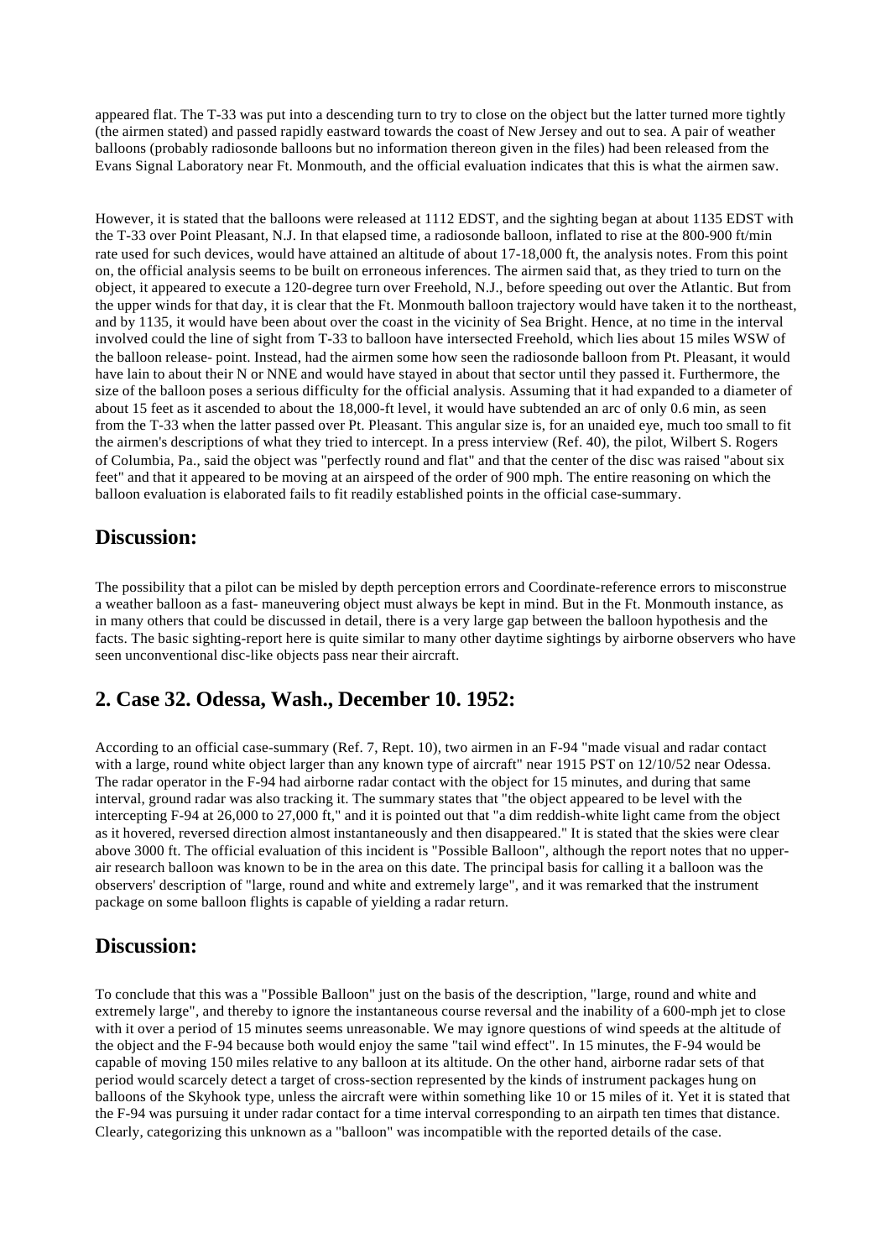appeared flat. The T-33 was put into a descending turn to try to close on the object but the latter turned more tightly (the airmen stated) and passed rapidly eastward towards the coast of New Jersey and out to sea. A pair of weather balloons (probably radiosonde balloons but no information thereon given in the files) had been released from the Evans Signal Laboratory near Ft. Monmouth, and the official evaluation indicates that this is what the airmen saw.

However, it is stated that the balloons were released at 1112 EDST, and the sighting began at about 1135 EDST with the T-33 over Point Pleasant, N.J. In that elapsed time, a radiosonde balloon, inflated to rise at the 800-900 ft/min rate used for such devices, would have attained an altitude of about 17-18,000 ft, the analysis notes. From this point on, the official analysis seems to be built on erroneous inferences. The airmen said that, as they tried to turn on the object, it appeared to execute a 120-degree turn over Freehold, N.J., before speeding out over the Atlantic. But from the upper winds for that day, it is clear that the Ft. Monmouth balloon trajectory would have taken it to the northeast, and by 1135, it would have been about over the coast in the vicinity of Sea Bright. Hence, at no time in the interval involved could the line of sight from T-33 to balloon have intersected Freehold, which lies about 15 miles WSW of the balloon release- point. Instead, had the airmen some how seen the radiosonde balloon from Pt. Pleasant, it would have lain to about their N or NNE and would have stayed in about that sector until they passed it. Furthermore, the size of the balloon poses a serious difficulty for the official analysis. Assuming that it had expanded to a diameter of about 15 feet as it ascended to about the 18,000-ft level, it would have subtended an arc of only 0.6 min, as seen from the T-33 when the latter passed over Pt. Pleasant. This angular size is, for an unaided eye, much too small to fit the airmen's descriptions of what they tried to intercept. In a press interview (Ref. 40), the pilot, Wilbert S. Rogers of Columbia, Pa., said the object was "perfectly round and flat" and that the center of the disc was raised "about six feet" and that it appeared to be moving at an airspeed of the order of 900 mph. The entire reasoning on which the balloon evaluation is elaborated fails to fit readily established points in the official case-summary.

### **Discussion:**

The possibility that a pilot can be misled by depth perception errors and Coordinate-reference errors to misconstrue a weather balloon as a fast- maneuvering object must always be kept in mind. But in the Ft. Monmouth instance, as in many others that could be discussed in detail, there is a very large gap between the balloon hypothesis and the facts. The basic sighting-report here is quite similar to many other daytime sightings by airborne observers who have seen unconventional disc-like objects pass near their aircraft.

# **2. Case 32. Odessa, Wash., December 10. 1952:**

According to an official case-summary (Ref. 7, Rept. 10), two airmen in an F-94 "made visual and radar contact with a large, round white object larger than any known type of aircraft" near 1915 PST on 12/10/52 near Odessa. The radar operator in the F-94 had airborne radar contact with the object for 15 minutes, and during that same interval, ground radar was also tracking it. The summary states that "the object appeared to be level with the intercepting F-94 at 26,000 to 27,000 ft," and it is pointed out that "a dim reddish-white light came from the object as it hovered, reversed direction almost instantaneously and then disappeared." It is stated that the skies were clear above 3000 ft. The official evaluation of this incident is "Possible Balloon", although the report notes that no upperair research balloon was known to be in the area on this date. The principal basis for calling it a balloon was the observers' description of "large, round and white and extremely large", and it was remarked that the instrument package on some balloon flights is capable of yielding a radar return.

### **Discussion:**

To conclude that this was a "Possible Balloon" just on the basis of the description, "large, round and white and extremely large", and thereby to ignore the instantaneous course reversal and the inability of a 600-mph jet to close with it over a period of 15 minutes seems unreasonable. We may ignore questions of wind speeds at the altitude of the object and the F-94 because both would enjoy the same "tail wind effect". In 15 minutes, the F-94 would be capable of moving 150 miles relative to any balloon at its altitude. On the other hand, airborne radar sets of that period would scarcely detect a target of cross-section represented by the kinds of instrument packages hung on balloons of the Skyhook type, unless the aircraft were within something like 10 or 15 miles of it. Yet it is stated that the F-94 was pursuing it under radar contact for a time interval corresponding to an airpath ten times that distance. Clearly, categorizing this unknown as a "balloon" was incompatible with the reported details of the case.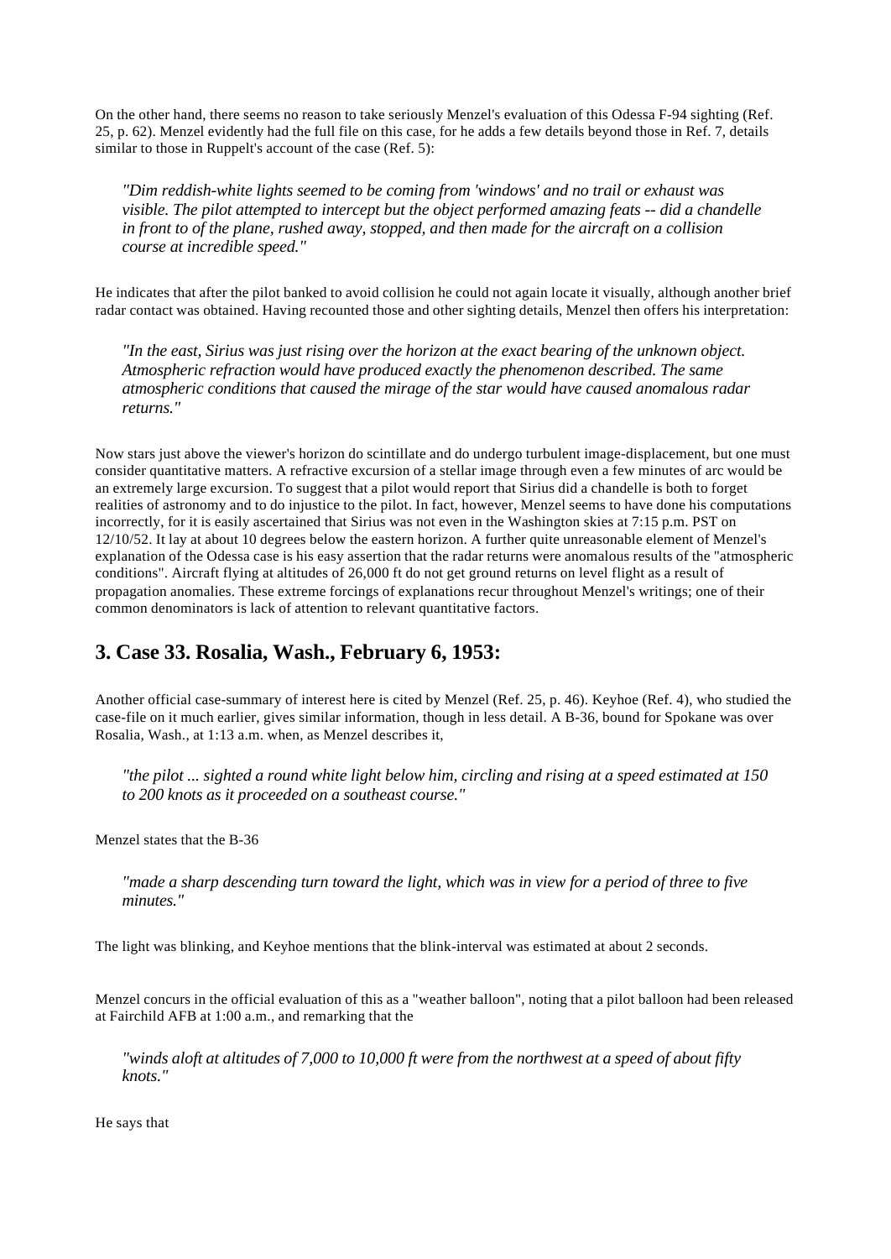On the other hand, there seems no reason to take seriously Menzel's evaluation of this Odessa F-94 sighting (Ref. 25, p. 62). Menzel evidently had the full file on this case, for he adds a few details beyond those in Ref. 7, details similar to those in Ruppelt's account of the case (Ref. 5):

*"Dim reddish-white lights seemed to be coming from 'windows' and no trail or exhaust was visible. The pilot attempted to intercept but the object performed amazing feats -- did a chandelle in front to of the plane, rushed away, stopped, and then made for the aircraft on a collision course at incredible speed."*

He indicates that after the pilot banked to avoid collision he could not again locate it visually, although another brief radar contact was obtained. Having recounted those and other sighting details, Menzel then offers his interpretation:

*"In the east, Sirius was just rising over the horizon at the exact bearing of the unknown object. Atmospheric refraction would have produced exactly the phenomenon described. The same atmospheric conditions that caused the mirage of the star would have caused anomalous radar returns."*

Now stars just above the viewer's horizon do scintillate and do undergo turbulent image-displacement, but one must consider quantitative matters. A refractive excursion of a stellar image through even a few minutes of arc would be an extremely large excursion. To suggest that a pilot would report that Sirius did a chandelle is both to forget realities of astronomy and to do injustice to the pilot. In fact, however, Menzel seems to have done his computations incorrectly, for it is easily ascertained that Sirius was not even in the Washington skies at 7:15 p.m. PST on 12/10/52. It lay at about 10 degrees below the eastern horizon. A further quite unreasonable element of Menzel's explanation of the Odessa case is his easy assertion that the radar returns were anomalous results of the "atmospheric conditions". Aircraft flying at altitudes of 26,000 ft do not get ground returns on level flight as a result of propagation anomalies. These extreme forcings of explanations recur throughout Menzel's writings; one of their common denominators is lack of attention to relevant quantitative factors.

# **3. Case 33. Rosalia, Wash., February 6, 1953:**

Another official case-summary of interest here is cited by Menzel (Ref. 25, p. 46). Keyhoe (Ref. 4), who studied the case-file on it much earlier, gives similar information, though in less detail. A B-36, bound for Spokane was over Rosalia, Wash., at 1:13 a.m. when, as Menzel describes it,

*"the pilot ... sighted a round white light below him, circling and rising at a speed estimated at 150 to 200 knots as it proceeded on a southeast course."*

Menzel states that the B-36

*"made a sharp descending turn toward the light, which was in view for a period of three to five minutes."*

The light was blinking, and Keyhoe mentions that the blink-interval was estimated at about 2 seconds.

Menzel concurs in the official evaluation of this as a "weather balloon", noting that a pilot balloon had been released at Fairchild AFB at 1:00 a.m., and remarking that the

*"winds aloft at altitudes of 7,000 to 10,000 ft were from the northwest at a speed of about fifty knots."*

He says that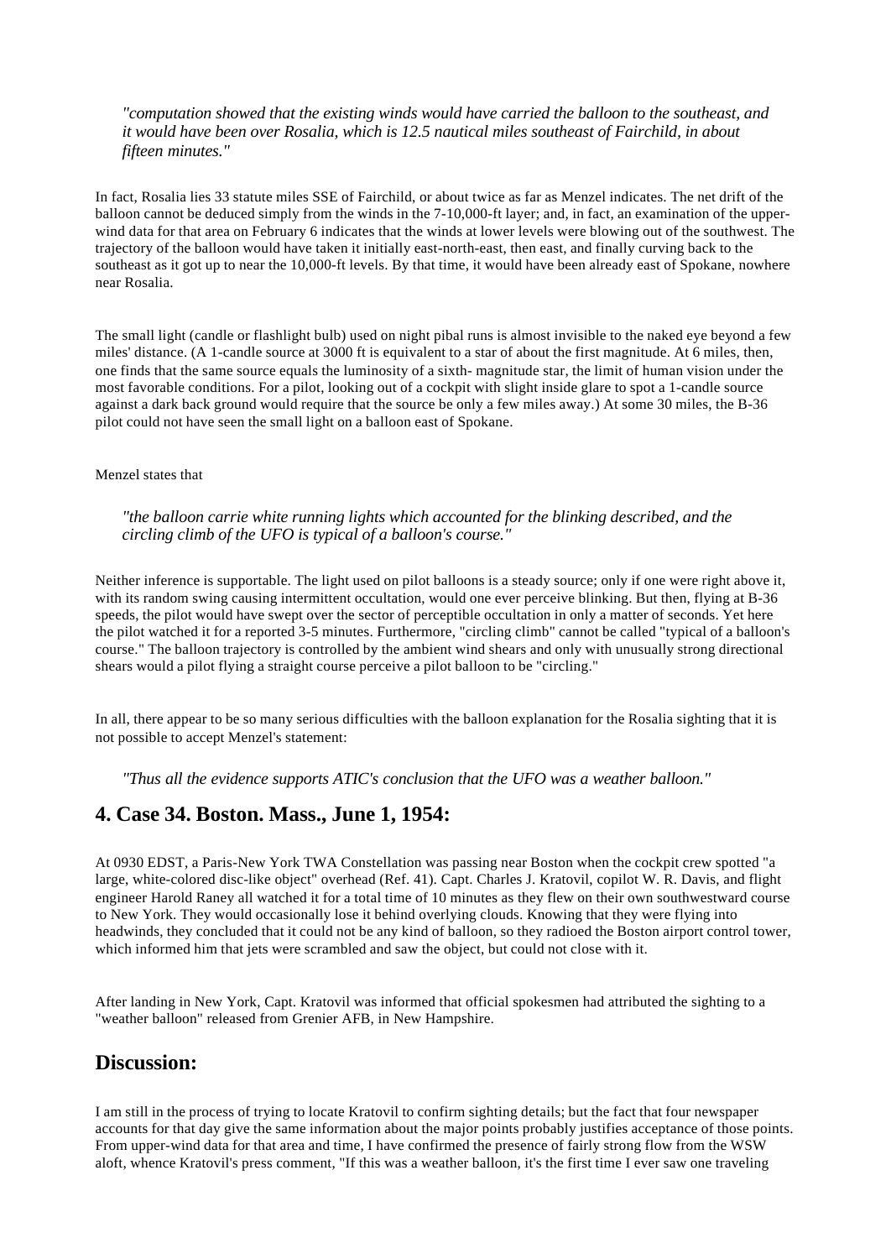*"computation showed that the existing winds would have carried the balloon to the southeast, and it would have been over Rosalia, which is 12.5 nautical miles southeast of Fairchild, in about fifteen minutes."*

In fact, Rosalia lies 33 statute miles SSE of Fairchild, or about twice as far as Menzel indicates. The net drift of the balloon cannot be deduced simply from the winds in the 7-10,000-ft layer; and, in fact, an examination of the upperwind data for that area on February 6 indicates that the winds at lower levels were blowing out of the southwest. The trajectory of the balloon would have taken it initially east-north-east, then east, and finally curving back to the southeast as it got up to near the 10,000-ft levels. By that time, it would have been already east of Spokane, nowhere near Rosalia.

The small light (candle or flashlight bulb) used on night pibal runs is almost invisible to the naked eye beyond a few miles' distance. (A 1-candle source at 3000 ft is equivalent to a star of about the first magnitude. At 6 miles, then, one finds that the same source equals the luminosity of a sixth- magnitude star, the limit of human vision under the most favorable conditions. For a pilot, looking out of a cockpit with slight inside glare to spot a 1-candle source against a dark back ground would require that the source be only a few miles away.) At some 30 miles, the B-36 pilot could not have seen the small light on a balloon east of Spokane.

#### Menzel states that

*"the balloon carrie white running lights which accounted for the blinking described, and the circling climb of the UFO is typical of a balloon's course."*

Neither inference is supportable. The light used on pilot balloons is a steady source; only if one were right above it, with its random swing causing intermittent occultation, would one ever perceive blinking. But then, flying at B-36 speeds, the pilot would have swept over the sector of perceptible occultation in only a matter of seconds. Yet here the pilot watched it for a reported 3-5 minutes. Furthermore, "circling climb" cannot be called "typical of a balloon's course." The balloon trajectory is controlled by the ambient wind shears and only with unusually strong directional shears would a pilot flying a straight course perceive a pilot balloon to be "circling."

In all, there appear to be so many serious difficulties with the balloon explanation for the Rosalia sighting that it is not possible to accept Menzel's statement:

*"Thus all the evidence supports ATIC's conclusion that the UFO was a weather balloon."*

#### **4. Case 34. Boston. Mass., June 1, 1954:**

At 0930 EDST, a Paris-New York TWA Constellation was passing near Boston when the cockpit crew spotted "a large, white-colored disc-like object" overhead (Ref. 41). Capt. Charles J. Kratovil, copilot W. R. Davis, and flight engineer Harold Raney all watched it for a total time of 10 minutes as they flew on their own southwestward course to New York. They would occasionally lose it behind overlying clouds. Knowing that they were flying into headwinds, they concluded that it could not be any kind of balloon, so they radioed the Boston airport control tower, which informed him that jets were scrambled and saw the object, but could not close with it.

After landing in New York, Capt. Kratovil was informed that official spokesmen had attributed the sighting to a "weather balloon" released from Grenier AFB, in New Hampshire.

#### **Discussion:**

I am still in the process of trying to locate Kratovil to confirm sighting details; but the fact that four newspaper accounts for that day give the same information about the major points probably justifies acceptance of those points. From upper-wind data for that area and time, I have confirmed the presence of fairly strong flow from the WSW aloft, whence Kratovil's press comment, "If this was a weather balloon, it's the first time I ever saw one traveling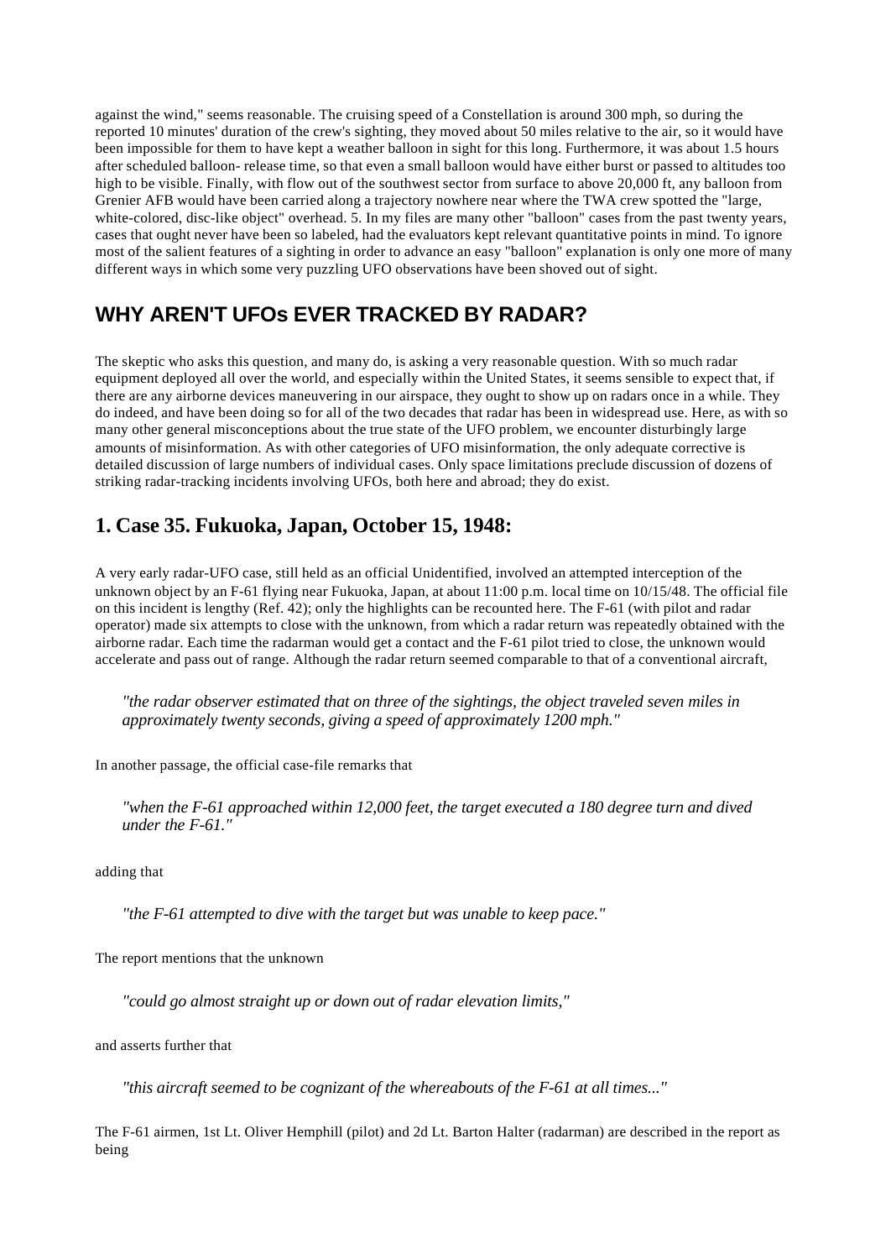against the wind," seems reasonable. The cruising speed of a Constellation is around 300 mph, so during the reported 10 minutes' duration of the crew's sighting, they moved about 50 miles relative to the air, so it would have been impossible for them to have kept a weather balloon in sight for this long. Furthermore, it was about 1.5 hours after scheduled balloon- release time, so that even a small balloon would have either burst or passed to altitudes too high to be visible. Finally, with flow out of the southwest sector from surface to above 20,000 ft, any balloon from Grenier AFB would have been carried along a trajectory nowhere near where the TWA crew spotted the "large, white-colored, disc-like object" overhead. 5. In my files are many other "balloon" cases from the past twenty years, cases that ought never have been so labeled, had the evaluators kept relevant quantitative points in mind. To ignore most of the salient features of a sighting in order to advance an easy "balloon" explanation is only one more of many different ways in which some very puzzling UFO observations have been shoved out of sight.

# **WHY AREN'T UFOs EVER TRACKED BY RADAR?**

The skeptic who asks this question, and many do, is asking a very reasonable question. With so much radar equipment deployed all over the world, and especially within the United States, it seems sensible to expect that, if there are any airborne devices maneuvering in our airspace, they ought to show up on radars once in a while. They do indeed, and have been doing so for all of the two decades that radar has been in widespread use. Here, as with so many other general misconceptions about the true state of the UFO problem, we encounter disturbingly large amounts of misinformation. As with other categories of UFO misinformation, the only adequate corrective is detailed discussion of large numbers of individual cases. Only space limitations preclude discussion of dozens of striking radar-tracking incidents involving UFOs, both here and abroad; they do exist.

# **1. Case 35. Fukuoka, Japan, October 15, 1948:**

A very early radar-UFO case, still held as an official Unidentified, involved an attempted interception of the unknown object by an F-61 flying near Fukuoka, Japan, at about 11:00 p.m. local time on 10/15/48. The official file on this incident is lengthy (Ref. 42); only the highlights can be recounted here. The F-61 (with pilot and radar operator) made six attempts to close with the unknown, from which a radar return was repeatedly obtained with the airborne radar. Each time the radarman would get a contact and the F-61 pilot tried to close, the unknown would accelerate and pass out of range. Although the radar return seemed comparable to that of a conventional aircraft,

*"the radar observer estimated that on three of the sightings, the object traveled seven miles in approximately twenty seconds, giving a speed of approximately 1200 mph."*

In another passage, the official case-file remarks that

*"when the F-61 approached within 12,000 feet, the target executed a 180 degree turn and dived under the F-61."*

adding that

*"the F-61 attempted to dive with the target but was unable to keep pace."*

The report mentions that the unknown

*"could go almost straight up or down out of radar elevation limits,"*

and asserts further that

*"this aircraft seemed to be cognizant of the whereabouts of the F-61 at all times..."*

The F-61 airmen, 1st Lt. Oliver Hemphill (pilot) and 2d Lt. Barton Halter (radarman) are described in the report as being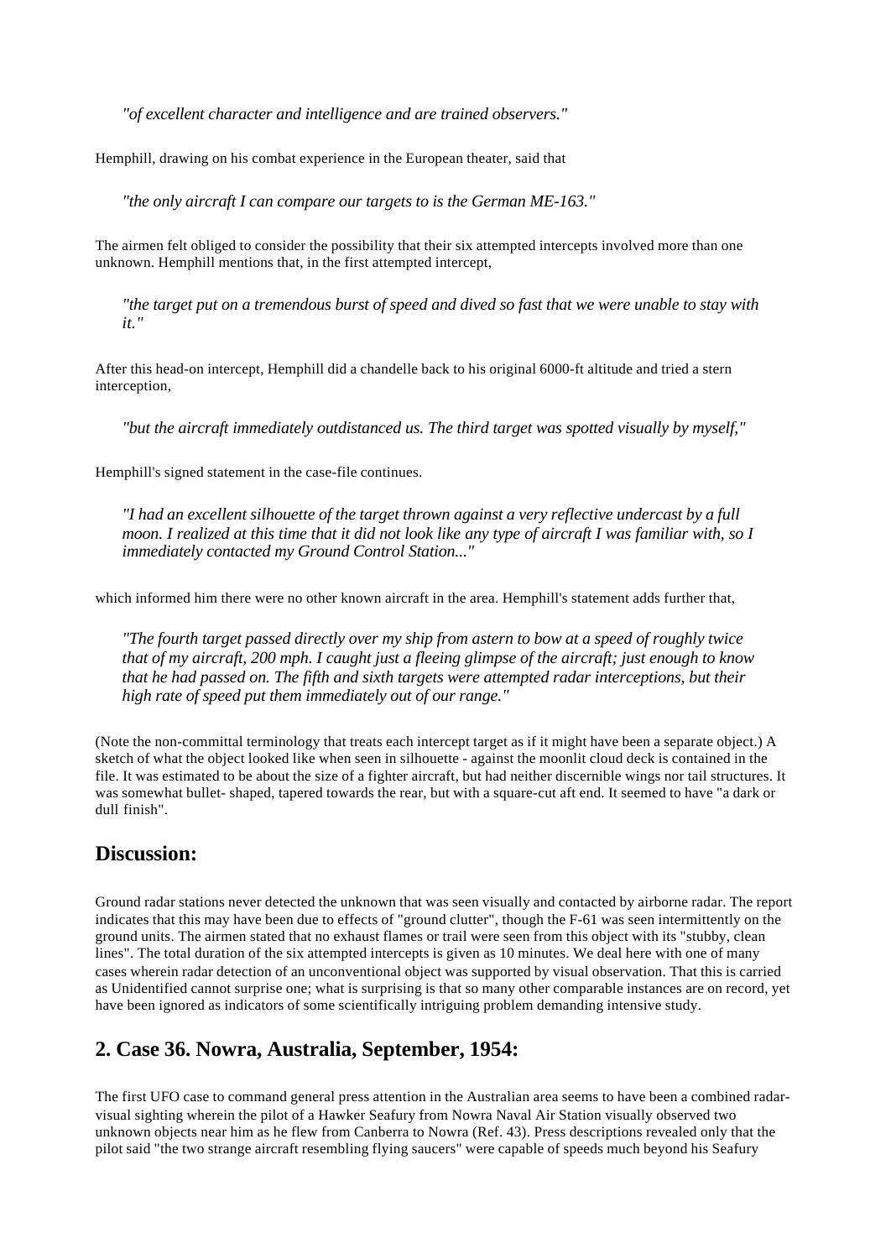*"of excellent character and intelligence and are trained observers."*

Hemphill, drawing on his combat experience in the European theater, said that

*"the only aircraft I can compare our targets to is the German ME-163."*

The airmen felt obliged to consider the possibility that their six attempted intercepts involved more than one unknown. Hemphill mentions that, in the first attempted intercept,

*"the target put on a tremendous burst of speed and dived so fast that we were unable to stay with it."*

After this head-on intercept, Hemphill did a chandelle back to his original 6000-ft altitude and tried a stern interception,

*"but the aircraft immediately outdistanced us. The third target was spotted visually by myself,"*

Hemphill's signed statement in the case-file continues.

*"I had an excellent silhouette of the target thrown against a very reflective undercast by a full moon. I realized at this time that it did not look like any type of aircraft I was familiar with, so I immediately contacted my Ground Control Station..."*

which informed him there were no other known aircraft in the area. Hemphill's statement adds further that,

*"The fourth target passed directly over my ship from astern to bow at a speed of roughly twice that of my aircraft, 200 mph. I caught just a fleeing glimpse of the aircraft; just enough to know that he had passed on. The fifth and sixth targets were attempted radar interceptions, but their high rate of speed put them immediately out of our range."*

(Note the non-committal terminology that treats each intercept target as if it might have been a separate object.) A sketch of what the object looked like when seen in silhouette - against the moonlit cloud deck is contained in the file. It was estimated to be about the size of a fighter aircraft, but had neither discernible wings nor tail structures. It was somewhat bullet- shaped, tapered towards the rear, but with a square-cut aft end. It seemed to have "a dark or dull finish".

#### **Discussion:**

Ground radar stations never detected the unknown that was seen visually and contacted by airborne radar. The report indicates that this may have been due to effects of "ground clutter", though the F-61 was seen intermittently on the ground units. The airmen stated that no exhaust flames or trail were seen from this object with its "stubby, clean lines". The total duration of the six attempted intercepts is given as 10 minutes. We deal here with one of many cases wherein radar detection of an unconventional object was supported by visual observation. That this is carried as Unidentified cannot surprise one; what is surprising is that so many other comparable instances are on record, yet have been ignored as indicators of some scientifically intriguing problem demanding intensive study.

# **2. Case 36. Nowra, Australia, September, 1954:**

The first UFO case to command general press attention in the Australian area seems to have been a combined radarvisual sighting wherein the pilot of a Hawker Seafury from Nowra Naval Air Station visually observed two unknown objects near him as he flew from Canberra to Nowra (Ref. 43). Press descriptions revealed only that the pilot said "the two strange aircraft resembling flying saucers" were capable of speeds much beyond his Seafury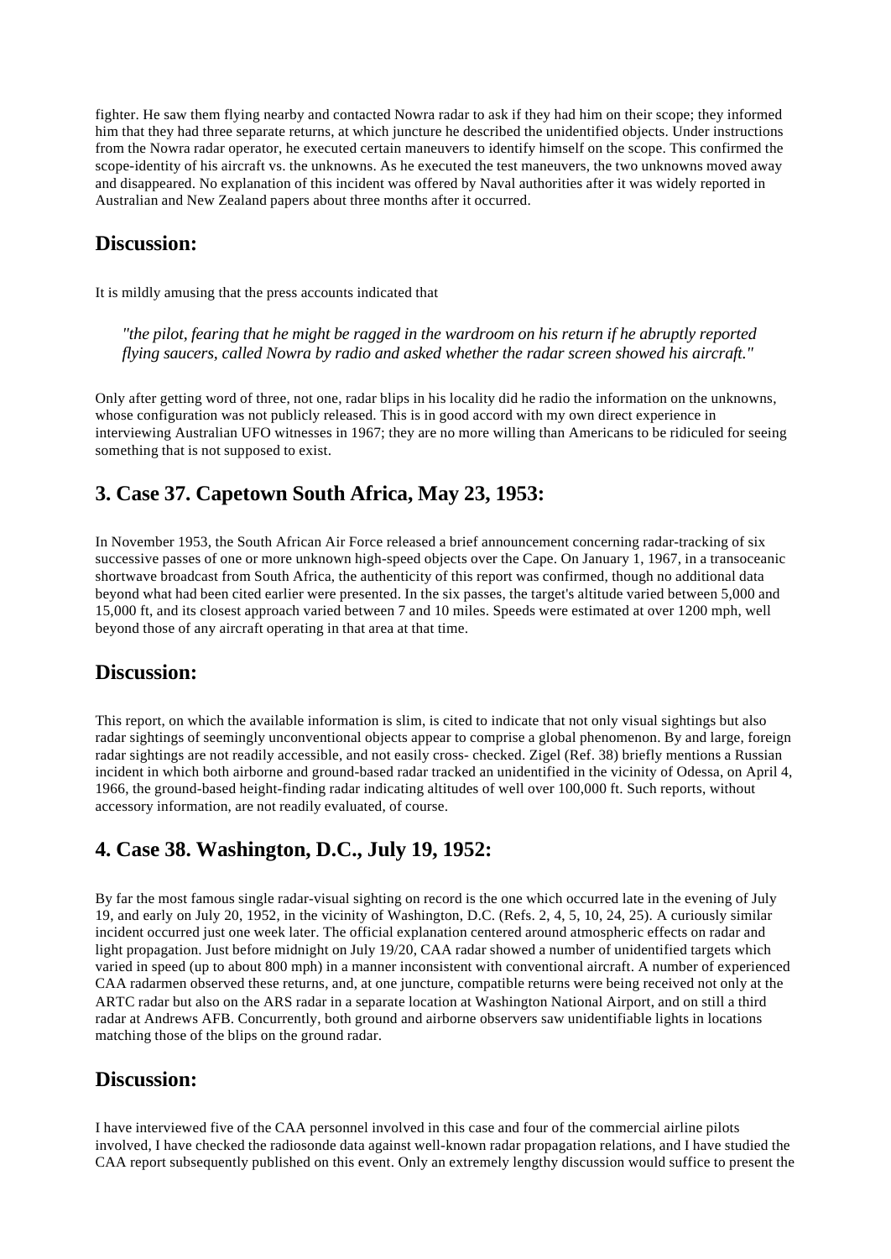fighter. He saw them flying nearby and contacted Nowra radar to ask if they had him on their scope; they informed him that they had three separate returns, at which juncture he described the unidentified objects. Under instructions from the Nowra radar operator, he executed certain maneuvers to identify himself on the scope. This confirmed the scope-identity of his aircraft vs. the unknowns. As he executed the test maneuvers, the two unknowns moved away and disappeared. No explanation of this incident was offered by Naval authorities after it was widely reported in Australian and New Zealand papers about three months after it occurred.

### **Discussion:**

It is mildly amusing that the press accounts indicated that

*"the pilot, fearing that he might be ragged in the wardroom on his return if he abruptly reported flying saucers, called Nowra by radio and asked whether the radar screen showed his aircraft."*

Only after getting word of three, not one, radar blips in his locality did he radio the information on the unknowns, whose configuration was not publicly released. This is in good accord with my own direct experience in interviewing Australian UFO witnesses in 1967; they are no more willing than Americans to be ridiculed for seeing something that is not supposed to exist.

# **3. Case 37. Capetown South Africa, May 23, 1953:**

In November 1953, the South African Air Force released a brief announcement concerning radar-tracking of six successive passes of one or more unknown high-speed objects over the Cape. On January 1, 1967, in a transoceanic shortwave broadcast from South Africa, the authenticity of this report was confirmed, though no additional data beyond what had been cited earlier were presented. In the six passes, the target's altitude varied between 5,000 and 15,000 ft, and its closest approach varied between 7 and 10 miles. Speeds were estimated at over 1200 mph, well beyond those of any aircraft operating in that area at that time.

# **Discussion:**

This report, on which the available information is slim, is cited to indicate that not only visual sightings but also radar sightings of seemingly unconventional objects appear to comprise a global phenomenon. By and large, foreign radar sightings are not readily accessible, and not easily cross- checked. Zigel (Ref. 38) briefly mentions a Russian incident in which both airborne and ground-based radar tracked an unidentified in the vicinity of Odessa, on April 4, 1966, the ground-based height-finding radar indicating altitudes of well over 100,000 ft. Such reports, without accessory information, are not readily evaluated, of course.

# **4. Case 38. Washington, D.C., July 19, 1952:**

By far the most famous single radar-visual sighting on record is the one which occurred late in the evening of July 19, and early on July 20, 1952, in the vicinity of Washington, D.C. (Refs. 2, 4, 5, 10, 24, 25). A curiously similar incident occurred just one week later. The official explanation centered around atmospheric effects on radar and light propagation. Just before midnight on July 19/20, CAA radar showed a number of unidentified targets which varied in speed (up to about 800 mph) in a manner inconsistent with conventional aircraft. A number of experienced CAA radarmen observed these returns, and, at one juncture, compatible returns were being received not only at the ARTC radar but also on the ARS radar in a separate location at Washington National Airport, and on still a third radar at Andrews AFB. Concurrently, both ground and airborne observers saw unidentifiable lights in locations matching those of the blips on the ground radar.

# **Discussion:**

I have interviewed five of the CAA personnel involved in this case and four of the commercial airline pilots involved, I have checked the radiosonde data against well-known radar propagation relations, and I have studied the CAA report subsequently published on this event. Only an extremely lengthy discussion would suffice to present the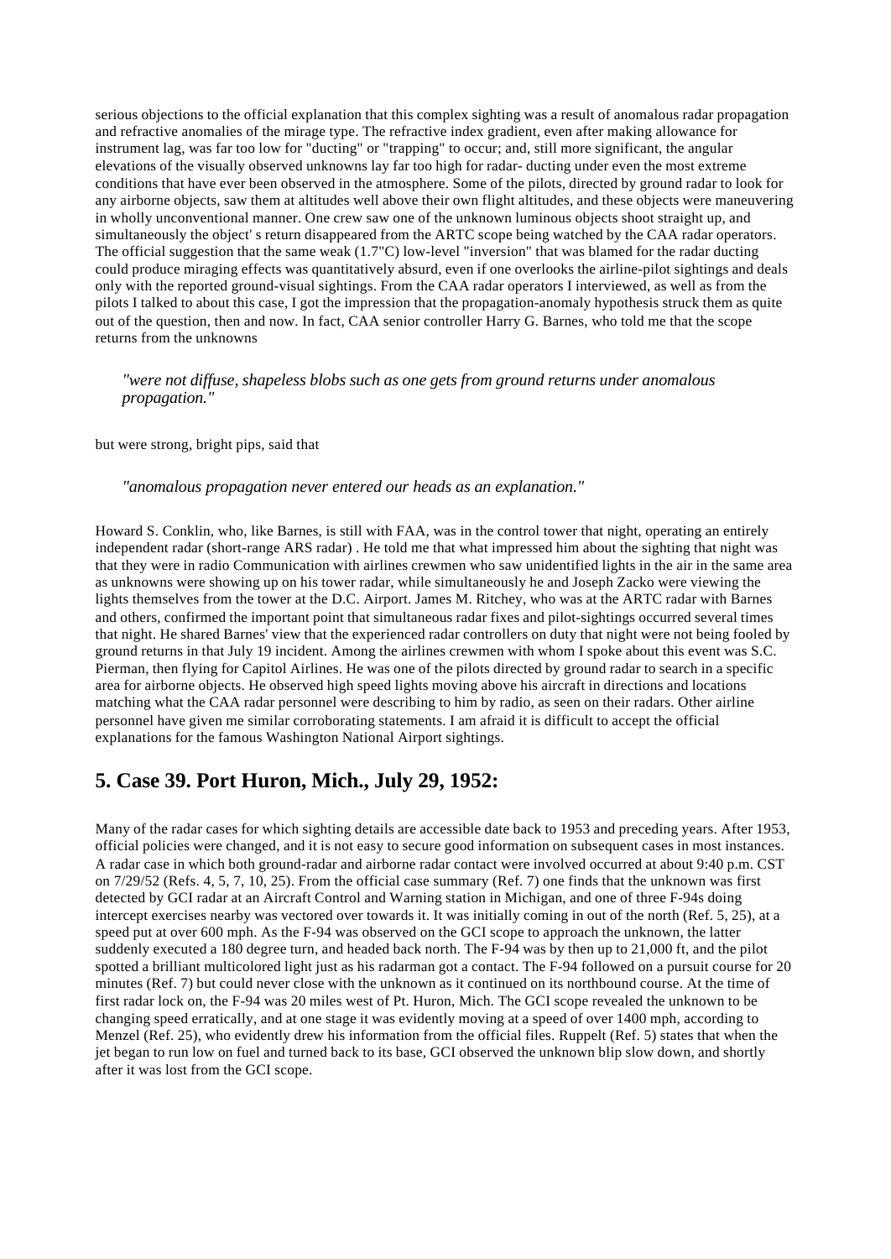serious objections to the official explanation that this complex sighting was a result of anomalous radar propagation and refractive anomalies of the mirage type. The refractive index gradient, even after making allowance for instrument lag, was far too low for "ducting" or "trapping" to occur; and, still more significant, the angular elevations of the visually observed unknowns lay far too high for radar- ducting under even the most extreme conditions that have ever been observed in the atmosphere. Some of the pilots, directed by ground radar to look for any airborne objects, saw them at altitudes well above their own flight altitudes, and these objects were maneuvering in wholly unconventional manner. One crew saw one of the unknown luminous objects shoot straight up, and simultaneously the object' s return disappeared from the ARTC scope being watched by the CAA radar operators. The official suggestion that the same weak (1.7"C) low-level "inversion" that was blamed for the radar ducting could produce miraging effects was quantitatively absurd, even if one overlooks the airline-pilot sightings and deals only with the reported ground-visual sightings. From the CAA radar operators I interviewed, as well as from the pilots I talked to about this case, I got the impression that the propagation-anomaly hypothesis struck them as quite out of the question, then and now. In fact, CAA senior controller Harry G. Barnes, who told me that the scope returns from the unknowns

*"were not diffuse, shapeless blobs such as one gets from ground returns under anomalous propagation."*

but were strong, bright pips, said that

*"anomalous propagation never entered our heads as an explanation."*

Howard S. Conklin, who, like Barnes, is still with FAA, was in the control tower that night, operating an entirely independent radar (short-range ARS radar) . He told me that what impressed him about the sighting that night was that they were in radio Communication with airlines crewmen who saw unidentified lights in the air in the same area as unknowns were showing up on his tower radar, while simultaneously he and Joseph Zacko were viewing the lights themselves from the tower at the D.C. Airport. James M. Ritchey, who was at the ARTC radar with Barnes and others, confirmed the important point that simultaneous radar fixes and pilot-sightings occurred several times that night. He shared Barnes' view that the experienced radar controllers on duty that night were not being fooled by ground returns in that July 19 incident. Among the airlines crewmen with whom I spoke about this event was S.C. Pierman, then flying for Capitol Airlines. He was one of the pilots directed by ground radar to search in a specific area for airborne objects. He observed high speed lights moving above his aircraft in directions and locations matching what the CAA radar personnel were describing to him by radio, as seen on their radars. Other airline personnel have given me similar corroborating statements. I am afraid it is difficult to accept the official explanations for the famous Washington National Airport sightings.

#### **5. Case 39. Port Huron, Mich., July 29, 1952:**

Many of the radar cases for which sighting details are accessible date back to 1953 and preceding years. After 1953, official policies were changed, and it is not easy to secure good information on subsequent cases in most instances. A radar case in which both ground-radar and airborne radar contact were involved occurred at about 9:40 p.m. CST on 7/29/52 (Refs. 4, 5, 7, 10, 25). From the official case summary (Ref. 7) one finds that the unknown was first detected by GCI radar at an Aircraft Control and Warning station in Michigan, and one of three F-94s doing intercept exercises nearby was vectored over towards it. It was initially coming in out of the north (Ref. 5, 25), at a speed put at over 600 mph. As the F-94 was observed on the GCI scope to approach the unknown, the latter suddenly executed a 180 degree turn, and headed back north. The F-94 was by then up to 21,000 ft, and the pilot spotted a brilliant multicolored light just as his radarman got a contact. The F-94 followed on a pursuit course for 20 minutes (Ref. 7) but could never close with the unknown as it continued on its northbound course. At the time of first radar lock on, the F-94 was 20 miles west of Pt. Huron, Mich. The GCI scope revealed the unknown to be changing speed erratically, and at one stage it was evidently moving at a speed of over 1400 mph, according to Menzel (Ref. 25), who evidently drew his information from the official files. Ruppelt (Ref. 5) states that when the jet began to run low on fuel and turned back to its base, GCI observed the unknown blip slow down, and shortly after it was lost from the GCI scope.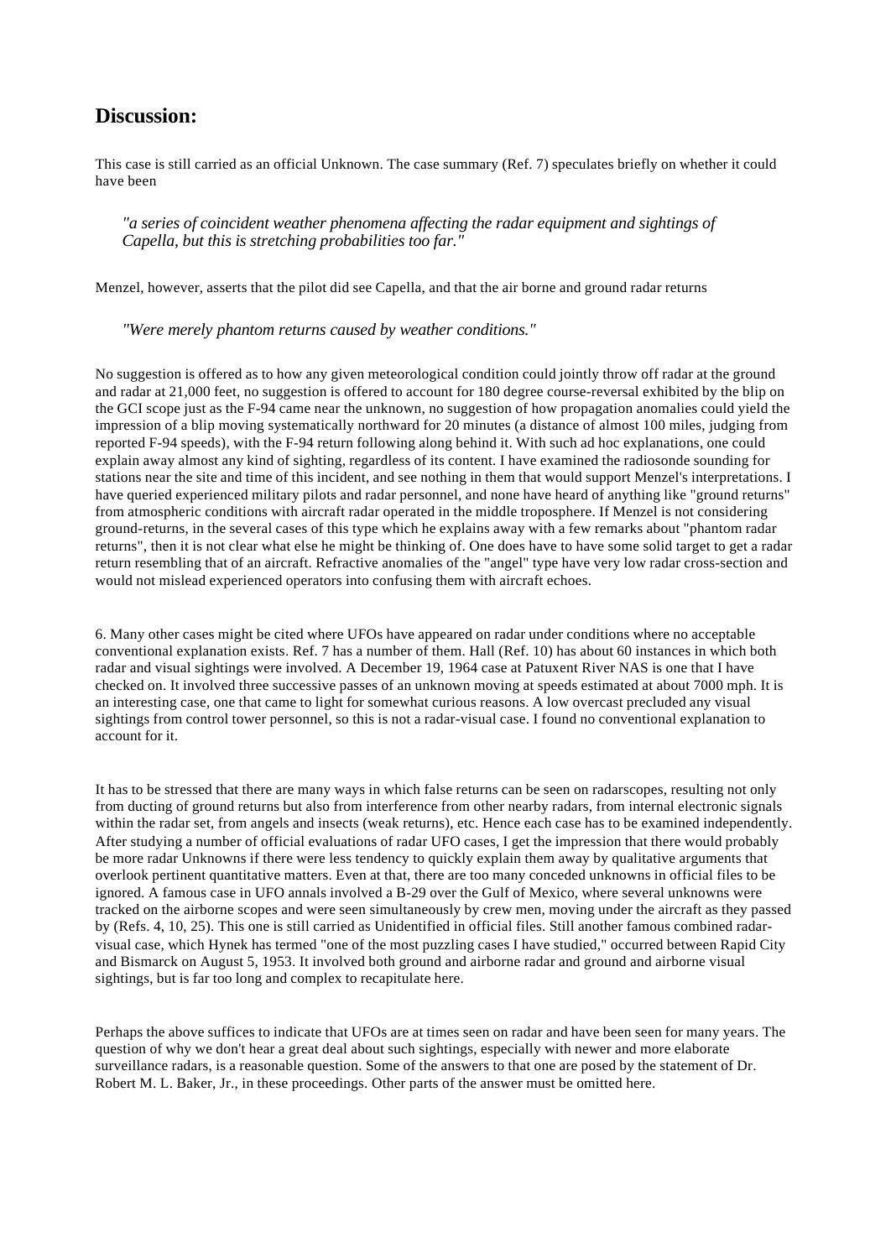### **Discussion:**

This case is still carried as an official Unknown. The case summary (Ref. 7) speculates briefly on whether it could have been

*"a series of coincident weather phenomena affecting the radar equipment and sightings of Capella, but this is stretching probabilities too far."*

Menzel, however, asserts that the pilot did see Capella, and that the air borne and ground radar returns

*"Were merely phantom returns caused by weather conditions."*

No suggestion is offered as to how any given meteorological condition could jointly throw off radar at the ground and radar at 21,000 feet, no suggestion is offered to account for 180 degree course-reversal exhibited by the blip on the GCI scope just as the F-94 came near the unknown, no suggestion of how propagation anomalies could yield the impression of a blip moving systematically northward for 20 minutes (a distance of almost 100 miles, judging from reported F-94 speeds), with the F-94 return following along behind it. With such ad hoc explanations, one could explain away almost any kind of sighting, regardless of its content. I have examined the radiosonde sounding for stations near the site and time of this incident, and see nothing in them that would support Menzel's interpretations. I have queried experienced military pilots and radar personnel, and none have heard of anything like "ground returns" from atmospheric conditions with aircraft radar operated in the middle troposphere. If Menzel is not considering ground-returns, in the several cases of this type which he explains away with a few remarks about "phantom radar returns", then it is not clear what else he might be thinking of. One does have to have some solid target to get a radar return resembling that of an aircraft. Refractive anomalies of the "angel" type have very low radar cross-section and would not mislead experienced operators into confusing them with aircraft echoes.

6. Many other cases might be cited where UFOs have appeared on radar under conditions where no acceptable conventional explanation exists. Ref. 7 has a number of them. Hall (Ref. 10) has about 60 instances in which both radar and visual sightings were involved. A December 19, 1964 case at Patuxent River NAS is one that I have checked on. It involved three successive passes of an unknown moving at speeds estimated at about 7000 mph. It is an interesting case, one that came to light for somewhat curious reasons. A low overcast precluded any visual sightings from control tower personnel, so this is not a radar-visual case. I found no conventional explanation to account for it.

It has to be stressed that there are many ways in which false returns can be seen on radarscopes, resulting not only from ducting of ground returns but also from interference from other nearby radars, from internal electronic signals within the radar set, from angels and insects (weak returns), etc. Hence each case has to be examined independently. After studying a number of official evaluations of radar UFO cases, I get the impression that there would probably be more radar Unknowns if there were less tendency to quickly explain them away by qualitative arguments that overlook pertinent quantitative matters. Even at that, there are too many conceded unknowns in official files to be ignored. A famous case in UFO annals involved a B-29 over the Gulf of Mexico, where several unknowns were tracked on the airborne scopes and were seen simultaneously by crew men, moving under the aircraft as they passed by (Refs. 4, 10, 25). This one is still carried as Unidentified in official files. Still another famous combined radarvisual case, which Hynek has termed "one of the most puzzling cases I have studied," occurred between Rapid City and Bismarck on August 5, 1953. It involved both ground and airborne radar and ground and airborne visual sightings, but is far too long and complex to recapitulate here.

Perhaps the above suffices to indicate that UFOs are at times seen on radar and have been seen for many years. The question of why we don't hear a great deal about such sightings, especially with newer and more elaborate surveillance radars, is a reasonable question. Some of the answers to that one are posed by the statement of Dr. Robert M. L. Baker, Jr., in these proceedings. Other parts of the answer must be omitted here.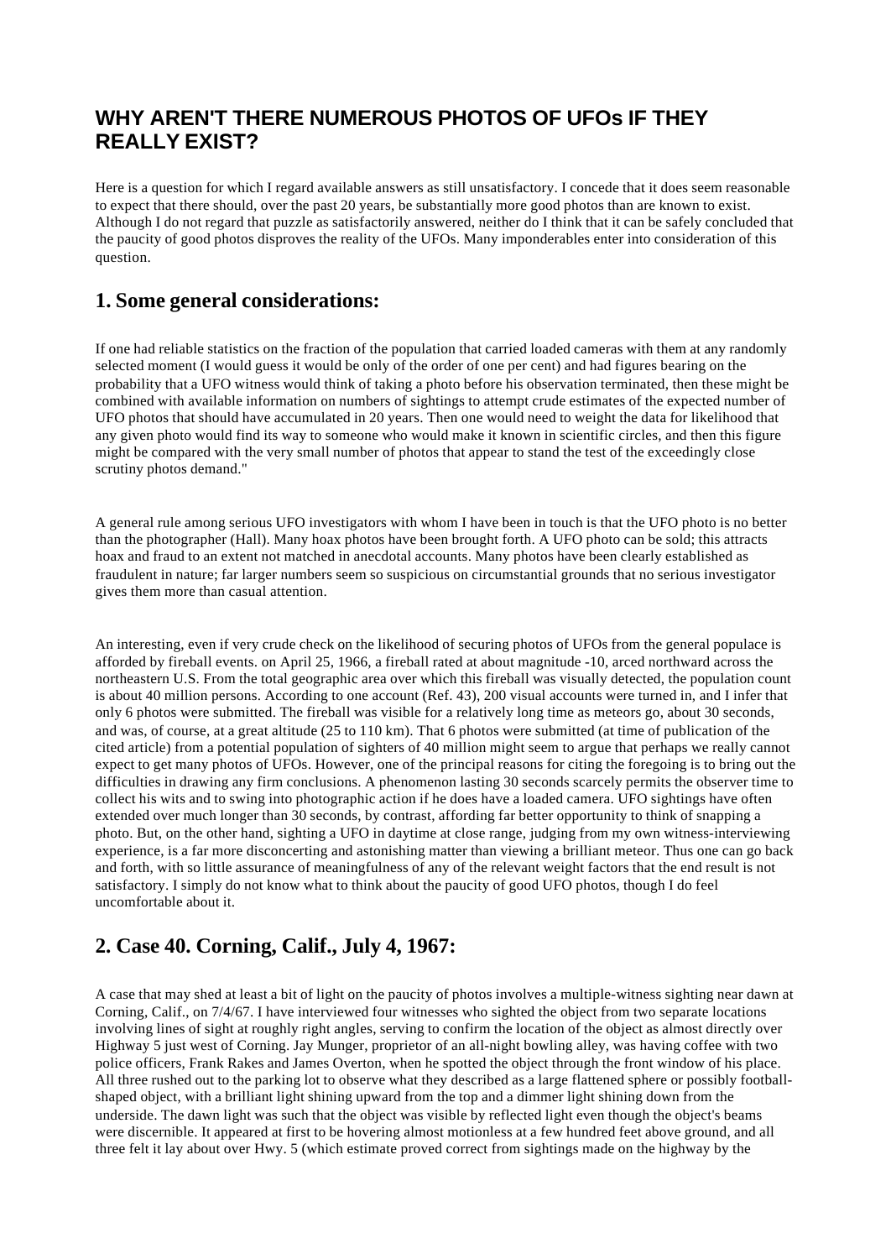# **WHY AREN'T THERE NUMEROUS PHOTOS OF UFOs IF THEY REALLY EXIST?**

Here is a question for which I regard available answers as still unsatisfactory. I concede that it does seem reasonable to expect that there should, over the past 20 years, be substantially more good photos than are known to exist. Although I do not regard that puzzle as satisfactorily answered, neither do I think that it can be safely concluded that the paucity of good photos disproves the reality of the UFOs. Many imponderables enter into consideration of this question.

# **1. Some general considerations:**

If one had reliable statistics on the fraction of the population that carried loaded cameras with them at any randomly selected moment (I would guess it would be only of the order of one per cent) and had figures bearing on the probability that a UFO witness would think of taking a photo before his observation terminated, then these might be combined with available information on numbers of sightings to attempt crude estimates of the expected number of UFO photos that should have accumulated in 20 years. Then one would need to weight the data for likelihood that any given photo would find its way to someone who would make it known in scientific circles, and then this figure might be compared with the very small number of photos that appear to stand the test of the exceedingly close scrutiny photos demand."

A general rule among serious UFO investigators with whom I have been in touch is that the UFO photo is no better than the photographer (Hall). Many hoax photos have been brought forth. A UFO photo can be sold; this attracts hoax and fraud to an extent not matched in anecdotal accounts. Many photos have been clearly established as fraudulent in nature; far larger numbers seem so suspicious on circumstantial grounds that no serious investigator gives them more than casual attention.

An interesting, even if very crude check on the likelihood of securing photos of UFOs from the general populace is afforded by fireball events. on April 25, 1966, a fireball rated at about magnitude -10, arced northward across the northeastern U.S. From the total geographic area over which this fireball was visually detected, the population count is about 40 million persons. According to one account (Ref. 43), 200 visual accounts were turned in, and I infer that only 6 photos were submitted. The fireball was visible for a relatively long time as meteors go, about 30 seconds, and was, of course, at a great altitude (25 to 110 km). That 6 photos were submitted (at time of publication of the cited article) from a potential population of sighters of 40 million might seem to argue that perhaps we really cannot expect to get many photos of UFOs. However, one of the principal reasons for citing the foregoing is to bring out the difficulties in drawing any firm conclusions. A phenomenon lasting 30 seconds scarcely permits the observer time to collect his wits and to swing into photographic action if he does have a loaded camera. UFO sightings have often extended over much longer than 30 seconds, by contrast, affording far better opportunity to think of snapping a photo. But, on the other hand, sighting a UFO in daytime at close range, judging from my own witness-interviewing experience, is a far more disconcerting and astonishing matter than viewing a brilliant meteor. Thus one can go back and forth, with so little assurance of meaningfulness of any of the relevant weight factors that the end result is not satisfactory. I simply do not know what to think about the paucity of good UFO photos, though I do feel uncomfortable about it.

# **2. Case 40. Corning, Calif., July 4, 1967:**

A case that may shed at least a bit of light on the paucity of photos involves a multiple-witness sighting near dawn at Corning, Calif., on 7/4/67. I have interviewed four witnesses who sighted the object from two separate locations involving lines of sight at roughly right angles, serving to confirm the location of the object as almost directly over Highway 5 just west of Corning. Jay Munger, proprietor of an all-night bowling alley, was having coffee with two police officers, Frank Rakes and James Overton, when he spotted the object through the front window of his place. All three rushed out to the parking lot to observe what they described as a large flattened sphere or possibly footballshaped object, with a brilliant light shining upward from the top and a dimmer light shining down from the underside. The dawn light was such that the object was visible by reflected light even though the object's beams were discernible. It appeared at first to be hovering almost motionless at a few hundred feet above ground, and all three felt it lay about over Hwy. 5 (which estimate proved correct from sightings made on the highway by the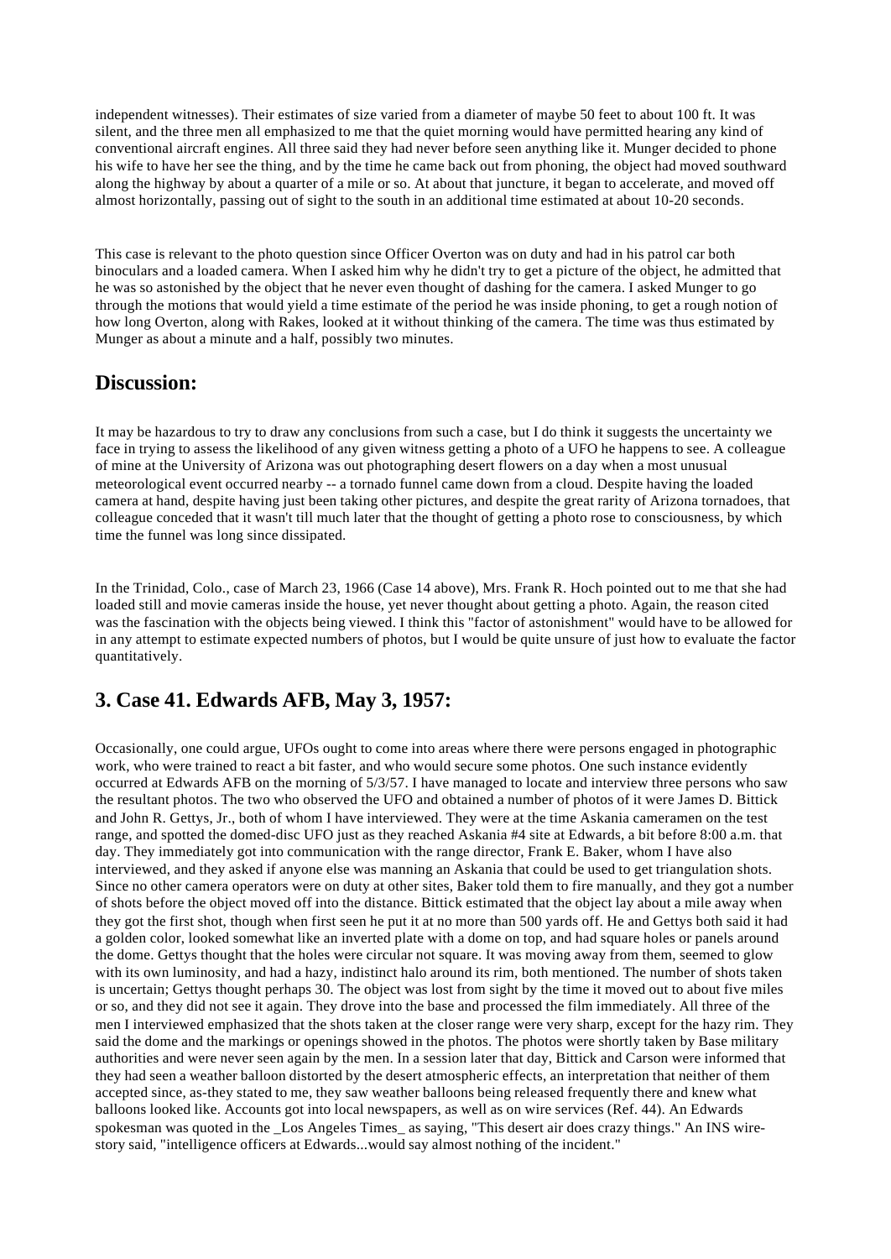independent witnesses). Their estimates of size varied from a diameter of maybe 50 feet to about 100 ft. It was silent, and the three men all emphasized to me that the quiet morning would have permitted hearing any kind of conventional aircraft engines. All three said they had never before seen anything like it. Munger decided to phone his wife to have her see the thing, and by the time he came back out from phoning, the object had moved southward along the highway by about a quarter of a mile or so. At about that juncture, it began to accelerate, and moved off almost horizontally, passing out of sight to the south in an additional time estimated at about 10-20 seconds.

This case is relevant to the photo question since Officer Overton was on duty and had in his patrol car both binoculars and a loaded camera. When I asked him why he didn't try to get a picture of the object, he admitted that he was so astonished by the object that he never even thought of dashing for the camera. I asked Munger to go through the motions that would yield a time estimate of the period he was inside phoning, to get a rough notion of how long Overton, along with Rakes, looked at it without thinking of the camera. The time was thus estimated by Munger as about a minute and a half, possibly two minutes.

#### **Discussion:**

It may be hazardous to try to draw any conclusions from such a case, but I do think it suggests the uncertainty we face in trying to assess the likelihood of any given witness getting a photo of a UFO he happens to see. A colleague of mine at the University of Arizona was out photographing desert flowers on a day when a most unusual meteorological event occurred nearby -- a tornado funnel came down from a cloud. Despite having the loaded camera at hand, despite having just been taking other pictures, and despite the great rarity of Arizona tornadoes, that colleague conceded that it wasn't till much later that the thought of getting a photo rose to consciousness, by which time the funnel was long since dissipated.

In the Trinidad, Colo., case of March 23, 1966 (Case 14 above), Mrs. Frank R. Hoch pointed out to me that she had loaded still and movie cameras inside the house, yet never thought about getting a photo. Again, the reason cited was the fascination with the objects being viewed. I think this "factor of astonishment" would have to be allowed for in any attempt to estimate expected numbers of photos, but I would be quite unsure of just how to evaluate the factor quantitatively.

# **3. Case 41. Edwards AFB, May 3, 1957:**

Occasionally, one could argue, UFOs ought to come into areas where there were persons engaged in photographic work, who were trained to react a bit faster, and who would secure some photos. One such instance evidently occurred at Edwards AFB on the morning of 5/3/57. I have managed to locate and interview three persons who saw the resultant photos. The two who observed the UFO and obtained a number of photos of it were James D. Bittick and John R. Gettys, Jr., both of whom I have interviewed. They were at the time Askania cameramen on the test range, and spotted the domed-disc UFO just as they reached Askania #4 site at Edwards, a bit before 8:00 a.m. that day. They immediately got into communication with the range director, Frank E. Baker, whom I have also interviewed, and they asked if anyone else was manning an Askania that could be used to get triangulation shots. Since no other camera operators were on duty at other sites, Baker told them to fire manually, and they got a number of shots before the object moved off into the distance. Bittick estimated that the object lay about a mile away when they got the first shot, though when first seen he put it at no more than 500 yards off. He and Gettys both said it had a golden color, looked somewhat like an inverted plate with a dome on top, and had square holes or panels around the dome. Gettys thought that the holes were circular not square. It was moving away from them, seemed to glow with its own luminosity, and had a hazy, indistinct halo around its rim, both mentioned. The number of shots taken is uncertain; Gettys thought perhaps 30. The object was lost from sight by the time it moved out to about five miles or so, and they did not see it again. They drove into the base and processed the film immediately. All three of the men I interviewed emphasized that the shots taken at the closer range were very sharp, except for the hazy rim. They said the dome and the markings or openings showed in the photos. The photos were shortly taken by Base military authorities and were never seen again by the men. In a session later that day, Bittick and Carson were informed that they had seen a weather balloon distorted by the desert atmospheric effects, an interpretation that neither of them accepted since, as-they stated to me, they saw weather balloons being released frequently there and knew what balloons looked like. Accounts got into local newspapers, as well as on wire services (Ref. 44). An Edwards spokesman was quoted in the \_Los Angeles Times\_ as saying, "This desert air does crazy things." An INS wirestory said, "intelligence officers at Edwards...would say almost nothing of the incident."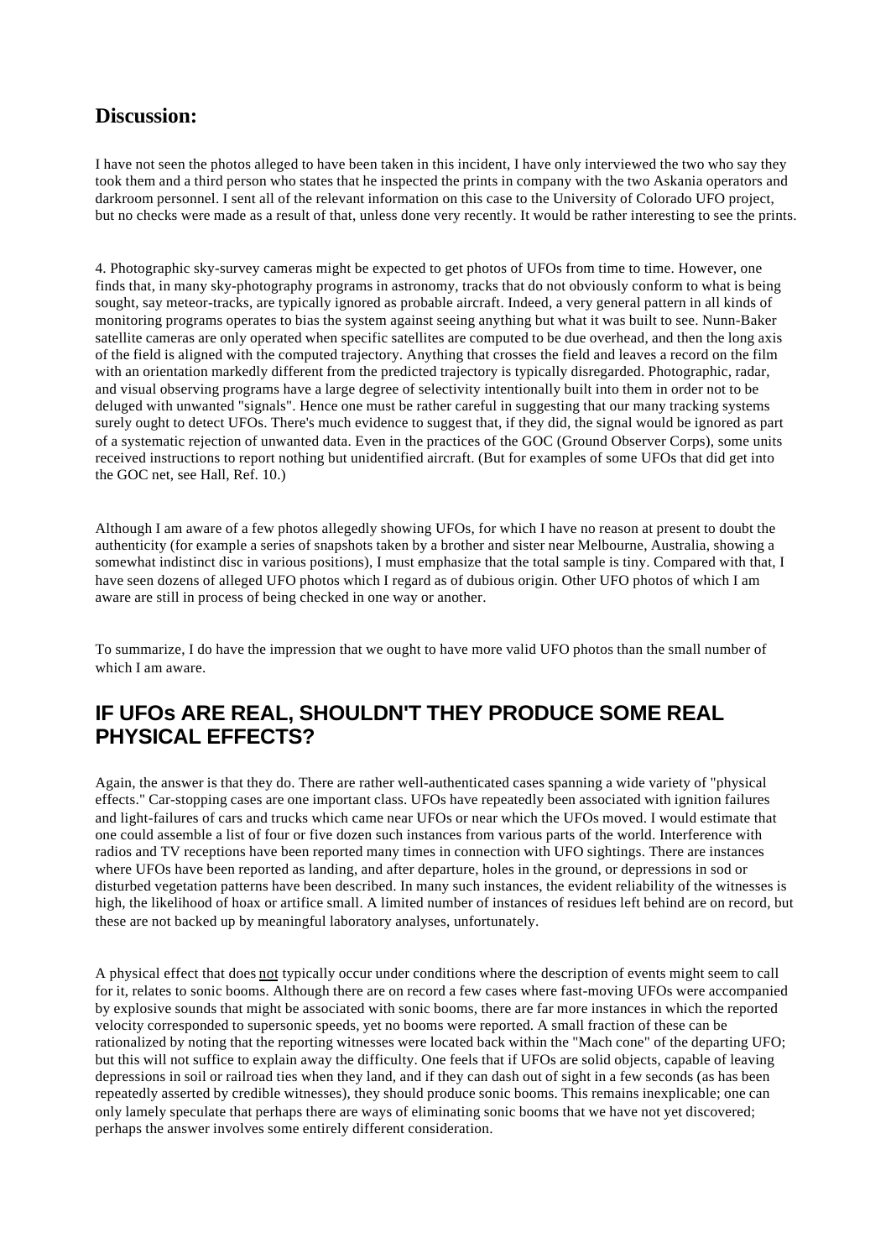### **Discussion:**

I have not seen the photos alleged to have been taken in this incident, I have only interviewed the two who say they took them and a third person who states that he inspected the prints in company with the two Askania operators and darkroom personnel. I sent all of the relevant information on this case to the University of Colorado UFO project, but no checks were made as a result of that, unless done very recently. It would be rather interesting to see the prints.

4. Photographic sky-survey cameras might be expected to get photos of UFOs from time to time. However, one finds that, in many sky-photography programs in astronomy, tracks that do not obviously conform to what is being sought, say meteor-tracks, are typically ignored as probable aircraft. Indeed, a very general pattern in all kinds of monitoring programs operates to bias the system against seeing anything but what it was built to see. Nunn-Baker satellite cameras are only operated when specific satellites are computed to be due overhead, and then the long axis of the field is aligned with the computed trajectory. Anything that crosses the field and leaves a record on the film with an orientation markedly different from the predicted trajectory is typically disregarded. Photographic, radar, and visual observing programs have a large degree of selectivity intentionally built into them in order not to be deluged with unwanted "signals". Hence one must be rather careful in suggesting that our many tracking systems surely ought to detect UFOs. There's much evidence to suggest that, if they did, the signal would be ignored as part of a systematic rejection of unwanted data. Even in the practices of the GOC (Ground Observer Corps), some units received instructions to report nothing but unidentified aircraft. (But for examples of some UFOs that did get into the GOC net, see Hall, Ref. 10.)

Although I am aware of a few photos allegedly showing UFOs, for which I have no reason at present to doubt the authenticity (for example a series of snapshots taken by a brother and sister near Melbourne, Australia, showing a somewhat indistinct disc in various positions), I must emphasize that the total sample is tiny. Compared with that, I have seen dozens of alleged UFO photos which I regard as of dubious origin. Other UFO photos of which I am aware are still in process of being checked in one way or another.

To summarize, I do have the impression that we ought to have more valid UFO photos than the small number of which I am aware.

# **IF UFOs ARE REAL, SHOULDN'T THEY PRODUCE SOME REAL PHYSICAL EFFECTS?**

Again, the answer is that they do. There are rather well-authenticated cases spanning a wide variety of "physical effects." Car-stopping cases are one important class. UFOs have repeatedly been associated with ignition failures and light-failures of cars and trucks which came near UFOs or near which the UFOs moved. I would estimate that one could assemble a list of four or five dozen such instances from various parts of the world. Interference with radios and TV receptions have been reported many times in connection with UFO sightings. There are instances where UFOs have been reported as landing, and after departure, holes in the ground, or depressions in sod or disturbed vegetation patterns have been described. In many such instances, the evident reliability of the witnesses is high, the likelihood of hoax or artifice small. A limited number of instances of residues left behind are on record, but these are not backed up by meaningful laboratory analyses, unfortunately.

A physical effect that does not typically occur under conditions where the description of events might seem to call for it, relates to sonic booms. Although there are on record a few cases where fast-moving UFOs were accompanied by explosive sounds that might be associated with sonic booms, there are far more instances in which the reported velocity corresponded to supersonic speeds, yet no booms were reported. A small fraction of these can be rationalized by noting that the reporting witnesses were located back within the "Mach cone" of the departing UFO; but this will not suffice to explain away the difficulty. One feels that if UFOs are solid objects, capable of leaving depressions in soil or railroad ties when they land, and if they can dash out of sight in a few seconds (as has been repeatedly asserted by credible witnesses), they should produce sonic booms. This remains inexplicable; one can only lamely speculate that perhaps there are ways of eliminating sonic booms that we have not yet discovered; perhaps the answer involves some entirely different consideration.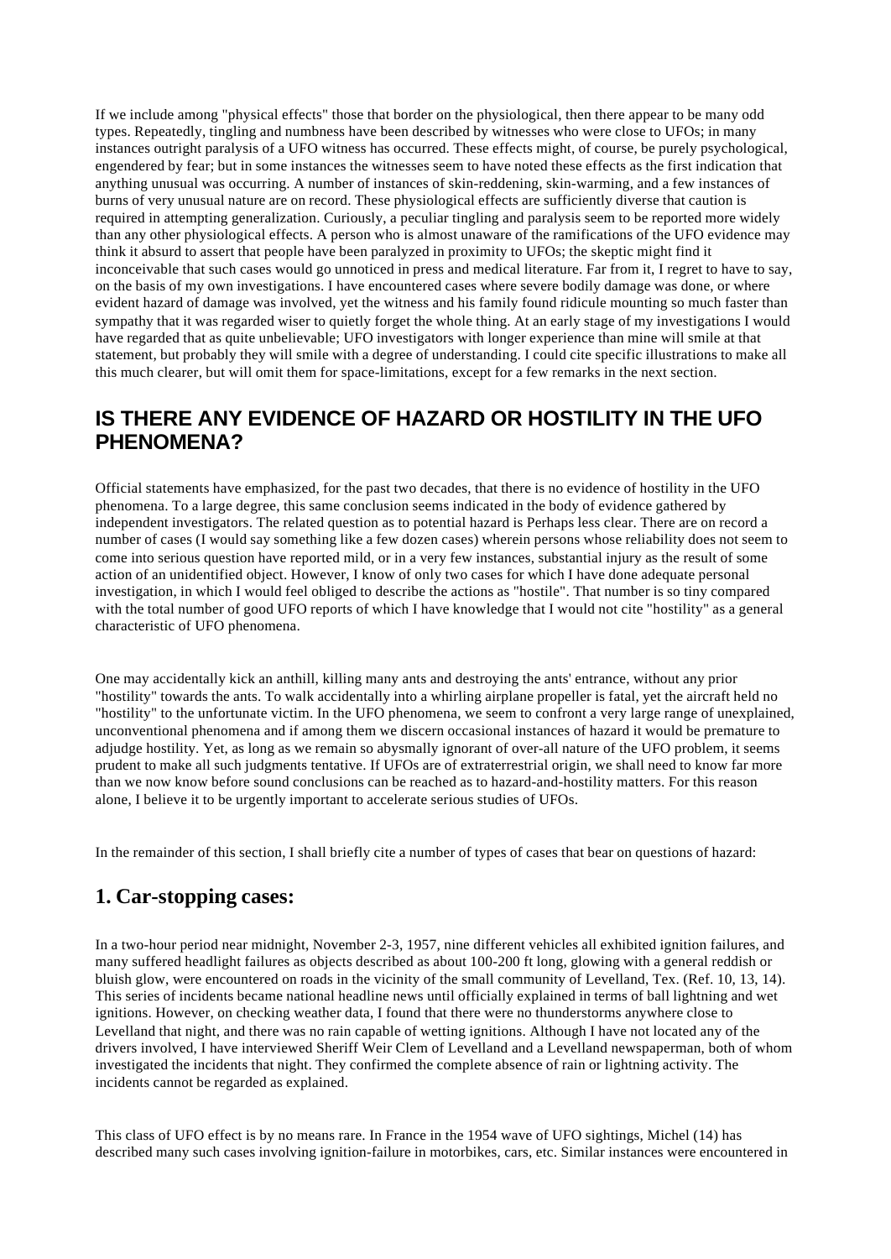If we include among "physical effects" those that border on the physiological, then there appear to be many odd types. Repeatedly, tingling and numbness have been described by witnesses who were close to UFOs; in many instances outright paralysis of a UFO witness has occurred. These effects might, of course, be purely psychological, engendered by fear; but in some instances the witnesses seem to have noted these effects as the first indication that anything unusual was occurring. A number of instances of skin-reddening, skin-warming, and a few instances of burns of very unusual nature are on record. These physiological effects are sufficiently diverse that caution is required in attempting generalization. Curiously, a peculiar tingling and paralysis seem to be reported more widely than any other physiological effects. A person who is almost unaware of the ramifications of the UFO evidence may think it absurd to assert that people have been paralyzed in proximity to UFOs; the skeptic might find it inconceivable that such cases would go unnoticed in press and medical literature. Far from it, I regret to have to say, on the basis of my own investigations. I have encountered cases where severe bodily damage was done, or where evident hazard of damage was involved, yet the witness and his family found ridicule mounting so much faster than sympathy that it was regarded wiser to quietly forget the whole thing. At an early stage of my investigations I would have regarded that as quite unbelievable; UFO investigators with longer experience than mine will smile at that statement, but probably they will smile with a degree of understanding. I could cite specific illustrations to make all this much clearer, but will omit them for space-limitations, except for a few remarks in the next section.

# **IS THERE ANY EVIDENCE OF HAZARD OR HOSTILITY IN THE UFO PHENOMENA?**

Official statements have emphasized, for the past two decades, that there is no evidence of hostility in the UFO phenomena. To a large degree, this same conclusion seems indicated in the body of evidence gathered by independent investigators. The related question as to potential hazard is Perhaps less clear. There are on record a number of cases (I would say something like a few dozen cases) wherein persons whose reliability does not seem to come into serious question have reported mild, or in a very few instances, substantial injury as the result of some action of an unidentified object. However, I know of only two cases for which I have done adequate personal investigation, in which I would feel obliged to describe the actions as "hostile". That number is so tiny compared with the total number of good UFO reports of which I have knowledge that I would not cite "hostility" as a general characteristic of UFO phenomena.

One may accidentally kick an anthill, killing many ants and destroying the ants' entrance, without any prior "hostility" towards the ants. To walk accidentally into a whirling airplane propeller is fatal, yet the aircraft held no "hostility" to the unfortunate victim. In the UFO phenomena, we seem to confront a very large range of unexplained, unconventional phenomena and if among them we discern occasional instances of hazard it would be premature to adjudge hostility. Yet, as long as we remain so abysmally ignorant of over-all nature of the UFO problem, it seems prudent to make all such judgments tentative. If UFOs are of extraterrestrial origin, we shall need to know far more than we now know before sound conclusions can be reached as to hazard-and-hostility matters. For this reason alone, I believe it to be urgently important to accelerate serious studies of UFOs.

In the remainder of this section, I shall briefly cite a number of types of cases that bear on questions of hazard:

# **1. Car-stopping cases:**

In a two-hour period near midnight, November 2-3, 1957, nine different vehicles all exhibited ignition failures, and many suffered headlight failures as objects described as about 100-200 ft long, glowing with a general reddish or bluish glow, were encountered on roads in the vicinity of the small community of Levelland, Tex. (Ref. 10, 13, 14). This series of incidents became national headline news until officially explained in terms of ball lightning and wet ignitions. However, on checking weather data, I found that there were no thunderstorms anywhere close to Levelland that night, and there was no rain capable of wetting ignitions. Although I have not located any of the drivers involved, I have interviewed Sheriff Weir Clem of Levelland and a Levelland newspaperman, both of whom investigated the incidents that night. They confirmed the complete absence of rain or lightning activity. The incidents cannot be regarded as explained.

This class of UFO effect is by no means rare. In France in the 1954 wave of UFO sightings, Michel (14) has described many such cases involving ignition-failure in motorbikes, cars, etc. Similar instances were encountered in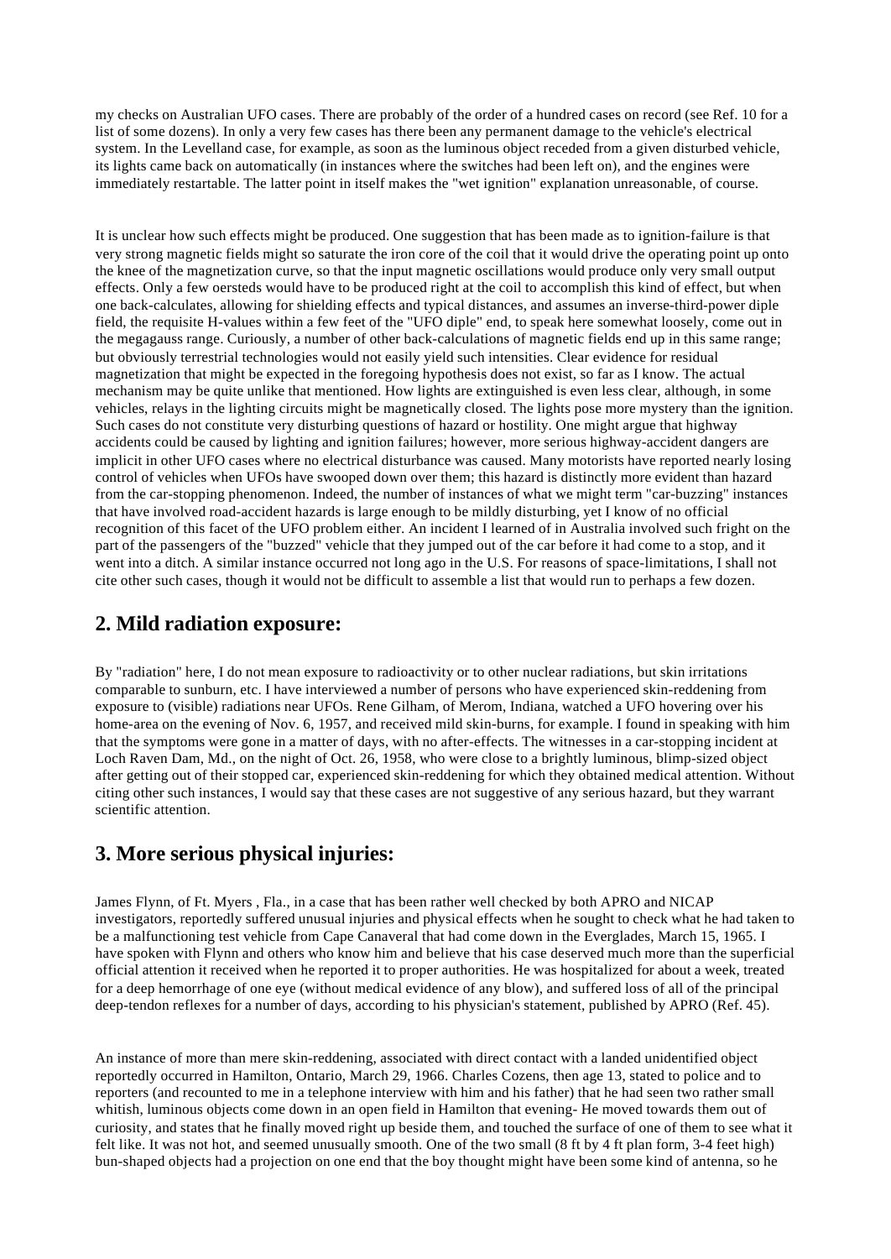my checks on Australian UFO cases. There are probably of the order of a hundred cases on record (see Ref. 10 for a list of some dozens). In only a very few cases has there been any permanent damage to the vehicle's electrical system. In the Levelland case, for example, as soon as the luminous object receded from a given disturbed vehicle, its lights came back on automatically (in instances where the switches had been left on), and the engines were immediately restartable. The latter point in itself makes the "wet ignition" explanation unreasonable, of course.

It is unclear how such effects might be produced. One suggestion that has been made as to ignition-failure is that very strong magnetic fields might so saturate the iron core of the coil that it would drive the operating point up onto the knee of the magnetization curve, so that the input magnetic oscillations would produce only very small output effects. Only a few oersteds would have to be produced right at the coil to accomplish this kind of effect, but when one back-calculates, allowing for shielding effects and typical distances, and assumes an inverse-third-power diple field, the requisite H-values within a few feet of the "UFO diple" end, to speak here somewhat loosely, come out in the megagauss range. Curiously, a number of other back-calculations of magnetic fields end up in this same range; but obviously terrestrial technologies would not easily yield such intensities. Clear evidence for residual magnetization that might be expected in the foregoing hypothesis does not exist, so far as I know. The actual mechanism may be quite unlike that mentioned. How lights are extinguished is even less clear, although, in some vehicles, relays in the lighting circuits might be magnetically closed. The lights pose more mystery than the ignition. Such cases do not constitute very disturbing questions of hazard or hostility. One might argue that highway accidents could be caused by lighting and ignition failures; however, more serious highway-accident dangers are implicit in other UFO cases where no electrical disturbance was caused. Many motorists have reported nearly losing control of vehicles when UFOs have swooped down over them; this hazard is distinctly more evident than hazard from the car-stopping phenomenon. Indeed, the number of instances of what we might term "car-buzzing" instances that have involved road-accident hazards is large enough to be mildly disturbing, yet I know of no official recognition of this facet of the UFO problem either. An incident I learned of in Australia involved such fright on the part of the passengers of the "buzzed" vehicle that they jumped out of the car before it had come to a stop, and it went into a ditch. A similar instance occurred not long ago in the U.S. For reasons of space-limitations, I shall not cite other such cases, though it would not be difficult to assemble a list that would run to perhaps a few dozen.

### **2. Mild radiation exposure:**

By "radiation" here, I do not mean exposure to radioactivity or to other nuclear radiations, but skin irritations comparable to sunburn, etc. I have interviewed a number of persons who have experienced skin-reddening from exposure to (visible) radiations near UFOs. Rene Gilham, of Merom, Indiana, watched a UFO hovering over his home-area on the evening of Nov. 6, 1957, and received mild skin-burns, for example. I found in speaking with him that the symptoms were gone in a matter of days, with no after-effects. The witnesses in a car-stopping incident at Loch Raven Dam, Md., on the night of Oct. 26, 1958, who were close to a brightly luminous, blimp-sized object after getting out of their stopped car, experienced skin-reddening for which they obtained medical attention. Without citing other such instances, I would say that these cases are not suggestive of any serious hazard, but they warrant scientific attention.

# **3. More serious physical injuries:**

James Flynn, of Ft. Myers , Fla., in a case that has been rather well checked by both APRO and NICAP investigators, reportedly suffered unusual injuries and physical effects when he sought to check what he had taken to be a malfunctioning test vehicle from Cape Canaveral that had come down in the Everglades, March 15, 1965. I have spoken with Flynn and others who know him and believe that his case deserved much more than the superficial official attention it received when he reported it to proper authorities. He was hospitalized for about a week, treated for a deep hemorrhage of one eye (without medical evidence of any blow), and suffered loss of all of the principal deep-tendon reflexes for a number of days, according to his physician's statement, published by APRO (Ref. 45).

An instance of more than mere skin-reddening, associated with direct contact with a landed unidentified object reportedly occurred in Hamilton, Ontario, March 29, 1966. Charles Cozens, then age 13, stated to police and to reporters (and recounted to me in a telephone interview with him and his father) that he had seen two rather small whitish, luminous objects come down in an open field in Hamilton that evening- He moved towards them out of curiosity, and states that he finally moved right up beside them, and touched the surface of one of them to see what it felt like. It was not hot, and seemed unusually smooth. One of the two small (8 ft by 4 ft plan form, 3-4 feet high) bun-shaped objects had a projection on one end that the boy thought might have been some kind of antenna, so he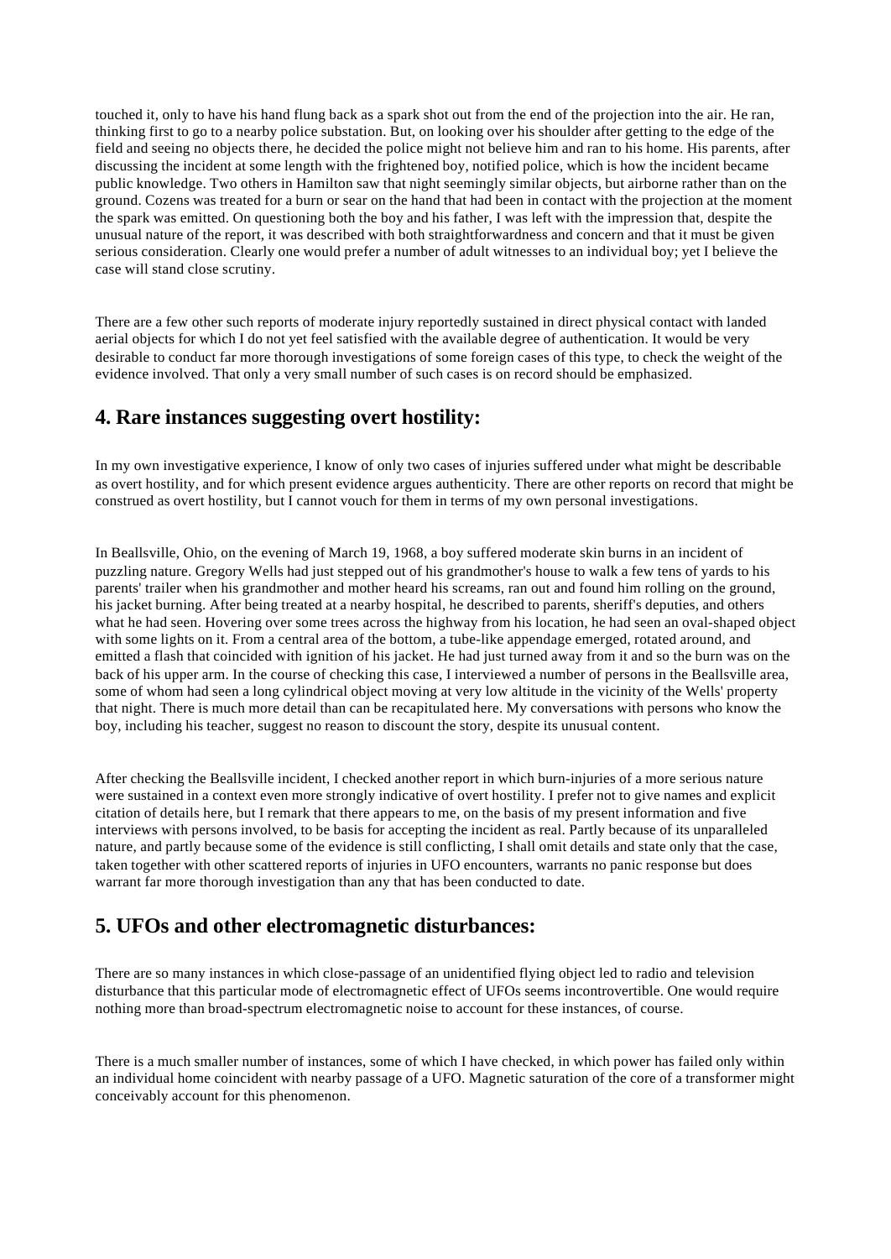touched it, only to have his hand flung back as a spark shot out from the end of the projection into the air. He ran, thinking first to go to a nearby police substation. But, on looking over his shoulder after getting to the edge of the field and seeing no objects there, he decided the police might not believe him and ran to his home. His parents, after discussing the incident at some length with the frightened boy, notified police, which is how the incident became public knowledge. Two others in Hamilton saw that night seemingly similar objects, but airborne rather than on the ground. Cozens was treated for a burn or sear on the hand that had been in contact with the projection at the moment the spark was emitted. On questioning both the boy and his father, I was left with the impression that, despite the unusual nature of the report, it was described with both straightforwardness and concern and that it must be given serious consideration. Clearly one would prefer a number of adult witnesses to an individual boy; yet I believe the case will stand close scrutiny.

There are a few other such reports of moderate injury reportedly sustained in direct physical contact with landed aerial objects for which I do not yet feel satisfied with the available degree of authentication. It would be very desirable to conduct far more thorough investigations of some foreign cases of this type, to check the weight of the evidence involved. That only a very small number of such cases is on record should be emphasized.

### **4. Rare instances suggesting overt hostility:**

In my own investigative experience, I know of only two cases of injuries suffered under what might be describable as overt hostility, and for which present evidence argues authenticity. There are other reports on record that might be construed as overt hostility, but I cannot vouch for them in terms of my own personal investigations.

In Beallsville, Ohio, on the evening of March 19, 1968, a boy suffered moderate skin burns in an incident of puzzling nature. Gregory Wells had just stepped out of his grandmother's house to walk a few tens of yards to his parents' trailer when his grandmother and mother heard his screams, ran out and found him rolling on the ground, his jacket burning. After being treated at a nearby hospital, he described to parents, sheriff's deputies, and others what he had seen. Hovering over some trees across the highway from his location, he had seen an oval-shaped object with some lights on it. From a central area of the bottom, a tube-like appendage emerged, rotated around, and emitted a flash that coincided with ignition of his jacket. He had just turned away from it and so the burn was on the back of his upper arm. In the course of checking this case, I interviewed a number of persons in the Beallsville area, some of whom had seen a long cylindrical object moving at very low altitude in the vicinity of the Wells' property that night. There is much more detail than can be recapitulated here. My conversations with persons who know the boy, including his teacher, suggest no reason to discount the story, despite its unusual content.

After checking the Beallsville incident, I checked another report in which burn-injuries of a more serious nature were sustained in a context even more strongly indicative of overt hostility. I prefer not to give names and explicit citation of details here, but I remark that there appears to me, on the basis of my present information and five interviews with persons involved, to be basis for accepting the incident as real. Partly because of its unparalleled nature, and partly because some of the evidence is still conflicting, I shall omit details and state only that the case, taken together with other scattered reports of injuries in UFO encounters, warrants no panic response but does warrant far more thorough investigation than any that has been conducted to date.

# **5. UFOs and other electromagnetic disturbances:**

There are so many instances in which close-passage of an unidentified flying object led to radio and television disturbance that this particular mode of electromagnetic effect of UFOs seems incontrovertible. One would require nothing more than broad-spectrum electromagnetic noise to account for these instances, of course.

There is a much smaller number of instances, some of which I have checked, in which power has failed only within an individual home coincident with nearby passage of a UFO. Magnetic saturation of the core of a transformer might conceivably account for this phenomenon.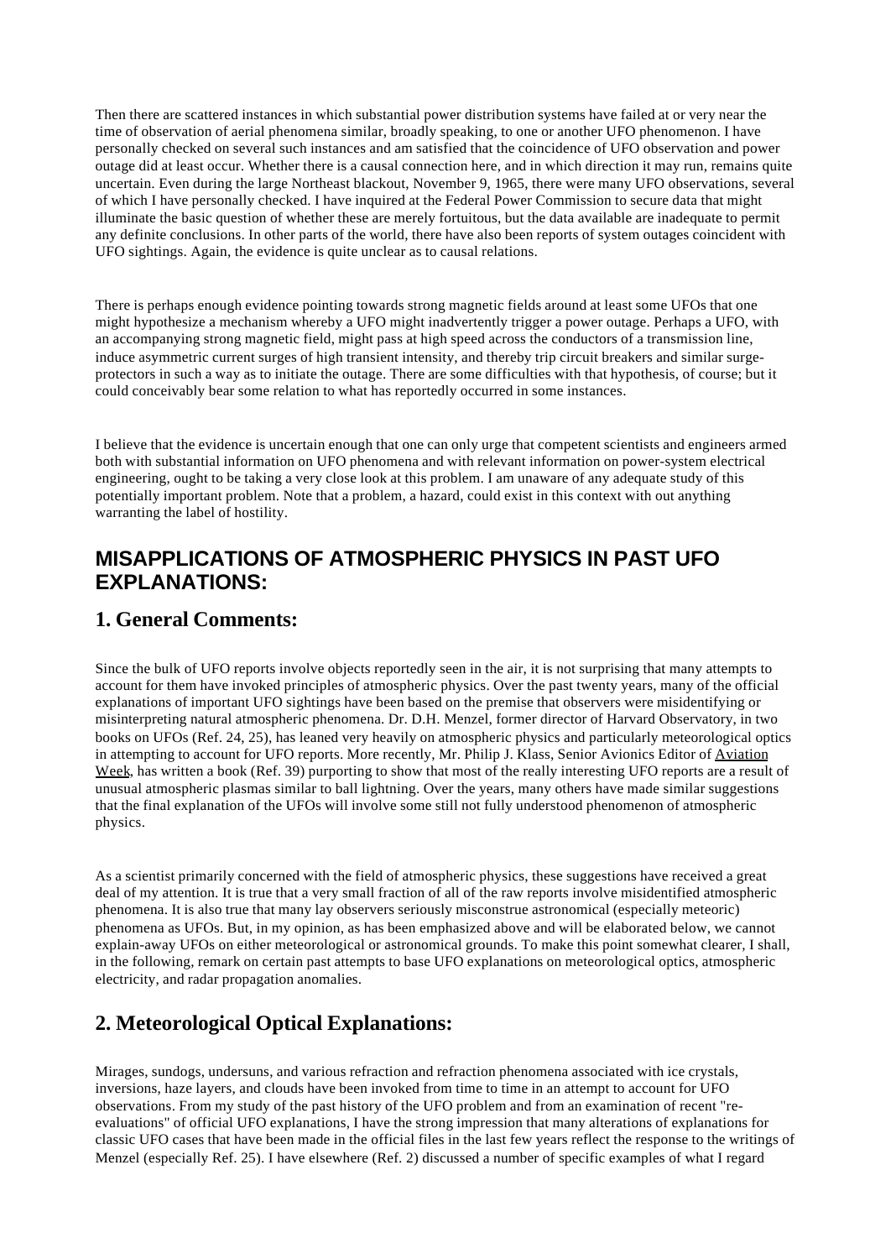Then there are scattered instances in which substantial power distribution systems have failed at or very near the time of observation of aerial phenomena similar, broadly speaking, to one or another UFO phenomenon. I have personally checked on several such instances and am satisfied that the coincidence of UFO observation and power outage did at least occur. Whether there is a causal connection here, and in which direction it may run, remains quite uncertain. Even during the large Northeast blackout, November 9, 1965, there were many UFO observations, several of which I have personally checked. I have inquired at the Federal Power Commission to secure data that might illuminate the basic question of whether these are merely fortuitous, but the data available are inadequate to permit any definite conclusions. In other parts of the world, there have also been reports of system outages coincident with UFO sightings. Again, the evidence is quite unclear as to causal relations.

There is perhaps enough evidence pointing towards strong magnetic fields around at least some UFOs that one might hypothesize a mechanism whereby a UFO might inadvertently trigger a power outage. Perhaps a UFO, with an accompanying strong magnetic field, might pass at high speed across the conductors of a transmission line, induce asymmetric current surges of high transient intensity, and thereby trip circuit breakers and similar surgeprotectors in such a way as to initiate the outage. There are some difficulties with that hypothesis, of course; but it could conceivably bear some relation to what has reportedly occurred in some instances.

I believe that the evidence is uncertain enough that one can only urge that competent scientists and engineers armed both with substantial information on UFO phenomena and with relevant information on power-system electrical engineering, ought to be taking a very close look at this problem. I am unaware of any adequate study of this potentially important problem. Note that a problem, a hazard, could exist in this context with out anything warranting the label of hostility.

# **MISAPPLICATIONS OF ATMOSPHERIC PHYSICS IN PAST UFO EXPLANATIONS:**

### **1. General Comments:**

Since the bulk of UFO reports involve objects reportedly seen in the air, it is not surprising that many attempts to account for them have invoked principles of atmospheric physics. Over the past twenty years, many of the official explanations of important UFO sightings have been based on the premise that observers were misidentifying or misinterpreting natural atmospheric phenomena. Dr. D.H. Menzel, former director of Harvard Observatory, in two books on UFOs (Ref. 24, 25), has leaned very heavily on atmospheric physics and particularly meteorological optics in attempting to account for UFO reports. More recently, Mr. Philip J. Klass, Senior Avionics Editor of Aviation Week, has written a book (Ref. 39) purporting to show that most of the really interesting UFO reports are a result of unusual atmospheric plasmas similar to ball lightning. Over the years, many others have made similar suggestions that the final explanation of the UFOs will involve some still not fully understood phenomenon of atmospheric physics.

As a scientist primarily concerned with the field of atmospheric physics, these suggestions have received a great deal of my attention. It is true that a very small fraction of all of the raw reports involve misidentified atmospheric phenomena. It is also true that many lay observers seriously misconstrue astronomical (especially meteoric) phenomena as UFOs. But, in my opinion, as has been emphasized above and will be elaborated below, we cannot explain-away UFOs on either meteorological or astronomical grounds. To make this point somewhat clearer, I shall, in the following, remark on certain past attempts to base UFO explanations on meteorological optics, atmospheric electricity, and radar propagation anomalies.

# **2. Meteorological Optical Explanations:**

Mirages, sundogs, undersuns, and various refraction and refraction phenomena associated with ice crystals, inversions, haze layers, and clouds have been invoked from time to time in an attempt to account for UFO observations. From my study of the past history of the UFO problem and from an examination of recent "reevaluations" of official UFO explanations, I have the strong impression that many alterations of explanations for classic UFO cases that have been made in the official files in the last few years reflect the response to the writings of Menzel (especially Ref. 25). I have elsewhere (Ref. 2) discussed a number of specific examples of what I regard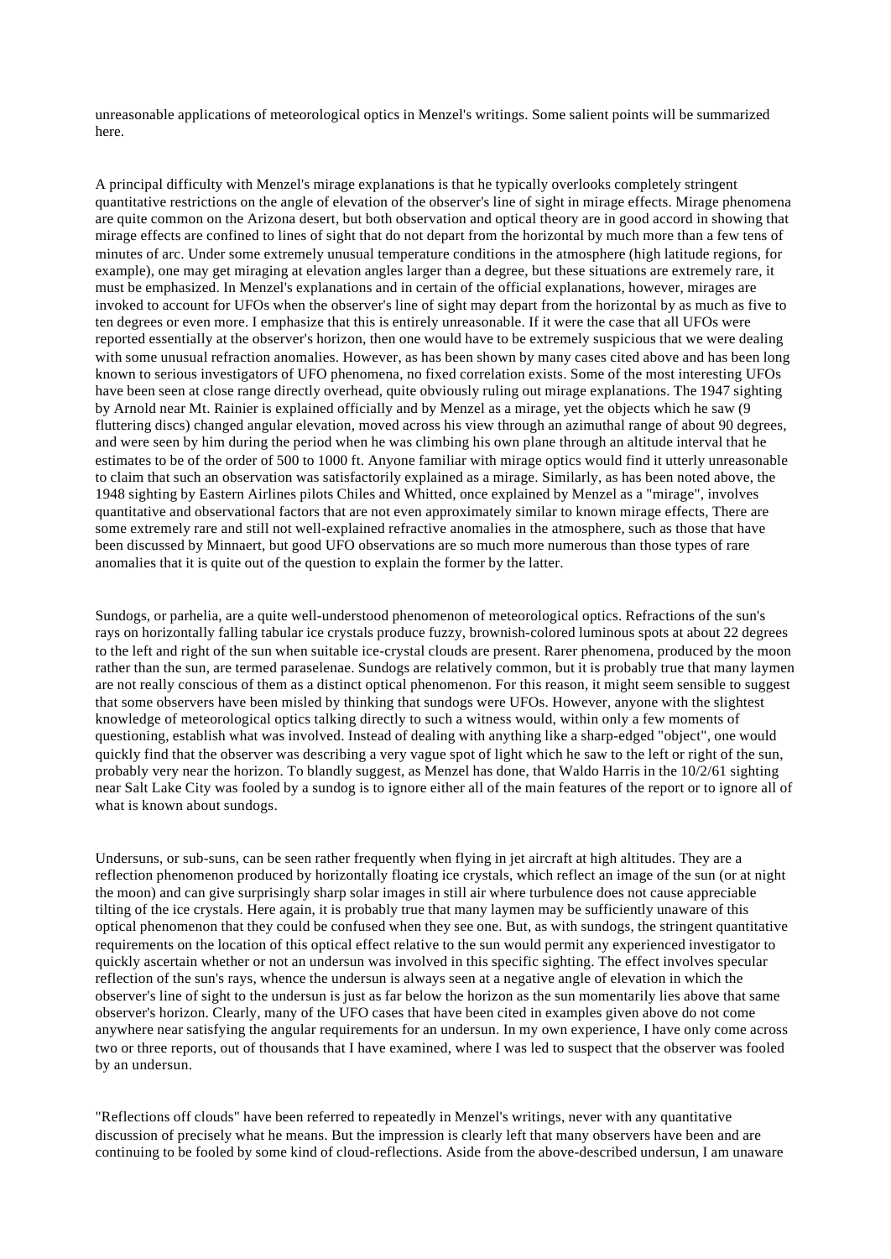unreasonable applications of meteorological optics in Menzel's writings. Some salient points will be summarized here.

A principal difficulty with Menzel's mirage explanations is that he typically overlooks completely stringent quantitative restrictions on the angle of elevation of the observer's line of sight in mirage effects. Mirage phenomena are quite common on the Arizona desert, but both observation and optical theory are in good accord in showing that mirage effects are confined to lines of sight that do not depart from the horizontal by much more than a few tens of minutes of arc. Under some extremely unusual temperature conditions in the atmosphere (high latitude regions, for example), one may get miraging at elevation angles larger than a degree, but these situations are extremely rare, it must be emphasized. In Menzel's explanations and in certain of the official explanations, however, mirages are invoked to account for UFOs when the observer's line of sight may depart from the horizontal by as much as five to ten degrees or even more. I emphasize that this is entirely unreasonable. If it were the case that all UFOs were reported essentially at the observer's horizon, then one would have to be extremely suspicious that we were dealing with some unusual refraction anomalies. However, as has been shown by many cases cited above and has been long known to serious investigators of UFO phenomena, no fixed correlation exists. Some of the most interesting UFOs have been seen at close range directly overhead, quite obviously ruling out mirage explanations. The 1947 sighting by Arnold near Mt. Rainier is explained officially and by Menzel as a mirage, yet the objects which he saw (9 fluttering discs) changed angular elevation, moved across his view through an azimuthal range of about 90 degrees, and were seen by him during the period when he was climbing his own plane through an altitude interval that he estimates to be of the order of 500 to 1000 ft. Anyone familiar with mirage optics would find it utterly unreasonable to claim that such an observation was satisfactorily explained as a mirage. Similarly, as has been noted above, the 1948 sighting by Eastern Airlines pilots Chiles and Whitted, once explained by Menzel as a "mirage", involves quantitative and observational factors that are not even approximately similar to known mirage effects, There are some extremely rare and still not well-explained refractive anomalies in the atmosphere, such as those that have been discussed by Minnaert, but good UFO observations are so much more numerous than those types of rare anomalies that it is quite out of the question to explain the former by the latter.

Sundogs, or parhelia, are a quite well-understood phenomenon of meteorological optics. Refractions of the sun's rays on horizontally falling tabular ice crystals produce fuzzy, brownish-colored luminous spots at about 22 degrees to the left and right of the sun when suitable ice-crystal clouds are present. Rarer phenomena, produced by the moon rather than the sun, are termed paraselenae. Sundogs are relatively common, but it is probably true that many laymen are not really conscious of them as a distinct optical phenomenon. For this reason, it might seem sensible to suggest that some observers have been misled by thinking that sundogs were UFOs. However, anyone with the slightest knowledge of meteorological optics talking directly to such a witness would, within only a few moments of questioning, establish what was involved. Instead of dealing with anything like a sharp-edged "object", one would quickly find that the observer was describing a very vague spot of light which he saw to the left or right of the sun, probably very near the horizon. To blandly suggest, as Menzel has done, that Waldo Harris in the 10/2/61 sighting near Salt Lake City was fooled by a sundog is to ignore either all of the main features of the report or to ignore all of what is known about sundogs.

Undersuns, or sub-suns, can be seen rather frequently when flying in jet aircraft at high altitudes. They are a reflection phenomenon produced by horizontally floating ice crystals, which reflect an image of the sun (or at night the moon) and can give surprisingly sharp solar images in still air where turbulence does not cause appreciable tilting of the ice crystals. Here again, it is probably true that many laymen may be sufficiently unaware of this optical phenomenon that they could be confused when they see one. But, as with sundogs, the stringent quantitative requirements on the location of this optical effect relative to the sun would permit any experienced investigator to quickly ascertain whether or not an undersun was involved in this specific sighting. The effect involves specular reflection of the sun's rays, whence the undersun is always seen at a negative angle of elevation in which the observer's line of sight to the undersun is just as far below the horizon as the sun momentarily lies above that same observer's horizon. Clearly, many of the UFO cases that have been cited in examples given above do not come anywhere near satisfying the angular requirements for an undersun. In my own experience, I have only come across two or three reports, out of thousands that I have examined, where I was led to suspect that the observer was fooled by an undersun.

"Reflections off clouds" have been referred to repeatedly in Menzel's writings, never with any quantitative discussion of precisely what he means. But the impression is clearly left that many observers have been and are continuing to be fooled by some kind of cloud-reflections. Aside from the above-described undersun, I am unaware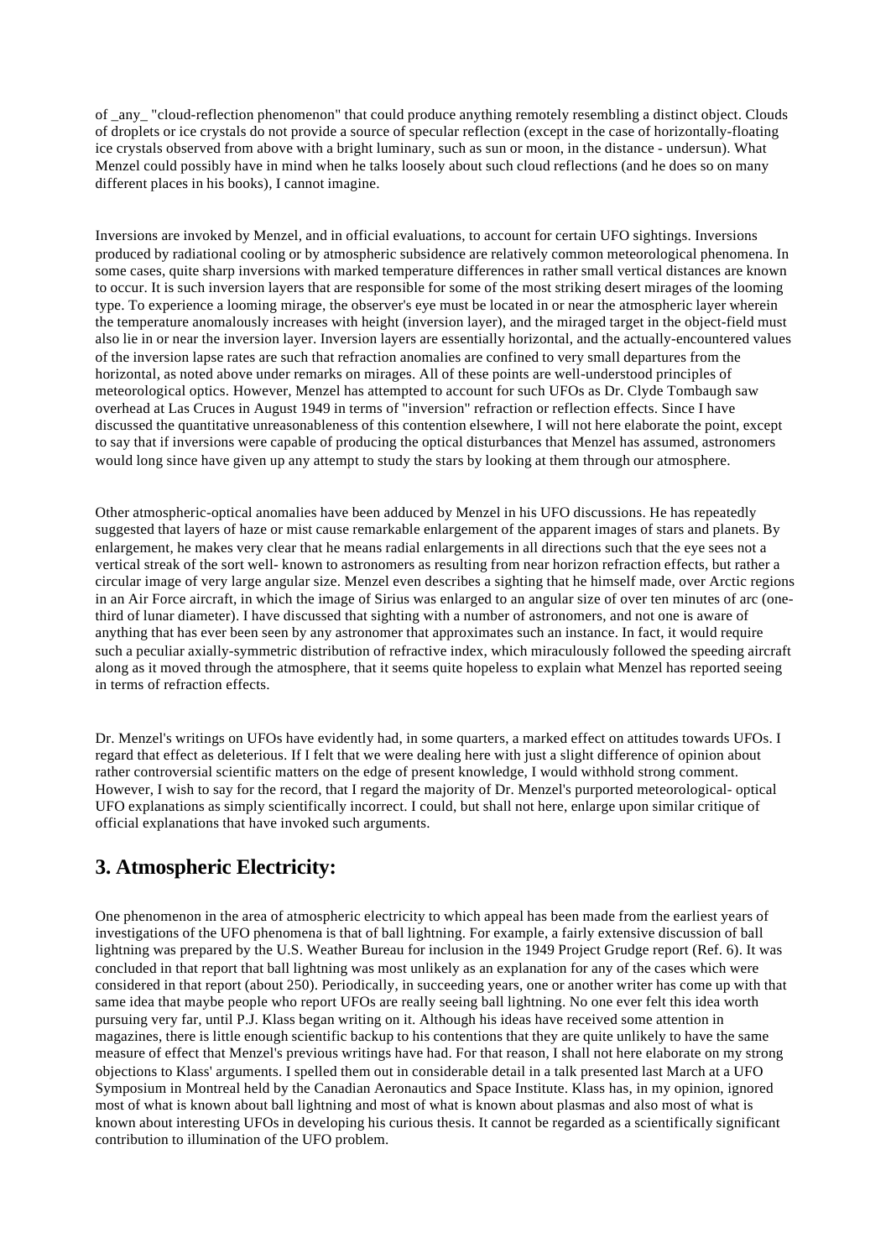of \_any\_ "cloud-reflection phenomenon" that could produce anything remotely resembling a distinct object. Clouds of droplets or ice crystals do not provide a source of specular reflection (except in the case of horizontally-floating ice crystals observed from above with a bright luminary, such as sun or moon, in the distance - undersun). What Menzel could possibly have in mind when he talks loosely about such cloud reflections (and he does so on many different places in his books), I cannot imagine.

Inversions are invoked by Menzel, and in official evaluations, to account for certain UFO sightings. Inversions produced by radiational cooling or by atmospheric subsidence are relatively common meteorological phenomena. In some cases, quite sharp inversions with marked temperature differences in rather small vertical distances are known to occur. It is such inversion layers that are responsible for some of the most striking desert mirages of the looming type. To experience a looming mirage, the observer's eye must be located in or near the atmospheric layer wherein the temperature anomalously increases with height (inversion layer), and the miraged target in the object-field must also lie in or near the inversion layer. Inversion layers are essentially horizontal, and the actually-encountered values of the inversion lapse rates are such that refraction anomalies are confined to very small departures from the horizontal, as noted above under remarks on mirages. All of these points are well-understood principles of meteorological optics. However, Menzel has attempted to account for such UFOs as Dr. Clyde Tombaugh saw overhead at Las Cruces in August 1949 in terms of "inversion" refraction or reflection effects. Since I have discussed the quantitative unreasonableness of this contention elsewhere, I will not here elaborate the point, except to say that if inversions were capable of producing the optical disturbances that Menzel has assumed, astronomers would long since have given up any attempt to study the stars by looking at them through our atmosphere.

Other atmospheric-optical anomalies have been adduced by Menzel in his UFO discussions. He has repeatedly suggested that layers of haze or mist cause remarkable enlargement of the apparent images of stars and planets. By enlargement, he makes very clear that he means radial enlargements in all directions such that the eye sees not a vertical streak of the sort well- known to astronomers as resulting from near horizon refraction effects, but rather a circular image of very large angular size. Menzel even describes a sighting that he himself made, over Arctic regions in an Air Force aircraft, in which the image of Sirius was enlarged to an angular size of over ten minutes of arc (onethird of lunar diameter). I have discussed that sighting with a number of astronomers, and not one is aware of anything that has ever been seen by any astronomer that approximates such an instance. In fact, it would require such a peculiar axially-symmetric distribution of refractive index, which miraculously followed the speeding aircraft along as it moved through the atmosphere, that it seems quite hopeless to explain what Menzel has reported seeing in terms of refraction effects.

Dr. Menzel's writings on UFOs have evidently had, in some quarters, a marked effect on attitudes towards UFOs. I regard that effect as deleterious. If I felt that we were dealing here with just a slight difference of opinion about rather controversial scientific matters on the edge of present knowledge, I would withhold strong comment. However, I wish to say for the record, that I regard the majority of Dr. Menzel's purported meteorological- optical UFO explanations as simply scientifically incorrect. I could, but shall not here, enlarge upon similar critique of official explanations that have invoked such arguments.

# **3. Atmospheric Electricity:**

One phenomenon in the area of atmospheric electricity to which appeal has been made from the earliest years of investigations of the UFO phenomena is that of ball lightning. For example, a fairly extensive discussion of ball lightning was prepared by the U.S. Weather Bureau for inclusion in the 1949 Project Grudge report (Ref. 6). It was concluded in that report that ball lightning was most unlikely as an explanation for any of the cases which were considered in that report (about 250). Periodically, in succeeding years, one or another writer has come up with that same idea that maybe people who report UFOs are really seeing ball lightning. No one ever felt this idea worth pursuing very far, until P.J. Klass began writing on it. Although his ideas have received some attention in magazines, there is little enough scientific backup to his contentions that they are quite unlikely to have the same measure of effect that Menzel's previous writings have had. For that reason, I shall not here elaborate on my strong objections to Klass' arguments. I spelled them out in considerable detail in a talk presented last March at a UFO Symposium in Montreal held by the Canadian Aeronautics and Space Institute. Klass has, in my opinion, ignored most of what is known about ball lightning and most of what is known about plasmas and also most of what is known about interesting UFOs in developing his curious thesis. It cannot be regarded as a scientifically significant contribution to illumination of the UFO problem.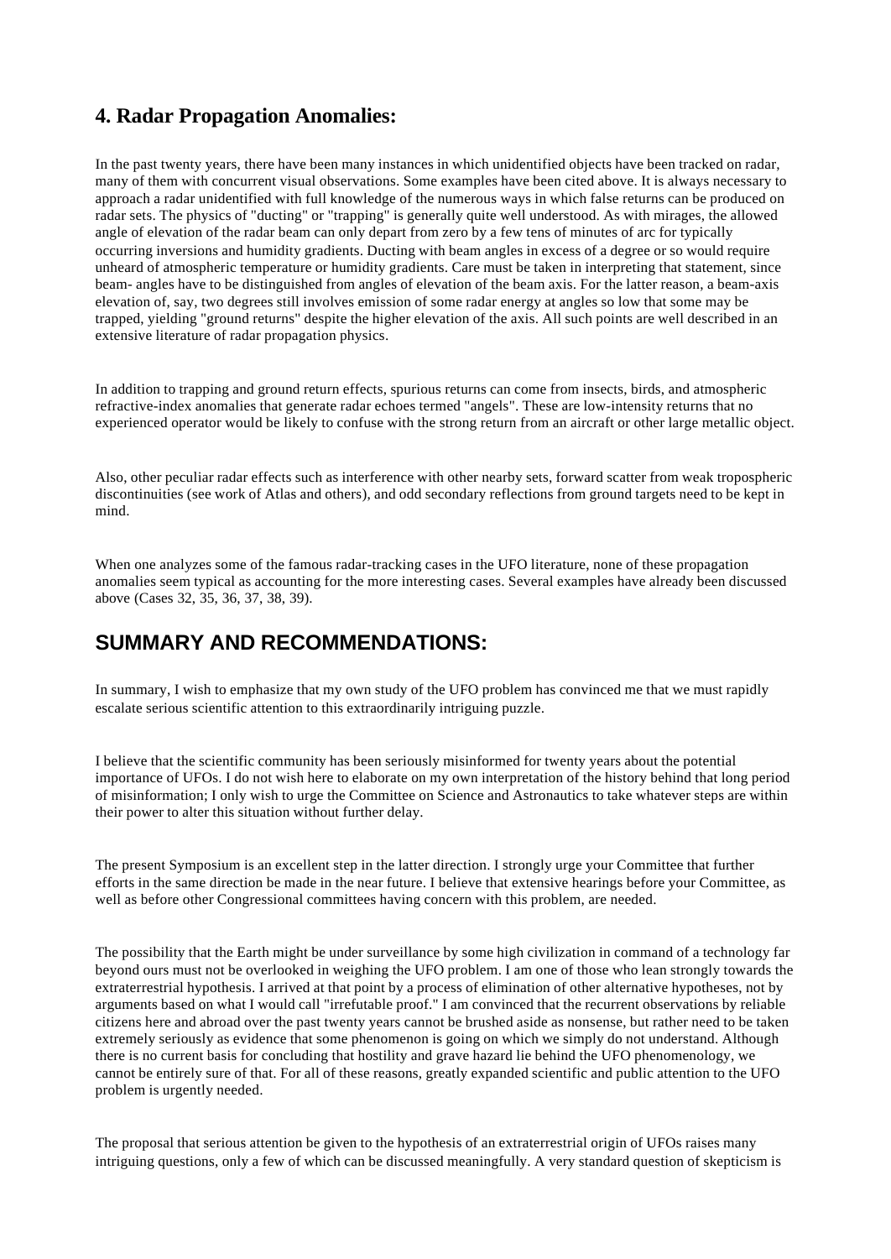### **4. Radar Propagation Anomalies:**

In the past twenty years, there have been many instances in which unidentified objects have been tracked on radar, many of them with concurrent visual observations. Some examples have been cited above. It is always necessary to approach a radar unidentified with full knowledge of the numerous ways in which false returns can be produced on radar sets. The physics of "ducting" or "trapping" is generally quite well understood. As with mirages, the allowed angle of elevation of the radar beam can only depart from zero by a few tens of minutes of arc for typically occurring inversions and humidity gradients. Ducting with beam angles in excess of a degree or so would require unheard of atmospheric temperature or humidity gradients. Care must be taken in interpreting that statement, since beam- angles have to be distinguished from angles of elevation of the beam axis. For the latter reason, a beam-axis elevation of, say, two degrees still involves emission of some radar energy at angles so low that some may be trapped, yielding "ground returns" despite the higher elevation of the axis. All such points are well described in an extensive literature of radar propagation physics.

In addition to trapping and ground return effects, spurious returns can come from insects, birds, and atmospheric refractive-index anomalies that generate radar echoes termed "angels". These are low-intensity returns that no experienced operator would be likely to confuse with the strong return from an aircraft or other large metallic object.

Also, other peculiar radar effects such as interference with other nearby sets, forward scatter from weak tropospheric discontinuities (see work of Atlas and others), and odd secondary reflections from ground targets need to be kept in mind.

When one analyzes some of the famous radar-tracking cases in the UFO literature, none of these propagation anomalies seem typical as accounting for the more interesting cases. Several examples have already been discussed above (Cases 32, 35, 36, 37, 38, 39).

# **SUMMARY AND RECOMMENDATIONS:**

In summary, I wish to emphasize that my own study of the UFO problem has convinced me that we must rapidly escalate serious scientific attention to this extraordinarily intriguing puzzle.

I believe that the scientific community has been seriously misinformed for twenty years about the potential importance of UFOs. I do not wish here to elaborate on my own interpretation of the history behind that long period of misinformation; I only wish to urge the Committee on Science and Astronautics to take whatever steps are within their power to alter this situation without further delay.

The present Symposium is an excellent step in the latter direction. I strongly urge your Committee that further efforts in the same direction be made in the near future. I believe that extensive hearings before your Committee, as well as before other Congressional committees having concern with this problem, are needed.

The possibility that the Earth might be under surveillance by some high civilization in command of a technology far beyond ours must not be overlooked in weighing the UFO problem. I am one of those who lean strongly towards the extraterrestrial hypothesis. I arrived at that point by a process of elimination of other alternative hypotheses, not by arguments based on what I would call "irrefutable proof." I am convinced that the recurrent observations by reliable citizens here and abroad over the past twenty years cannot be brushed aside as nonsense, but rather need to be taken extremely seriously as evidence that some phenomenon is going on which we simply do not understand. Although there is no current basis for concluding that hostility and grave hazard lie behind the UFO phenomenology, we cannot be entirely sure of that. For all of these reasons, greatly expanded scientific and public attention to the UFO problem is urgently needed.

The proposal that serious attention be given to the hypothesis of an extraterrestrial origin of UFOs raises many intriguing questions, only a few of which can be discussed meaningfully. A very standard question of skepticism is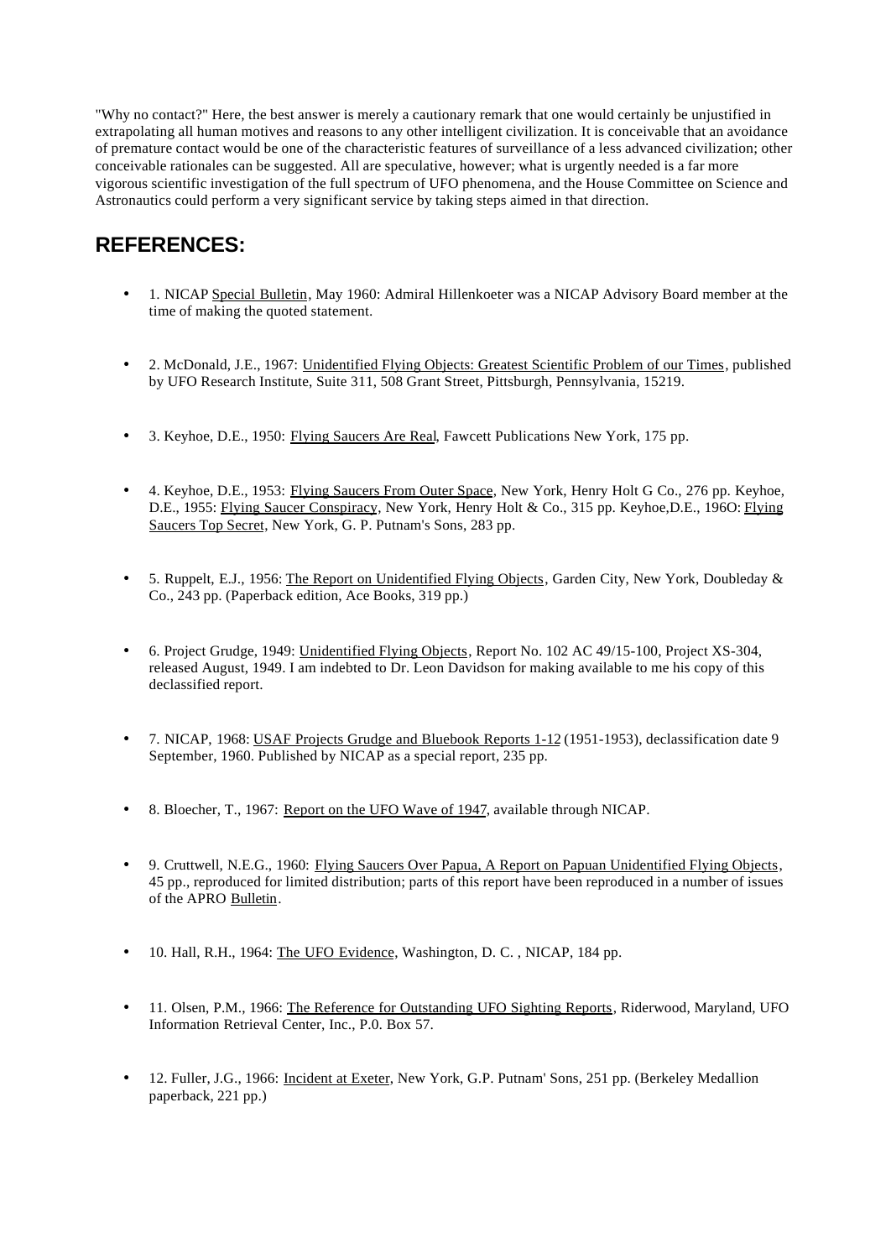"Why no contact?" Here, the best answer is merely a cautionary remark that one would certainly be unjustified in extrapolating all human motives and reasons to any other intelligent civilization. It is conceivable that an avoidance of premature contact would be one of the characteristic features of surveillance of a less advanced civilization; other conceivable rationales can be suggested. All are speculative, however; what is urgently needed is a far more vigorous scientific investigation of the full spectrum of UFO phenomena, and the House Committee on Science and Astronautics could perform a very significant service by taking steps aimed in that direction.

# **REFERENCES:**

- 1. NICAP Special Bulletin, May 1960: Admiral Hillenkoeter was a NICAP Advisory Board member at the time of making the quoted statement.
- 2. McDonald, J.E., 1967: Unidentified Flying Objects: Greatest Scientific Problem of our Times, published by UFO Research Institute, Suite 311, 508 Grant Street, Pittsburgh, Pennsylvania, 15219.
- 3. Keyhoe, D.E., 1950: Flying Saucers Are Real, Fawcett Publications New York, 175 pp.
- 4. Keyhoe, D.E., 1953: Flying Saucers From Outer Space, New York, Henry Holt G Co., 276 pp. Keyhoe, D.E., 1955: Flying Saucer Conspiracy, New York, Henry Holt & Co., 315 pp. Keyhoe,D.E., 196O: Flying Saucers Top Secret, New York, G. P. Putnam's Sons, 283 pp.
- 5. Ruppelt, E.J., 1956: The Report on Unidentified Flying Objects, Garden City, New York, Doubleday & Co., 243 pp. (Paperback edition, Ace Books, 319 pp.)
- 6. Project Grudge, 1949: Unidentified Flying Objects, Report No. 102 AC 49/15-100, Project XS-304, released August, 1949. I am indebted to Dr. Leon Davidson for making available to me his copy of this declassified report.
- 7. NICAP, 1968: USAF Projects Grudge and Bluebook Reports 1-12 (1951-1953), declassification date 9 September, 1960. Published by NICAP as a special report, 235 pp.
- 8. Bloecher, T., 1967: Report on the UFO Wave of 1947, available through NICAP.
- 9. Cruttwell, N.E.G., 1960: Flying Saucers Over Papua, A Report on Papuan Unidentified Flying Objects, 45 pp., reproduced for limited distribution; parts of this report have been reproduced in a number of issues of the APRO Bulletin.
- 10. Hall, R.H., 1964: The UFO Evidence, Washington, D. C. , NICAP, 184 pp.
- 11. Olsen, P.M., 1966: The Reference for Outstanding UFO Sighting Reports, Riderwood, Maryland, UFO Information Retrieval Center, Inc., P.0. Box 57.
- 12. Fuller, J.G., 1966: Incident at Exeter, New York, G.P. Putnam' Sons, 251 pp. (Berkeley Medallion paperback, 221 pp.)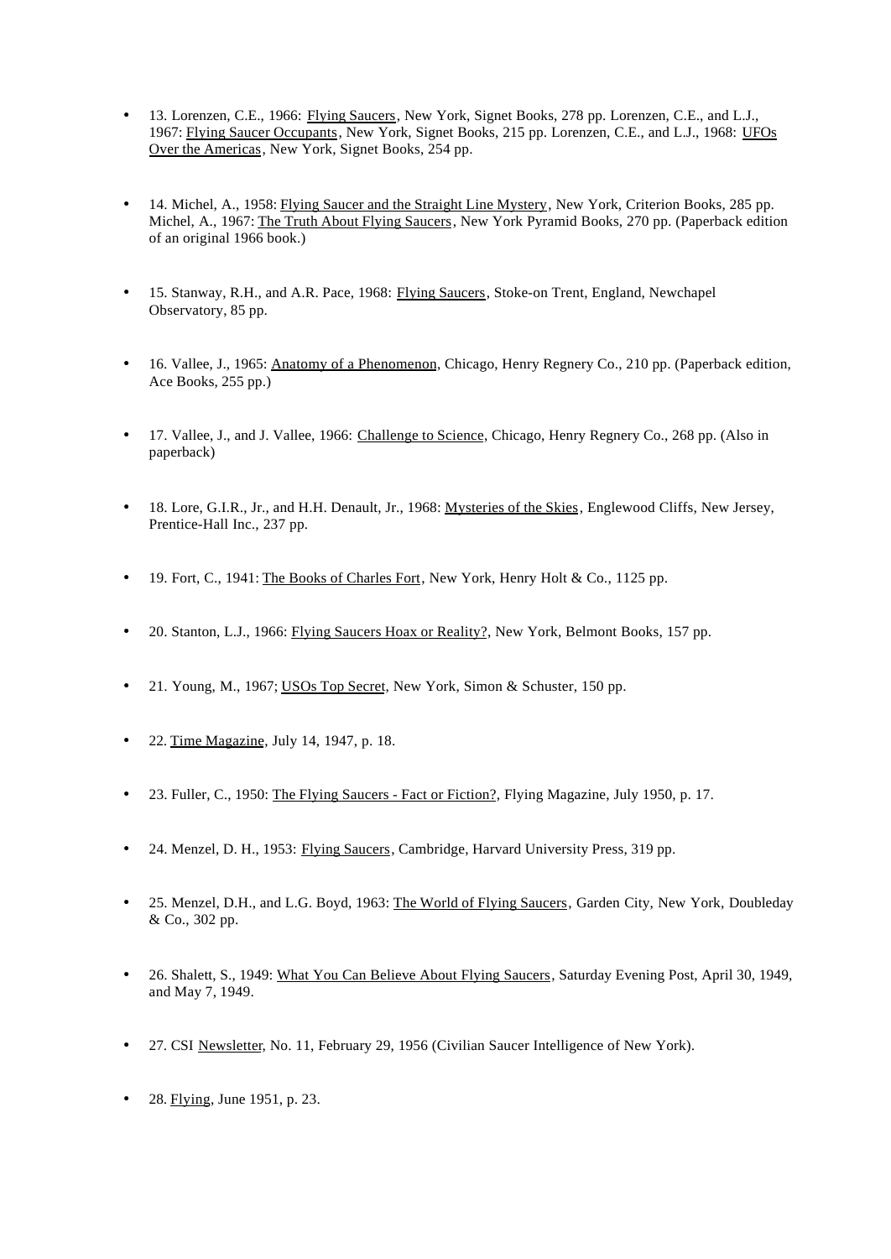- 13. Lorenzen, C.E., 1966: Flying Saucers, New York, Signet Books, 278 pp. Lorenzen, C.E., and L.J., 1967: Flying Saucer Occupants, New York, Signet Books, 215 pp. Lorenzen, C.E., and L.J., 1968: UFOs Over the Americas, New York, Signet Books, 254 pp.
- 14. Michel, A., 1958: Flying Saucer and the Straight Line Mystery, New York, Criterion Books, 285 pp. Michel, A., 1967: The Truth About Flying Saucers, New York Pyramid Books, 270 pp. (Paperback edition of an original 1966 book.)
- 15. Stanway, R.H., and A.R. Pace, 1968: Flying Saucers, Stoke-on Trent, England, Newchapel Observatory, 85 pp.
- 16. Vallee, J., 1965: Anatomy of a Phenomenon, Chicago, Henry Regnery Co., 210 pp. (Paperback edition, Ace Books, 255 pp.)
- 17. Vallee, J., and J. Vallee, 1966: Challenge to Science, Chicago, Henry Regnery Co., 268 pp. (Also in paperback)
- 18. Lore, G.I.R., Jr., and H.H. Denault, Jr., 1968: Mysteries of the Skies, Englewood Cliffs, New Jersey, Prentice-Hall Inc., 237 pp.
- 19. Fort, C., 1941: The Books of Charles Fort, New York, Henry Holt & Co., 1125 pp.
- 20. Stanton, L.J., 1966: Flying Saucers Hoax or Reality?, New York, Belmont Books, 157 pp.
- 21. Young, M., 1967; USOs Top Secret, New York, Simon & Schuster, 150 pp.
- 22. Time Magazine, July 14, 1947, p. 18.
- 23. Fuller, C., 1950: The Flying Saucers Fact or Fiction?, Flying Magazine, July 1950, p. 17.
- 24. Menzel, D. H., 1953: Flying Saucers, Cambridge, Harvard University Press, 319 pp.
- 25. Menzel, D.H., and L.G. Boyd, 1963: The World of Flying Saucers, Garden City, New York, Doubleday & Co., 302 pp.
- 26. Shalett, S., 1949: What You Can Believe About Flying Saucers, Saturday Evening Post, April 30, 1949, and May 7, 1949.
- 27. CSI Newsletter, No. 11, February 29, 1956 (Civilian Saucer Intelligence of New York).
- 28. Flying, June 1951, p. 23.